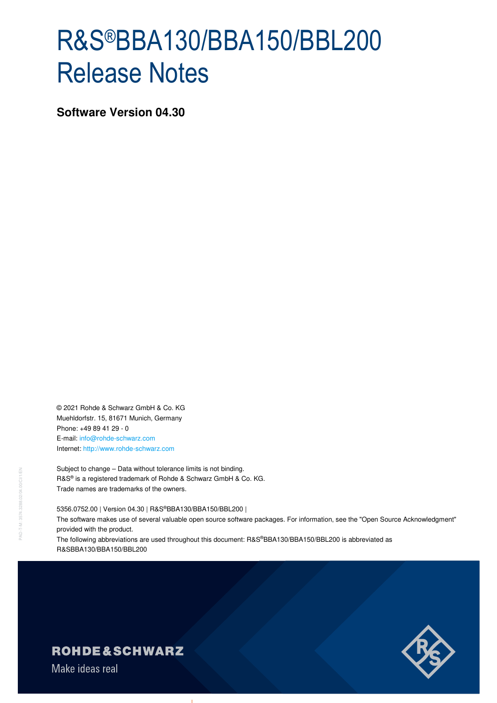# R&S®BBA130/BBA150/BBL200 Release Notes

**Software Version 04.30** 

© 2021 Rohde & Schwarz GmbH & Co. KG Muehldorfstr. 15, 81671 Munich, Germany Phone: +49 89 41 29 - 0 E-mail: info@rohde-schwarz.com Internet: http://www.rohde-schwarz.com

Subject to change – Data without tolerance limits is not binding. R&S® is a registered trademark of Rohde & Schwarz GmbH & Co. KG. Trade names are trademarks of the owners.

5356.0752.00 | Version 04.30 | R&S®BBA130/BBA150/BBL200 | The software makes use of several valuable open source software packages. For information, see the "Open Source Acknowledgment" provided with the product.

The following abbreviations are used throughout this document: R&S®BBA130/BBA150/BBL200 is abbreviated as R&SBBA130/BBA150/BBL200



## **ROHDE&SCHWARZ**

Make ideas real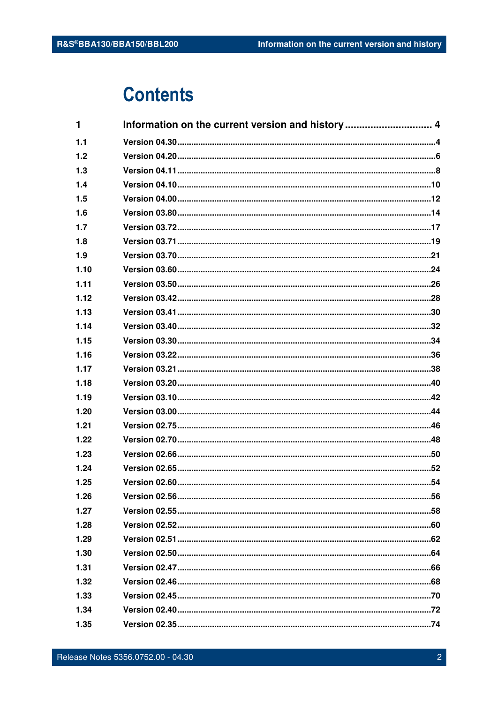## **Contents**

| 1    |  |
|------|--|
| 1.1  |  |
| 1.2  |  |
| 1.3  |  |
| 1.4  |  |
| 1.5  |  |
| 1.6  |  |
| 1.7  |  |
| 1.8  |  |
| 1.9  |  |
| 1.10 |  |
| 1.11 |  |
| 1.12 |  |
| 1.13 |  |
| 1.14 |  |
| 1.15 |  |
| 1.16 |  |
| 1.17 |  |
| 1.18 |  |
| 1.19 |  |
| 1.20 |  |
| 1.21 |  |
| 1.22 |  |
| 1.23 |  |
| 1.24 |  |
| 1.25 |  |
| 1.26 |  |
| 1.27 |  |
| 1.28 |  |
| 1.29 |  |
| 1.30 |  |
| 1.31 |  |
| 1.32 |  |
| 1.33 |  |
| 1.34 |  |
| 1.35 |  |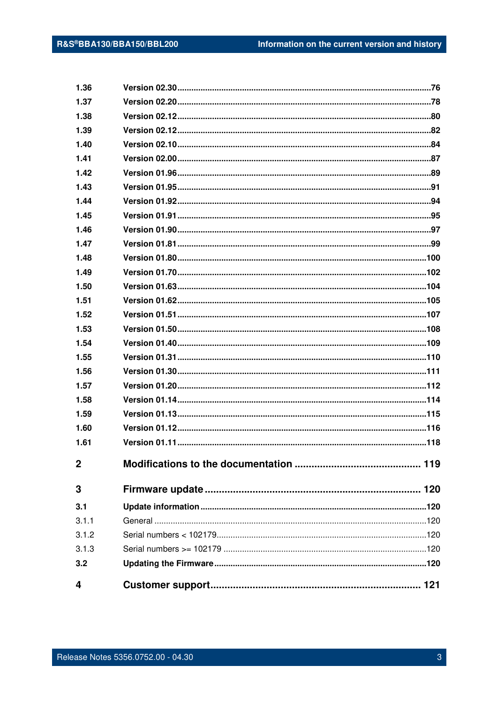| 4            |  |
|--------------|--|
| 3.2          |  |
| 3.1.3        |  |
| 3.1.2        |  |
| 3.1.1        |  |
| 3.1          |  |
| 3            |  |
| $\mathbf 2$  |  |
| 1.61         |  |
| 1.60         |  |
| 1.59         |  |
| 1.58         |  |
| 1.57         |  |
| 1.56         |  |
| 1.55         |  |
| 1.54         |  |
| 1.53         |  |
| 1.52         |  |
| 1.51         |  |
| 1.50         |  |
| 1.49         |  |
| 1.48         |  |
| 1.47         |  |
| 1.46         |  |
| 1.45         |  |
| 1.44         |  |
| 1.43         |  |
| 1.42         |  |
| 1.41         |  |
| 1.40         |  |
| 1.38<br>1.39 |  |
| 1.37         |  |
| 1.36         |  |
|              |  |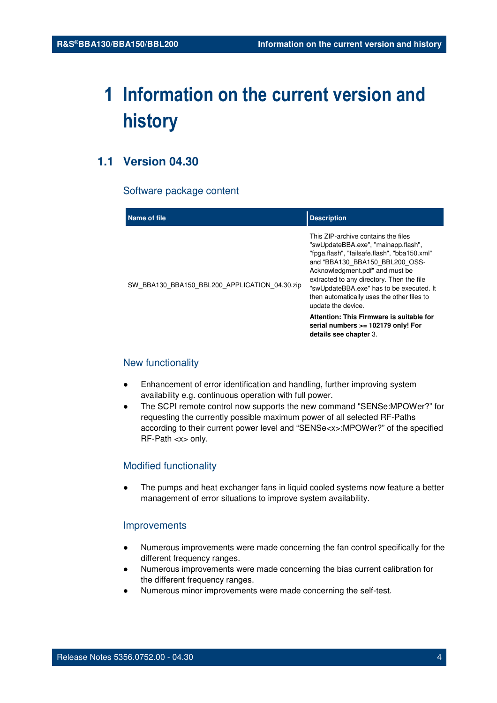## **1 Information on the current version and history**

## **1.1 Version 04.30**

#### Software package content

| Name of file                                  | <b>Description</b>                                                                                                                                                                                                                                                                                                                                                                                                                               |
|-----------------------------------------------|--------------------------------------------------------------------------------------------------------------------------------------------------------------------------------------------------------------------------------------------------------------------------------------------------------------------------------------------------------------------------------------------------------------------------------------------------|
| SW BBA130 BBA150 BBL200 APPLICATION 04.30.zip | This ZIP-archive contains the files<br>"swUpdateBBA.exe", "mainapp.flash",<br>"fpga.flash", "failsafe.flash", "bba150.xml"<br>and "BBA130 BBA150 BBL200 OSS-<br>Acknowledgment.pdf" and must be<br>extracted to any directory. Then the file<br>"swUpdateBBA.exe" has to be executed. It<br>then automatically uses the other files to<br>update the device.<br>Attention: This Firmware is suitable for<br>serial numbers $>= 102179$ only! For |
|                                               | details see chapter 3.                                                                                                                                                                                                                                                                                                                                                                                                                           |

#### New functionality

- Enhancement of error identification and handling, further improving system availability e.g. continuous operation with full power.
- The SCPI remote control now supports the new command "SENSe:MPOWer?" for requesting the currently possible maximum power of all selected RF-Paths according to their current power level and "SENSe<x>:MPOWer?" of the specified RF-Path <x> only.

#### Modified functionality

The pumps and heat exchanger fans in liquid cooled systems now feature a better management of error situations to improve system availability.

#### Improvements

- Numerous improvements were made concerning the fan control specifically for the different frequency ranges.
- Numerous improvements were made concerning the bias current calibration for the different frequency ranges.
- Numerous minor improvements were made concerning the self-test.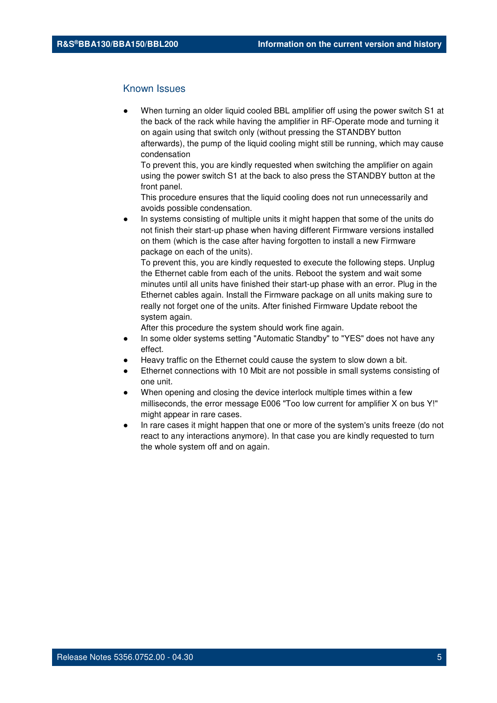#### Known Issues

When turning an older liquid cooled BBL amplifier off using the power switch S1 at the back of the rack while having the amplifier in RF-Operate mode and turning it on again using that switch only (without pressing the STANDBY button afterwards), the pump of the liquid cooling might still be running, which may cause condensation

To prevent this, you are kindly requested when switching the amplifier on again using the power switch S1 at the back to also press the STANDBY button at the front panel.

This procedure ensures that the liquid cooling does not run unnecessarily and avoids possible condensation.

In systems consisting of multiple units it might happen that some of the units do not finish their start-up phase when having different Firmware versions installed on them (which is the case after having forgotten to install a new Firmware package on each of the units).

To prevent this, you are kindly requested to execute the following steps. Unplug the Ethernet cable from each of the units. Reboot the system and wait some minutes until all units have finished their start-up phase with an error. Plug in the Ethernet cables again. Install the Firmware package on all units making sure to really not forget one of the units. After finished Firmware Update reboot the system again.

- In some older systems setting "Automatic Standby" to "YES" does not have any effect.
- Heavy traffic on the Ethernet could cause the system to slow down a bit.
- Ethernet connections with 10 Mbit are not possible in small systems consisting of one unit.
- When opening and closing the device interlock multiple times within a few milliseconds, the error message E006 "Too low current for amplifier X on bus Y!" might appear in rare cases.
- In rare cases it might happen that one or more of the system's units freeze (do not react to any interactions anymore). In that case you are kindly requested to turn the whole system off and on again.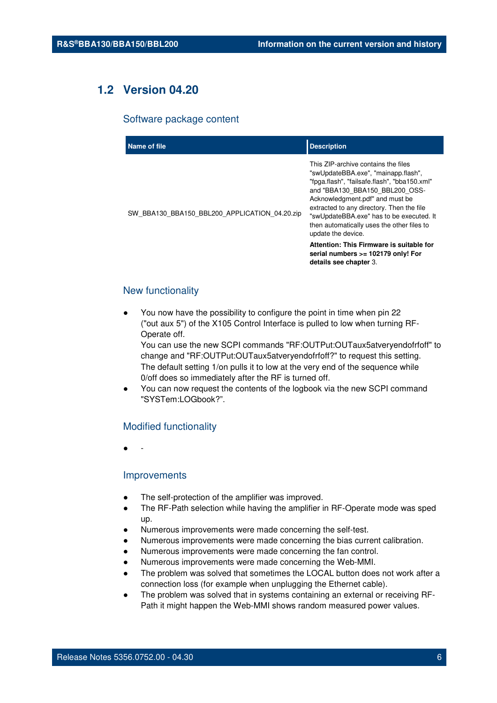## **1.2 Version 04.20**

#### Software package content

| Name of file                                  | <b>Description</b>                                                                                                                                                                                                                                                                                                                                                                                       |
|-----------------------------------------------|----------------------------------------------------------------------------------------------------------------------------------------------------------------------------------------------------------------------------------------------------------------------------------------------------------------------------------------------------------------------------------------------------------|
| SW_BBA130_BBA150_BBL200_APPLICATION_04.20.zip | This ZIP-archive contains the files<br>"swUpdateBBA.exe", "mainapp.flash",<br>"fpga.flash", "failsafe.flash", "bba150.xml"<br>and "BBA130 BBA150 BBL200 OSS-<br>Acknowledgment.pdf" and must be<br>extracted to any directory. Then the file<br>"swUpdateBBA.exe" has to be executed. It<br>then automatically uses the other files to<br>update the device.<br>Attention: This Firmware is suitable for |
|                                               | serial numbers >= 102179 only! For<br>details see chapter 3.                                                                                                                                                                                                                                                                                                                                             |

#### New functionality

You now have the possibility to configure the point in time when pin 22 ("out aux 5") of the X105 Control Interface is pulled to low when turning RF-Operate off.

You can use the new SCPI commands "RF:OUTPut:OUTaux5atveryendofrfoff" to change and "RF:OUTPut:OUTaux5atveryendofrfoff?" to request this setting. The default setting 1/on pulls it to low at the very end of the sequence while 0/off does so immediately after the RF is turned off.

You can now request the contents of the logbook via the new SCPI command "SYSTem:LOGbook?".

#### Modified functionality

● -

#### **Improvements**

- The self-protection of the amplifier was improved.
- The RF-Path selection while having the amplifier in RF-Operate mode was sped up.
- Numerous improvements were made concerning the self-test.
- Numerous improvements were made concerning the bias current calibration.
- Numerous improvements were made concerning the fan control.
- Numerous improvements were made concerning the Web-MMI.
- The problem was solved that sometimes the LOCAL button does not work after a connection loss (for example when unplugging the Ethernet cable).
- The problem was solved that in systems containing an external or receiving RF-Path it might happen the Web-MMI shows random measured power values.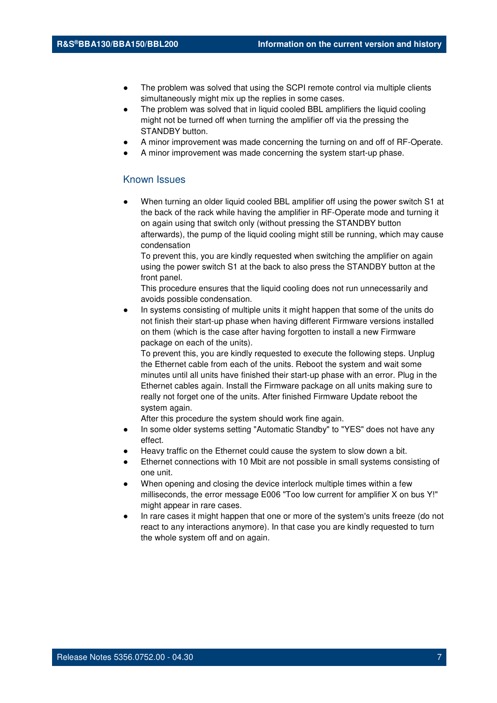- The problem was solved that using the SCPI remote control via multiple clients simultaneously might mix up the replies in some cases.
- The problem was solved that in liquid cooled BBL amplifiers the liquid cooling might not be turned off when turning the amplifier off via the pressing the STANDBY button.
- A minor improvement was made concerning the turning on and off of RF-Operate.
- A minor improvement was made concerning the system start-up phase.

#### Known Issues

When turning an older liquid cooled BBL amplifier off using the power switch S1 at the back of the rack while having the amplifier in RF-Operate mode and turning it on again using that switch only (without pressing the STANDBY button afterwards), the pump of the liquid cooling might still be running, which may cause condensation

To prevent this, you are kindly requested when switching the amplifier on again using the power switch S1 at the back to also press the STANDBY button at the front panel.

This procedure ensures that the liquid cooling does not run unnecessarily and avoids possible condensation.

In systems consisting of multiple units it might happen that some of the units do not finish their start-up phase when having different Firmware versions installed on them (which is the case after having forgotten to install a new Firmware package on each of the units).

To prevent this, you are kindly requested to execute the following steps. Unplug the Ethernet cable from each of the units. Reboot the system and wait some minutes until all units have finished their start-up phase with an error. Plug in the Ethernet cables again. Install the Firmware package on all units making sure to really not forget one of the units. After finished Firmware Update reboot the system again.

- In some older systems setting "Automatic Standby" to "YES" does not have any effect.
- Heavy traffic on the Ethernet could cause the system to slow down a bit.
- Ethernet connections with 10 Mbit are not possible in small systems consisting of one unit.
- When opening and closing the device interlock multiple times within a few milliseconds, the error message E006 "Too low current for amplifier X on bus Y!" might appear in rare cases.
- In rare cases it might happen that one or more of the system's units freeze (do not react to any interactions anymore). In that case you are kindly requested to turn the whole system off and on again.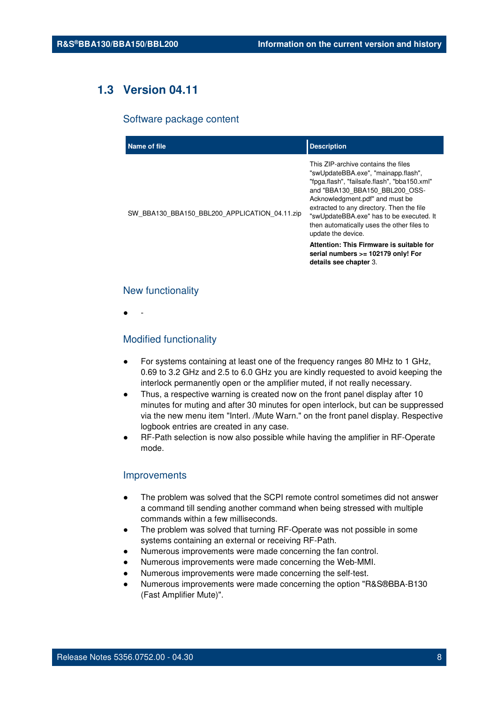## **1.3 Version 04.11**

#### Software package content

| Name of file                                  | <b>Description</b>                                                                                                                                                                                                                                                                                                                                           |
|-----------------------------------------------|--------------------------------------------------------------------------------------------------------------------------------------------------------------------------------------------------------------------------------------------------------------------------------------------------------------------------------------------------------------|
| SW BBA130 BBA150 BBL200 APPLICATION 04.11.zip | This ZIP-archive contains the files<br>"swUpdateBBA.exe", "mainapp.flash",<br>"fpga.flash", "failsafe.flash", "bba150.xml"<br>and "BBA130 BBA150 BBL200 OSS-<br>Acknowledgment.pdf" and must be<br>extracted to any directory. Then the file<br>"swUpdateBBA.exe" has to be executed. It<br>then automatically uses the other files to<br>update the device. |
|                                               | Attention: This Firmware is suitable for<br>serial numbers >= 102179 only! For<br>details see chapter 3.                                                                                                                                                                                                                                                     |

#### New functionality

● -

#### Modified functionality

- For systems containing at least one of the frequency ranges 80 MHz to 1 GHz, 0.69 to 3.2 GHz and 2.5 to 6.0 GHz you are kindly requested to avoid keeping the interlock permanently open or the amplifier muted, if not really necessary.
- Thus, a respective warning is created now on the front panel display after 10 minutes for muting and after 30 minutes for open interlock, but can be suppressed via the new menu item "Interl. /Mute Warn." on the front panel display. Respective logbook entries are created in any case.
- RF-Path selection is now also possible while having the amplifier in RF-Operate mode.

#### **Improvements**

- The problem was solved that the SCPI remote control sometimes did not answer a command till sending another command when being stressed with multiple commands within a few milliseconds.
- The problem was solved that turning RF-Operate was not possible in some systems containing an external or receiving RF-Path.
- Numerous improvements were made concerning the fan control.
- Numerous improvements were made concerning the Web-MMI.
- Numerous improvements were made concerning the self-test.
- Numerous improvements were made concerning the option "R&S®BBA-B130" (Fast Amplifier Mute)".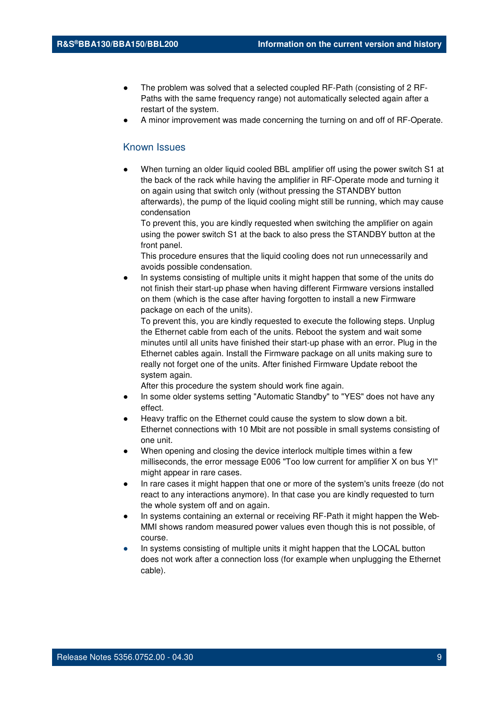- The problem was solved that a selected coupled RF-Path (consisting of 2 RF-Paths with the same frequency range) not automatically selected again after a restart of the system.
- A minor improvement was made concerning the turning on and off of RF-Operate.

#### Known Issues

When turning an older liquid cooled BBL amplifier off using the power switch S1 at the back of the rack while having the amplifier in RF-Operate mode and turning it on again using that switch only (without pressing the STANDBY button afterwards), the pump of the liquid cooling might still be running, which may cause condensation

To prevent this, you are kindly requested when switching the amplifier on again using the power switch S1 at the back to also press the STANDBY button at the front panel.

This procedure ensures that the liquid cooling does not run unnecessarily and avoids possible condensation.

In systems consisting of multiple units it might happen that some of the units do not finish their start-up phase when having different Firmware versions installed on them (which is the case after having forgotten to install a new Firmware package on each of the units).

To prevent this, you are kindly requested to execute the following steps. Unplug the Ethernet cable from each of the units. Reboot the system and wait some minutes until all units have finished their start-up phase with an error. Plug in the Ethernet cables again. Install the Firmware package on all units making sure to really not forget one of the units. After finished Firmware Update reboot the system again.

- In some older systems setting "Automatic Standby" to "YES" does not have any effect.
- Heavy traffic on the Ethernet could cause the system to slow down a bit. Ethernet connections with 10 Mbit are not possible in small systems consisting of one unit.
- When opening and closing the device interlock multiple times within a few milliseconds, the error message E006 "Too low current for amplifier X on bus Y!" might appear in rare cases.
- In rare cases it might happen that one or more of the system's units freeze (do not react to any interactions anymore). In that case you are kindly requested to turn the whole system off and on again.
- In systems containing an external or receiving RF-Path it might happen the Web-MMI shows random measured power values even though this is not possible, of course.
- In systems consisting of multiple units it might happen that the LOCAL button does not work after a connection loss (for example when unplugging the Ethernet cable).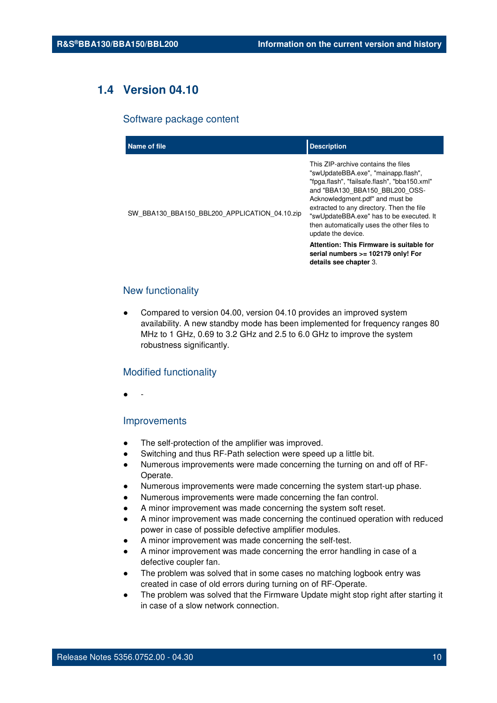## **1.4 Version 04.10**

#### Software package content

| Name of file                                  | <b>Description</b>                                                                                                                                                                                                                                                                                                                                           |
|-----------------------------------------------|--------------------------------------------------------------------------------------------------------------------------------------------------------------------------------------------------------------------------------------------------------------------------------------------------------------------------------------------------------------|
| SW_BBA130_BBA150_BBL200_APPLICATION_04.10.zip | This ZIP-archive contains the files<br>"swUpdateBBA.exe", "mainapp.flash",<br>"fpga.flash", "failsafe.flash", "bba150.xml"<br>and "BBA130 BBA150 BBL200 OSS-<br>Acknowledgment.pdf" and must be<br>extracted to any directory. Then the file<br>"swUpdateBBA.exe" has to be executed. It<br>then automatically uses the other files to<br>update the device. |
|                                               | Attention: This Firmware is suitable for<br>serial numbers >= 102179 only! For<br>details see chapter 3.                                                                                                                                                                                                                                                     |

#### New functionality

Compared to version 04.00, version 04.10 provides an improved system availability. A new standby mode has been implemented for frequency ranges 80 MHz to 1 GHz, 0.69 to 3.2 GHz and 2.5 to 6.0 GHz to improve the system robustness significantly.

#### Modified functionality

● -

#### Improvements

- The self-protection of the amplifier was improved.
- Switching and thus RF-Path selection were speed up a little bit.
- Numerous improvements were made concerning the turning on and off of RF-Operate.
- Numerous improvements were made concerning the system start-up phase.
- Numerous improvements were made concerning the fan control.
- A minor improvement was made concerning the system soft reset.
- A minor improvement was made concerning the continued operation with reduced power in case of possible defective amplifier modules.
- A minor improvement was made concerning the self-test.
- A minor improvement was made concerning the error handling in case of a defective coupler fan.
- The problem was solved that in some cases no matching logbook entry was created in case of old errors during turning on of RF-Operate.
- The problem was solved that the Firmware Update might stop right after starting it in case of a slow network connection.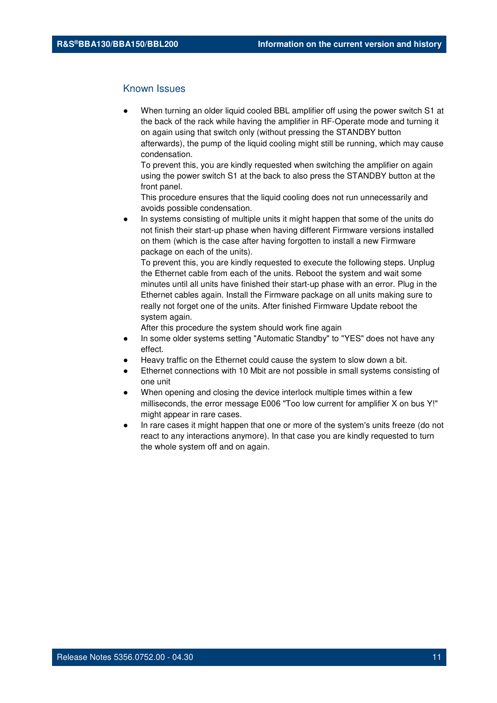#### Known Issues

When turning an older liquid cooled BBL amplifier off using the power switch S1 at the back of the rack while having the amplifier in RF-Operate mode and turning it on again using that switch only (without pressing the STANDBY button afterwards), the pump of the liquid cooling might still be running, which may cause condensation.

To prevent this, you are kindly requested when switching the amplifier on again using the power switch S1 at the back to also press the STANDBY button at the front panel.

This procedure ensures that the liquid cooling does not run unnecessarily and avoids possible condensation.

In systems consisting of multiple units it might happen that some of the units do not finish their start-up phase when having different Firmware versions installed on them (which is the case after having forgotten to install a new Firmware package on each of the units).

To prevent this, you are kindly requested to execute the following steps. Unplug the Ethernet cable from each of the units. Reboot the system and wait some minutes until all units have finished their start-up phase with an error. Plug in the Ethernet cables again. Install the Firmware package on all units making sure to really not forget one of the units. After finished Firmware Update reboot the system again.

- In some older systems setting "Automatic Standby" to "YES" does not have any effect.
- Heavy traffic on the Ethernet could cause the system to slow down a bit.
- Ethernet connections with 10 Mbit are not possible in small systems consisting of one unit
- When opening and closing the device interlock multiple times within a few milliseconds, the error message E006 "Too low current for amplifier X on bus Y!" might appear in rare cases.
- In rare cases it might happen that one or more of the system's units freeze (do not react to any interactions anymore). In that case you are kindly requested to turn the whole system off and on again.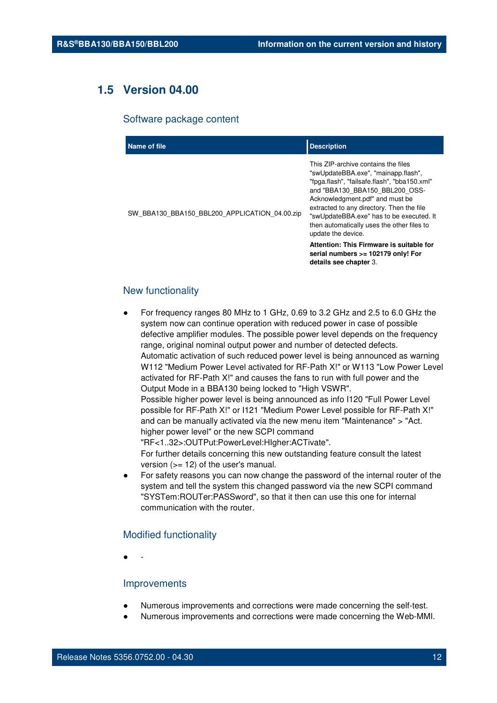## **1.5 Version 04.00**

#### Software package content

| Name of file                                  | <b>Description</b>                                                                                                                                                                                                                                                                                                                                                                                       |
|-----------------------------------------------|----------------------------------------------------------------------------------------------------------------------------------------------------------------------------------------------------------------------------------------------------------------------------------------------------------------------------------------------------------------------------------------------------------|
| SW BBA130 BBA150 BBL200 APPLICATION 04.00.zip | This ZIP-archive contains the files<br>"swUpdateBBA.exe", "mainapp.flash",<br>"fpga.flash", "failsafe.flash", "bba150.xml"<br>and "BBA130 BBA150 BBL200 OSS-<br>Acknowledgment.pdf" and must be<br>extracted to any directory. Then the file<br>"swUpdateBBA.exe" has to be executed. It<br>then automatically uses the other files to<br>update the device.<br>Attention: This Firmware is suitable for |
|                                               | serial numbers >= 102179 only! For<br>details see chapter 3.                                                                                                                                                                                                                                                                                                                                             |

#### New functionality

For frequency ranges 80 MHz to 1 GHz, 0.69 to 3.2 GHz and 2.5 to 6.0 GHz the system now can continue operation with reduced power in case of possible defective amplifier modules. The possible power level depends on the frequency range, original nominal output power and number of detected defects. Automatic activation of such reduced power level is being announced as warning W112 "Medium Power Level activated for RF-Path X!" or W113 "Low Power Level activated for RF-Path X!" and causes the fans to run with full power and the Output Mode in a BBA130 being locked to "High VSWR". Possible higher power level is being announced as info I120 "Full Power Level possible for RF-Path X!" or I121 "Medium Power Level possible for RF-Path X!"

and can be manually activated via the new menu item "Maintenance" > "Act. higher power level" or the new SCPI command

"RF<1..32>:OUTPut:PowerLevel:HIgher:ACTivate".

For further details concerning this new outstanding feature consult the latest version  $(>= 12)$  of the user's manual.

For safety reasons you can now change the password of the internal router of the system and tell the system this changed password via the new SCPI command "SYSTem:ROUTer:PASSword", so that it then can use this one for internal communication with the router.

#### Modified functionality

● -

#### **Improvements**

- Numerous improvements and corrections were made concerning the self-test.
- Numerous improvements and corrections were made concerning the Web-MMI.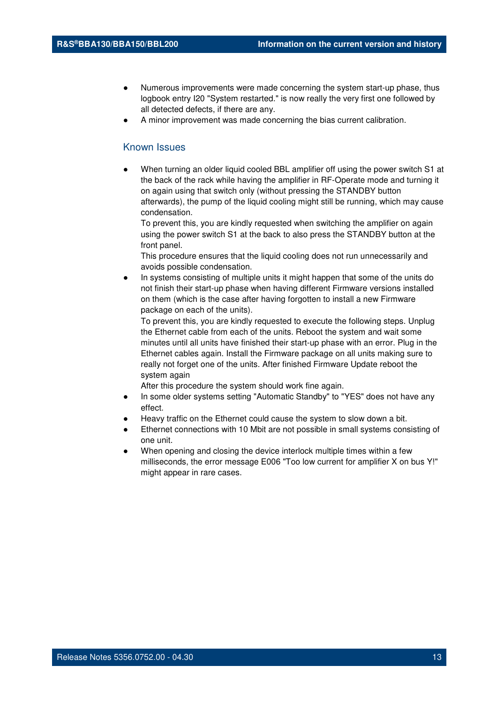- Numerous improvements were made concerning the system start-up phase, thus logbook entry I20 "System restarted." is now really the very first one followed by all detected defects, if there are any.
- A minor improvement was made concerning the bias current calibration.

#### Known Issues

When turning an older liquid cooled BBL amplifier off using the power switch S1 at the back of the rack while having the amplifier in RF-Operate mode and turning it on again using that switch only (without pressing the STANDBY button afterwards), the pump of the liquid cooling might still be running, which may cause condensation.

To prevent this, you are kindly requested when switching the amplifier on again using the power switch S1 at the back to also press the STANDBY button at the front panel.

This procedure ensures that the liquid cooling does not run unnecessarily and avoids possible condensation.

In systems consisting of multiple units it might happen that some of the units do not finish their start-up phase when having different Firmware versions installed on them (which is the case after having forgotten to install a new Firmware package on each of the units).

To prevent this, you are kindly requested to execute the following steps. Unplug the Ethernet cable from each of the units. Reboot the system and wait some minutes until all units have finished their start-up phase with an error. Plug in the Ethernet cables again. Install the Firmware package on all units making sure to really not forget one of the units. After finished Firmware Update reboot the system again

- In some older systems setting "Automatic Standby" to "YES" does not have any effect.
- Heavy traffic on the Ethernet could cause the system to slow down a bit.
- Ethernet connections with 10 Mbit are not possible in small systems consisting of one unit.
- When opening and closing the device interlock multiple times within a few milliseconds, the error message E006 "Too low current for amplifier X on bus Y!" might appear in rare cases.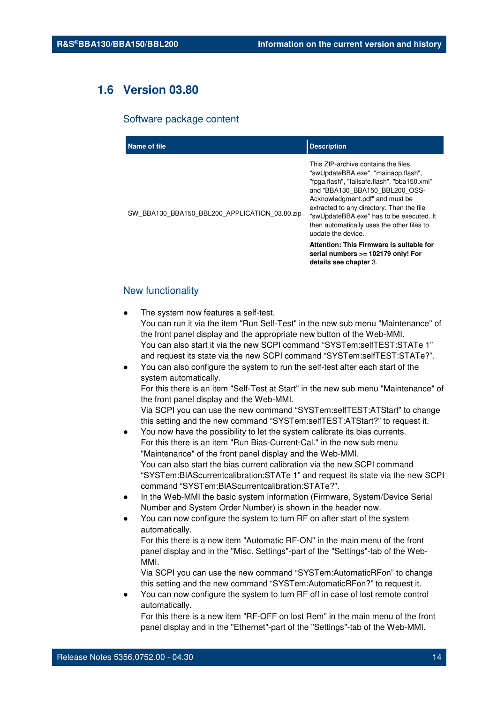## **1.6 Version 03.80**

#### Software package content

| Name of file                                  | <b>Description</b>                                                                                                                                                                                                                                                                                                                                                                                       |
|-----------------------------------------------|----------------------------------------------------------------------------------------------------------------------------------------------------------------------------------------------------------------------------------------------------------------------------------------------------------------------------------------------------------------------------------------------------------|
| SW BBA130 BBA150 BBL200 APPLICATION 03.80.zip | This ZIP-archive contains the files<br>"swUpdateBBA.exe", "mainapp.flash",<br>"fpga.flash", "failsafe.flash", "bba150.xml"<br>and "BBA130 BBA150 BBL200 OSS-<br>Acknowledgment.pdf" and must be<br>extracted to any directory. Then the file<br>"swUpdateBBA.exe" has to be executed. It<br>then automatically uses the other files to<br>update the device.<br>Attention: This Firmware is suitable for |
|                                               | serial numbers >= 102179 only! For<br>details see chapter 3.                                                                                                                                                                                                                                                                                                                                             |

#### New functionality

- The system now features a self-test. You can run it via the item "Run Self-Test" in the new sub menu "Maintenance" of the front panel display and the appropriate new button of the Web-MMI. You can also start it via the new SCPI command "SYSTem:selfTEST:STATe 1" and request its state via the new SCPI command "SYSTem:selfTEST:STATe?".
- You can also configure the system to run the self-test after each start of the system automatically. For this there is an item "Self-Test at Start" in the new sub menu "Maintenance" of the front panel display and the Web-MMI. Via SCPI you can use the new command "SYSTem:selfTEST:ATStart" to change this setting and the new command "SYSTem:selfTEST:ATStart?" to request it.
- You now have the possibility to let the system calibrate its bias currents. For this there is an item "Run Bias-Current-Cal." in the new sub menu "Maintenance" of the front panel display and the Web-MMI. You can also start the bias current calibration via the new SCPI command "SYSTem:BIAScurrentcalibration:STATe 1" and request its state via the new SCPI command "SYSTem:BIAScurrentcalibration:STATe?".
- In the Web-MMI the basic system information (Firmware, System/Device Serial Number and System Order Number) is shown in the header now.
- You can now configure the system to turn RF on after start of the system automatically.
	- For this there is a new item "Automatic RF-ON" in the main menu of the front panel display and in the "Misc. Settings"-part of the "Settings"-tab of the Web-MMI.
	- Via SCPI you can use the new command "SYSTem:AutomaticRFon" to change this setting and the new command "SYSTem:AutomaticRFon?" to request it.
- You can now configure the system to turn RF off in case of lost remote control automatically.

For this there is a new item "RF-OFF on lost Rem" in the main menu of the front panel display and in the "Ethernet"-part of the "Settings"-tab of the Web-MMI.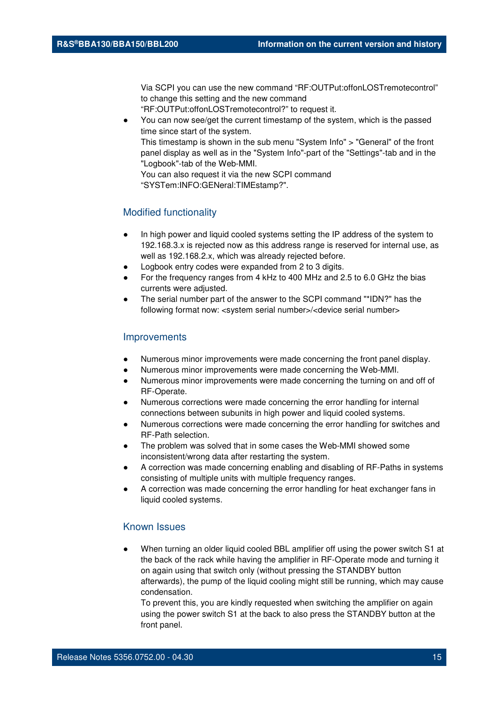Via SCPI you can use the new command "RF:OUTPut:offonLOSTremotecontrol" to change this setting and the new command

"RF:OUTPut:offonLOSTremotecontrol?" to request it.

You can now see/get the current timestamp of the system, which is the passed time since start of the system. This timestamp is shown in the sub menu "System Info" > "General" of the front

panel display as well as in the "System Info"-part of the "Settings"-tab and in the "Logbook"-tab of the Web-MMI.

You can also request it via the new SCPI command "SYSTem:INFO:GENeral:TIMEstamp?".

#### Modified functionality

- In high power and liquid cooled systems setting the IP address of the system to 192.168.3.x is rejected now as this address range is reserved for internal use, as well as 192.168.2.x, which was already rejected before.
- Logbook entry codes were expanded from 2 to 3 digits.
- For the frequency ranges from 4 kHz to 400 MHz and 2.5 to 6.0 GHz the bias currents were adjusted.
- The serial number part of the answer to the SCPI command "\*IDN?" has the following format now: <system serial number>/<device serial number>

#### **Improvements**

- Numerous minor improvements were made concerning the front panel display.
- Numerous minor improvements were made concerning the Web-MMI.
- Numerous minor improvements were made concerning the turning on and off of RF-Operate.
- Numerous corrections were made concerning the error handling for internal connections between subunits in high power and liquid cooled systems.
- Numerous corrections were made concerning the error handling for switches and RF-Path selection.
- The problem was solved that in some cases the Web-MMI showed some inconsistent/wrong data after restarting the system.
- A correction was made concerning enabling and disabling of RF-Paths in systems consisting of multiple units with multiple frequency ranges.
- A correction was made concerning the error handling for heat exchanger fans in liquid cooled systems.

#### Known Issues

When turning an older liquid cooled BBL amplifier off using the power switch S1 at the back of the rack while having the amplifier in RF-Operate mode and turning it on again using that switch only (without pressing the STANDBY button afterwards), the pump of the liquid cooling might still be running, which may cause condensation.

To prevent this, you are kindly requested when switching the amplifier on again using the power switch S1 at the back to also press the STANDBY button at the front panel.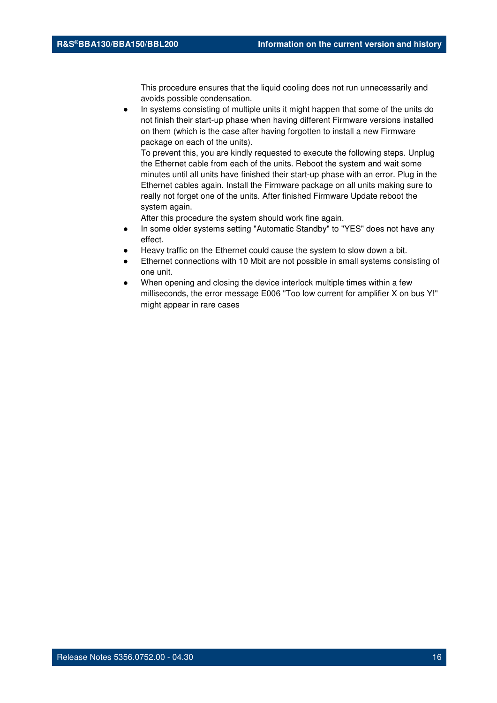This procedure ensures that the liquid cooling does not run unnecessarily and avoids possible condensation.

In systems consisting of multiple units it might happen that some of the units do not finish their start-up phase when having different Firmware versions installed on them (which is the case after having forgotten to install a new Firmware package on each of the units).

To prevent this, you are kindly requested to execute the following steps. Unplug the Ethernet cable from each of the units. Reboot the system and wait some minutes until all units have finished their start-up phase with an error. Plug in the Ethernet cables again. Install the Firmware package on all units making sure to really not forget one of the units. After finished Firmware Update reboot the system again.

- In some older systems setting "Automatic Standby" to "YES" does not have any effect.
- Heavy traffic on the Ethernet could cause the system to slow down a bit.
- Ethernet connections with 10 Mbit are not possible in small systems consisting of one unit.
- When opening and closing the device interlock multiple times within a few milliseconds, the error message E006 "Too low current for amplifier X on bus Y!" might appear in rare cases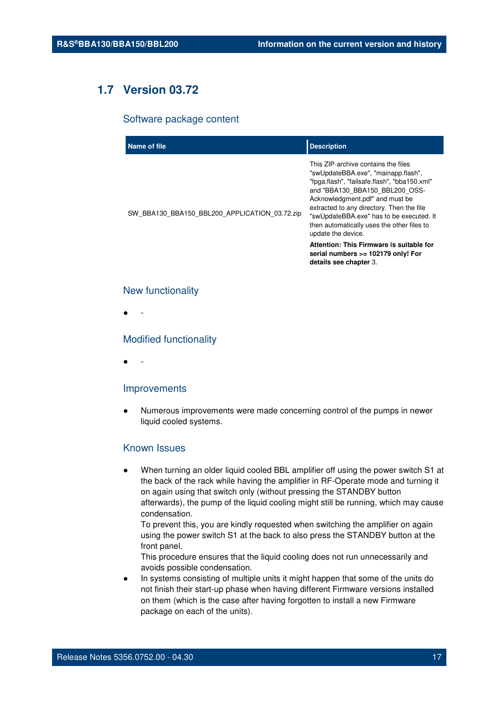## **1.7 Version 03.72**

#### Software package content

| Name of file                                  | <b>Description</b>                                                                                                                                                                                                                                                                                                                                                                                                                             |
|-----------------------------------------------|------------------------------------------------------------------------------------------------------------------------------------------------------------------------------------------------------------------------------------------------------------------------------------------------------------------------------------------------------------------------------------------------------------------------------------------------|
| SW_BBA130_BBA150_BBL200_APPLICATION_03.72.zip | This ZIP-archive contains the files<br>"swUpdateBBA.exe", "mainapp.flash",<br>"fpga.flash", "failsafe.flash", "bba150.xml"<br>and "BBA130 BBA150 BBL200 OSS-<br>Acknowledgment.pdf" and must be<br>extracted to any directory. Then the file<br>"swUpdateBBA.exe" has to be executed. It<br>then automatically uses the other files to<br>update the device.<br>Attention: This Firmware is suitable for<br>serial numbers >= 102179 only! For |
|                                               | details see chapter 3.                                                                                                                                                                                                                                                                                                                                                                                                                         |

#### New functionality

● -

#### Modified functionality

● -

#### Improvements

Numerous improvements were made concerning control of the pumps in newer liquid cooled systems.

#### Known Issues

When turning an older liquid cooled BBL amplifier off using the power switch S1 at the back of the rack while having the amplifier in RF-Operate mode and turning it on again using that switch only (without pressing the STANDBY button afterwards), the pump of the liquid cooling might still be running, which may cause condensation.

To prevent this, you are kindly requested when switching the amplifier on again using the power switch S1 at the back to also press the STANDBY button at the front panel.

This procedure ensures that the liquid cooling does not run unnecessarily and avoids possible condensation.

In systems consisting of multiple units it might happen that some of the units do not finish their start-up phase when having different Firmware versions installed on them (which is the case after having forgotten to install a new Firmware package on each of the units).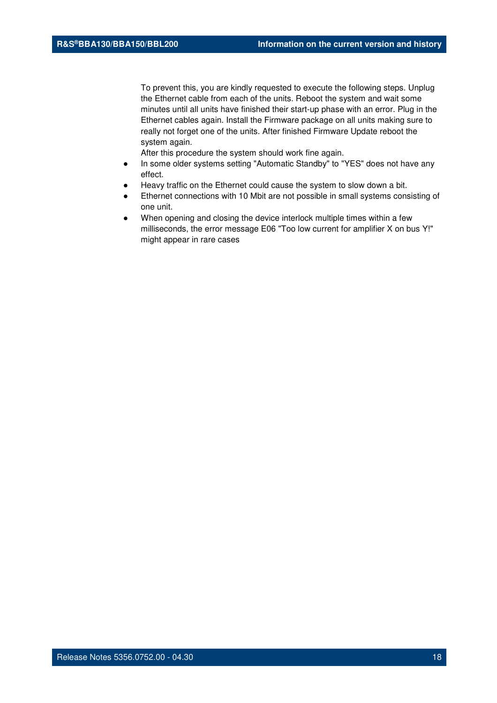To prevent this, you are kindly requested to execute the following steps. Unplug the Ethernet cable from each of the units. Reboot the system and wait some minutes until all units have finished their start-up phase with an error. Plug in the Ethernet cables again. Install the Firmware package on all units making sure to really not forget one of the units. After finished Firmware Update reboot the system again.

- In some older systems setting "Automatic Standby" to "YES" does not have any effect.
- Heavy traffic on the Ethernet could cause the system to slow down a bit.
- Ethernet connections with 10 Mbit are not possible in small systems consisting of one unit.
- When opening and closing the device interlock multiple times within a few milliseconds, the error message E06 "Too low current for amplifier X on bus Y!" might appear in rare cases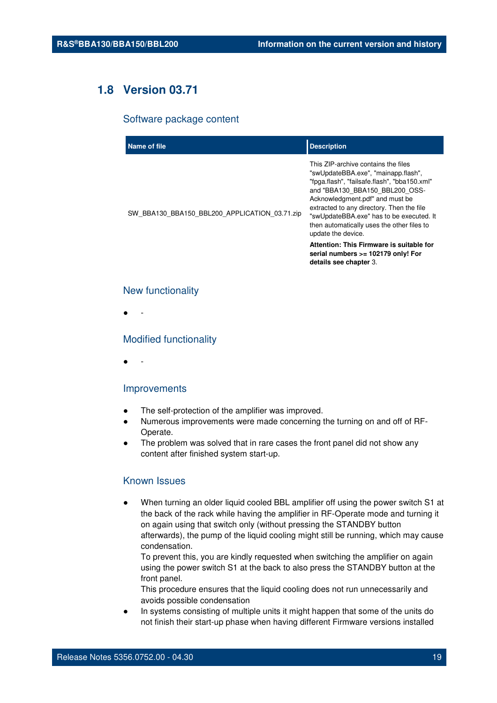## **1.8 Version 03.71**

#### Software package content

| Name of file                                  | <b>Description</b>                                                                                                                                                                                                                                                                                                                                           |
|-----------------------------------------------|--------------------------------------------------------------------------------------------------------------------------------------------------------------------------------------------------------------------------------------------------------------------------------------------------------------------------------------------------------------|
| SW_BBA130_BBA150_BBL200_APPLICATION_03.71.zip | This ZIP-archive contains the files<br>"swUpdateBBA.exe", "mainapp.flash",<br>"fpga.flash", "failsafe.flash", "bba150.xml"<br>and "BBA130 BBA150 BBL200 OSS-<br>Acknowledgment.pdf" and must be<br>extracted to any directory. Then the file<br>"swUpdateBBA.exe" has to be executed. It<br>then automatically uses the other files to<br>update the device. |
|                                               | Attention: This Firmware is suitable for<br>serial numbers >= 102179 only! For<br>details see chapter 3.                                                                                                                                                                                                                                                     |

#### New functionality

● -

#### Modified functionality

● -

#### Improvements

- The self-protection of the amplifier was improved.
- Numerous improvements were made concerning the turning on and off of RF-Operate.
- The problem was solved that in rare cases the front panel did not show any content after finished system start-up.

#### Known Issues

When turning an older liquid cooled BBL amplifier off using the power switch S1 at the back of the rack while having the amplifier in RF-Operate mode and turning it on again using that switch only (without pressing the STANDBY button afterwards), the pump of the liquid cooling might still be running, which may cause condensation.

To prevent this, you are kindly requested when switching the amplifier on again using the power switch S1 at the back to also press the STANDBY button at the front panel.

This procedure ensures that the liquid cooling does not run unnecessarily and avoids possible condensation

In systems consisting of multiple units it might happen that some of the units do not finish their start-up phase when having different Firmware versions installed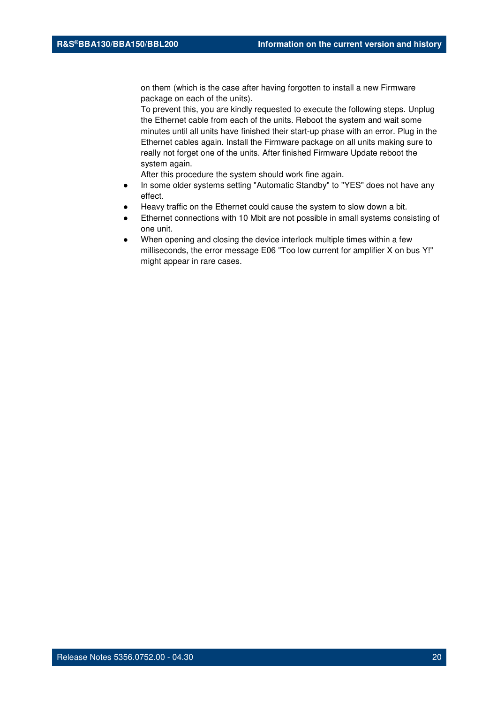on them (which is the case after having forgotten to install a new Firmware package on each of the units).

To prevent this, you are kindly requested to execute the following steps. Unplug the Ethernet cable from each of the units. Reboot the system and wait some minutes until all units have finished their start-up phase with an error. Plug in the Ethernet cables again. Install the Firmware package on all units making sure to really not forget one of the units. After finished Firmware Update reboot the system again.

- In some older systems setting "Automatic Standby" to "YES" does not have any effect.
- Heavy traffic on the Ethernet could cause the system to slow down a bit.
- Ethernet connections with 10 Mbit are not possible in small systems consisting of one unit.
- When opening and closing the device interlock multiple times within a few milliseconds, the error message E06 "Too low current for amplifier X on bus Y!" might appear in rare cases.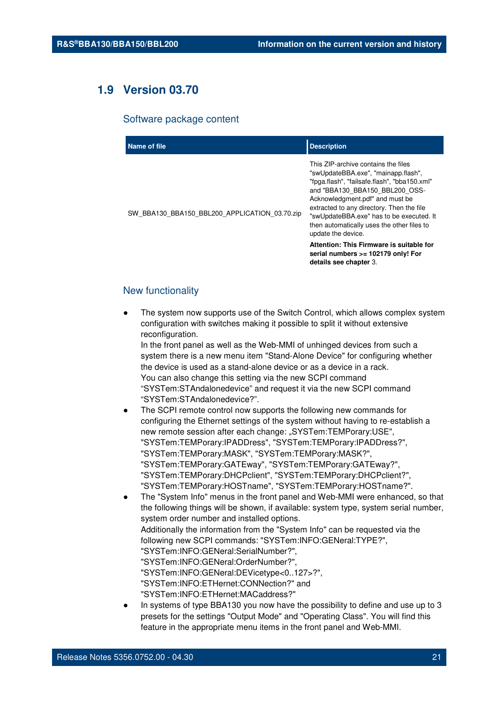## **1.9 Version 03.70**

#### Software package content

| Name of file                                  | <b>Description</b>                                                                                                                                                                                                                                                                                                                                           |
|-----------------------------------------------|--------------------------------------------------------------------------------------------------------------------------------------------------------------------------------------------------------------------------------------------------------------------------------------------------------------------------------------------------------------|
| SW_BBA130_BBA150_BBL200_APPLICATION 03.70.zip | This ZIP-archive contains the files<br>"swUpdateBBA.exe", "mainapp.flash",<br>"fpga.flash", "failsafe.flash", "bba150.xml"<br>and "BBA130 BBA150 BBL200 OSS-<br>Acknowledgment.pdf" and must be<br>extracted to any directory. Then the file<br>"swUpdateBBA.exe" has to be executed. It<br>then automatically uses the other files to<br>update the device. |
|                                               | Attention: This Firmware is suitable for<br>serial numbers >= 102179 only! For<br>details see chapter 3.                                                                                                                                                                                                                                                     |

#### New functionality

The system now supports use of the Switch Control, which allows complex system configuration with switches making it possible to split it without extensive reconfiguration.

In the front panel as well as the Web-MMI of unhinged devices from such a system there is a new menu item "Stand-Alone Device" for configuring whether the device is used as a stand-alone device or as a device in a rack. You can also change this setting via the new SCPI command "SYSTem:STAndalonedevice" and request it via the new SCPI command "SYSTem:STAndalonedevice?".

- The SCPI remote control now supports the following new commands for configuring the Ethernet settings of the system without having to re-establish a new remote session after each change: "SYSTem:TEMPorary:USE", "SYSTem:TEMPorary:IPADDress", "SYSTem:TEMPorary:IPADDress?", "SYSTem:TEMPorary:MASK", "SYSTem:TEMPorary:MASK?", "SYSTem:TEMPorary:GATEway", "SYSTem:TEMPorary:GATEway?", "SYSTem:TEMPorary:DHCPclient", "SYSTem:TEMPorary:DHCPclient?", "SYSTem:TEMPorary:HOSTname", "SYSTem:TEMPorary:HOSTname?".
- The "System Info" menus in the front panel and Web-MMI were enhanced, so that the following things will be shown, if available: system type, system serial number, system order number and installed options. Additionally the information from the "System Info" can be requested via the following new SCPI commands: "SYSTem:INFO:GENeral:TYPE?", "SYSTem:INFO:GENeral:SerialNumber?", "SYSTem:INFO:GENeral:OrderNumber?" "SYSTem:INFO:GENeral:DEVicetype<0..127>?", "SYSTem:INFO:ETHernet:CONNection?" and "SYSTem:INFO:ETHernet:MACaddress?"
- In systems of type BBA130 you now have the possibility to define and use up to 3 presets for the settings "Output Mode" and "Operating Class". You will find this feature in the appropriate menu items in the front panel and Web-MMI.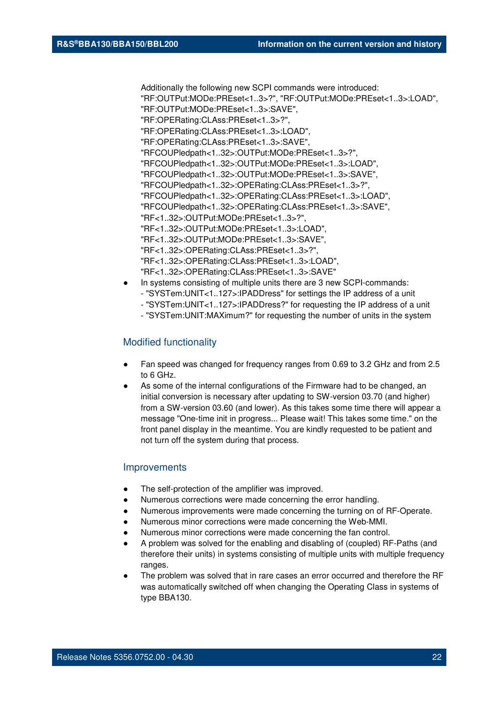Additionally the following new SCPI commands were introduced: "RF:OUTPut:MODe:PREset<1..3>?", "RF:OUTPut:MODe:PREset<1..3>:LOAD", "RF:OUTPut:MODe:PREset<1..3>:SAVE", "RF:OPERating:CLAss:PREset<1..3>?", "RF:OPERating:CLAss:PREset<1..3>:LOAD", "RF:OPERating:CLAss:PREset<1..3>:SAVE", "RFCOUPledpath<1..32>:OUTPut:MODe:PREset<1..3>?", "RFCOUPledpath<1..32>:OUTPut:MODe:PREset<1..3>:LOAD", "RFCOUPledpath<1..32>:OUTPut:MODe:PREset<1..3>:SAVE", "RFCOUPledpath<1..32>:OPERating:CLAss:PREset<1..3>?", "RFCOUPledpath<1..32>:OPERating:CLAss:PREset<1..3>:LOAD", "RFCOUPledpath<1..32>:OPERating:CLAss:PREset<1..3>:SAVE", "RF<1..32>:OUTPut:MODe:PREset<1..3>?", "RF<1..32>:OUTPut:MODe:PREset<1..3>:LOAD", "RF<1..32>:OUTPut:MODe:PREset<1..3>:SAVE", "RF<1..32>:OPERating:CLAss:PREset<1..3>?", "RF<1..32>:OPERating:CLAss:PREset<1..3>:LOAD", "RF<1..32>:OPERating:CLAss:PREset<1..3>:SAVE"

- In systems consisting of multiple units there are 3 new SCPI-commands: - "SYSTem:UNIT<1..127>:IPADDress" for settings the IP address of a unit
	- "SYSTem:UNIT<1..127>:IPADDress?" for requesting the IP address of a unit
	- "SYSTem:UNIT:MAXimum?" for requesting the number of units in the system

#### Modified functionality

- Fan speed was changed for frequency ranges from 0.69 to 3.2 GHz and from 2.5 to 6 GHz.
- As some of the internal configurations of the Firmware had to be changed, an initial conversion is necessary after updating to SW-version 03.70 (and higher) from a SW-version 03.60 (and lower). As this takes some time there will appear a message "One-time init in progress... Please wait! This takes some time." on the front panel display in the meantime. You are kindly requested to be patient and not turn off the system during that process.

#### **Improvements**

- The self-protection of the amplifier was improved.
- Numerous corrections were made concerning the error handling.
- Numerous improvements were made concerning the turning on of RF-Operate.
- Numerous minor corrections were made concerning the Web-MMI.
- Numerous minor corrections were made concerning the fan control.
- A problem was solved for the enabling and disabling of (coupled) RF-Paths (and therefore their units) in systems consisting of multiple units with multiple frequency ranges.
- The problem was solved that in rare cases an error occurred and therefore the RF was automatically switched off when changing the Operating Class in systems of type BBA130.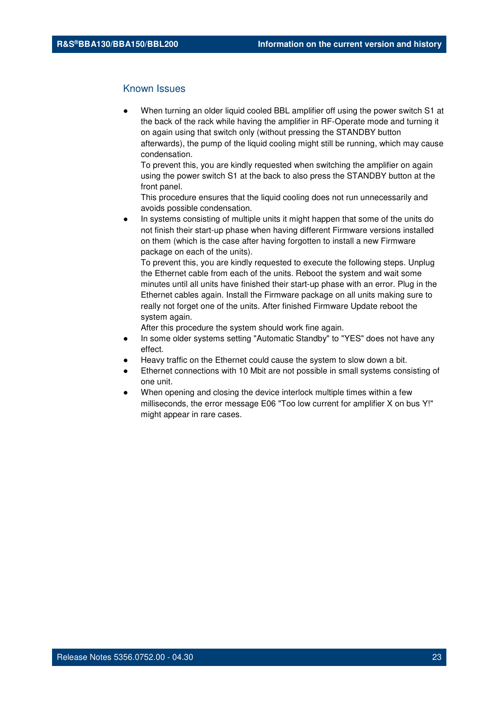#### Known Issues

When turning an older liquid cooled BBL amplifier off using the power switch S1 at the back of the rack while having the amplifier in RF-Operate mode and turning it on again using that switch only (without pressing the STANDBY button afterwards), the pump of the liquid cooling might still be running, which may cause condensation.

To prevent this, you are kindly requested when switching the amplifier on again using the power switch S1 at the back to also press the STANDBY button at the front panel.

This procedure ensures that the liquid cooling does not run unnecessarily and avoids possible condensation.

In systems consisting of multiple units it might happen that some of the units do not finish their start-up phase when having different Firmware versions installed on them (which is the case after having forgotten to install a new Firmware package on each of the units).

To prevent this, you are kindly requested to execute the following steps. Unplug the Ethernet cable from each of the units. Reboot the system and wait some minutes until all units have finished their start-up phase with an error. Plug in the Ethernet cables again. Install the Firmware package on all units making sure to really not forget one of the units. After finished Firmware Update reboot the system again.

- In some older systems setting "Automatic Standby" to "YES" does not have any effect.
- Heavy traffic on the Ethernet could cause the system to slow down a bit.
- Ethernet connections with 10 Mbit are not possible in small systems consisting of one unit.
- When opening and closing the device interlock multiple times within a few milliseconds, the error message E06 "Too low current for amplifier X on bus Y!" might appear in rare cases.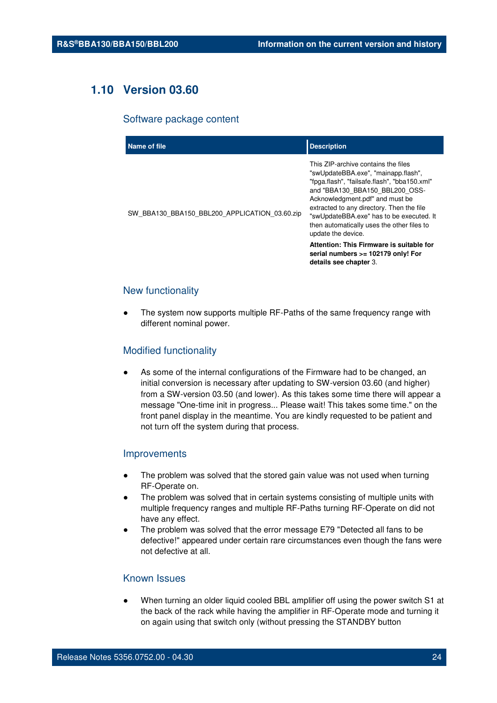## **1.10 Version 03.60**

#### Software package content

| Name of file                                  | <b>Description</b>                                                                                                                                                                                                                                                                                                                                                                                                                                                       |
|-----------------------------------------------|--------------------------------------------------------------------------------------------------------------------------------------------------------------------------------------------------------------------------------------------------------------------------------------------------------------------------------------------------------------------------------------------------------------------------------------------------------------------------|
| SW BBA130 BBA150 BBL200 APPLICATION 03.60.zip | This ZIP-archive contains the files<br>"swUpdateBBA.exe", "mainapp.flash",<br>"fpga.flash", "failsafe.flash", "bba150.xml"<br>and "BBA130 BBA150 BBL200 OSS-<br>Acknowledgment.pdf" and must be<br>extracted to any directory. Then the file<br>"swUpdateBBA.exe" has to be executed. It<br>then automatically uses the other files to<br>update the device.<br>Attention: This Firmware is suitable for<br>serial numbers >= 102179 only! For<br>details see chapter 3. |
|                                               |                                                                                                                                                                                                                                                                                                                                                                                                                                                                          |

#### New functionality

The system now supports multiple RF-Paths of the same frequency range with different nominal power.

#### Modified functionality

As some of the internal configurations of the Firmware had to be changed, an initial conversion is necessary after updating to SW-version 03.60 (and higher) from a SW-version 03.50 (and lower). As this takes some time there will appear a message "One-time init in progress... Please wait! This takes some time." on the front panel display in the meantime. You are kindly requested to be patient and not turn off the system during that process.

#### Improvements

- The problem was solved that the stored gain value was not used when turning RF-Operate on.
- The problem was solved that in certain systems consisting of multiple units with multiple frequency ranges and multiple RF-Paths turning RF-Operate on did not have any effect.
- The problem was solved that the error message E79 "Detected all fans to be defective!" appeared under certain rare circumstances even though the fans were not defective at all.

#### Known Issues

When turning an older liquid cooled BBL amplifier off using the power switch S1 at the back of the rack while having the amplifier in RF-Operate mode and turning it on again using that switch only (without pressing the STANDBY button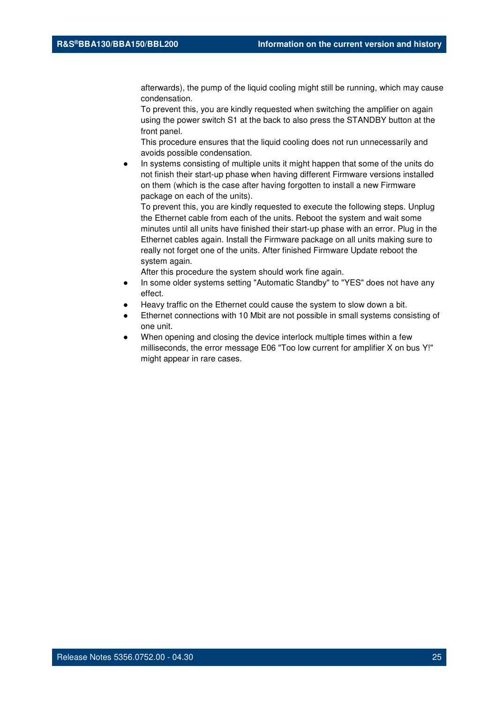afterwards), the pump of the liquid cooling might still be running, which may cause condensation.

To prevent this, you are kindly requested when switching the amplifier on again using the power switch S1 at the back to also press the STANDBY button at the front panel.

This procedure ensures that the liquid cooling does not run unnecessarily and avoids possible condensation.

In systems consisting of multiple units it might happen that some of the units do not finish their start-up phase when having different Firmware versions installed on them (which is the case after having forgotten to install a new Firmware package on each of the units).

To prevent this, you are kindly requested to execute the following steps. Unplug the Ethernet cable from each of the units. Reboot the system and wait some minutes until all units have finished their start-up phase with an error. Plug in the Ethernet cables again. Install the Firmware package on all units making sure to really not forget one of the units. After finished Firmware Update reboot the system again.

- In some older systems setting "Automatic Standby" to "YES" does not have any effect.
- Heavy traffic on the Ethernet could cause the system to slow down a bit.
- Ethernet connections with 10 Mbit are not possible in small systems consisting of one unit.
- When opening and closing the device interlock multiple times within a few milliseconds, the error message E06 "Too low current for amplifier X on bus Y!" might appear in rare cases.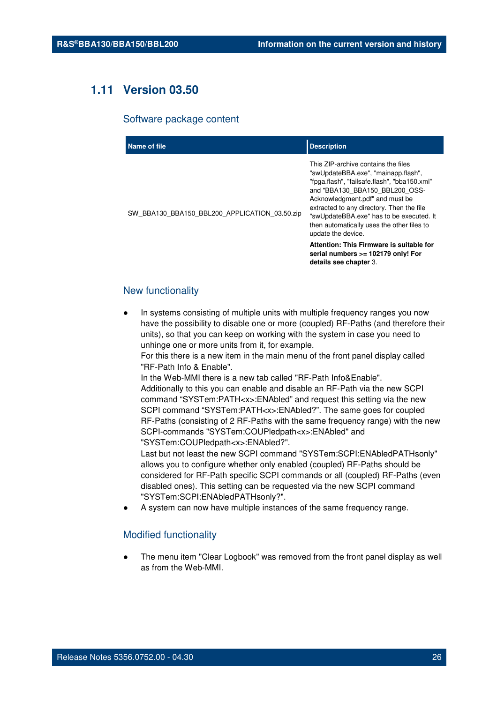## **1.11 Version 03.50**

#### Software package content

| Name of file                                  | <b>Description</b>                                                                                                                                                                                                                                                                                                                                                                                       |
|-----------------------------------------------|----------------------------------------------------------------------------------------------------------------------------------------------------------------------------------------------------------------------------------------------------------------------------------------------------------------------------------------------------------------------------------------------------------|
| SW BBA130 BBA150 BBL200 APPLICATION 03.50.zip | This ZIP-archive contains the files<br>"swUpdateBBA.exe", "mainapp.flash",<br>"fpga.flash", "failsafe.flash", "bba150.xml"<br>and "BBA130 BBA150 BBL200 OSS-<br>Acknowledgment.pdf" and must be<br>extracted to any directory. Then the file<br>"swUpdateBBA.exe" has to be executed. It<br>then automatically uses the other files to<br>update the device.<br>Attention: This Firmware is suitable for |
|                                               | serial numbers >= 102179 only! For<br>details see chapter 3.                                                                                                                                                                                                                                                                                                                                             |

#### New functionality

In systems consisting of multiple units with multiple frequency ranges you now have the possibility to disable one or more (coupled) RF-Paths (and therefore their units), so that you can keep on working with the system in case you need to unhinge one or more units from it, for example.

For this there is a new item in the main menu of the front panel display called "RF-Path Info & Enable".

In the Web-MMI there is a new tab called "RF-Path Info&Enable". Additionally to this you can enable and disable an RF-Path via the new SCPI command "SYSTem:PATH<x>:ENAbled" and request this setting via the new SCPI command "SYSTem:PATH<x>:ENAbled?". The same goes for coupled RF-Paths (consisting of 2 RF-Paths with the same frequency range) with the new SCPI-commands "SYSTem:COUPledpath<x>:ENAbled" and "SYSTem:COUPledpath<x>:ENAbled?".

Last but not least the new SCPI command "SYSTem:SCPI:ENAbledPATHsonly" allows you to configure whether only enabled (coupled) RF-Paths should be considered for RF-Path specific SCPI commands or all (coupled) RF-Paths (even disabled ones). This setting can be requested via the new SCPI command "SYSTem:SCPI:ENAbledPATHsonly?".

A system can now have multiple instances of the same frequency range.

#### Modified functionality

The menu item "Clear Logbook" was removed from the front panel display as well as from the Web-MMI.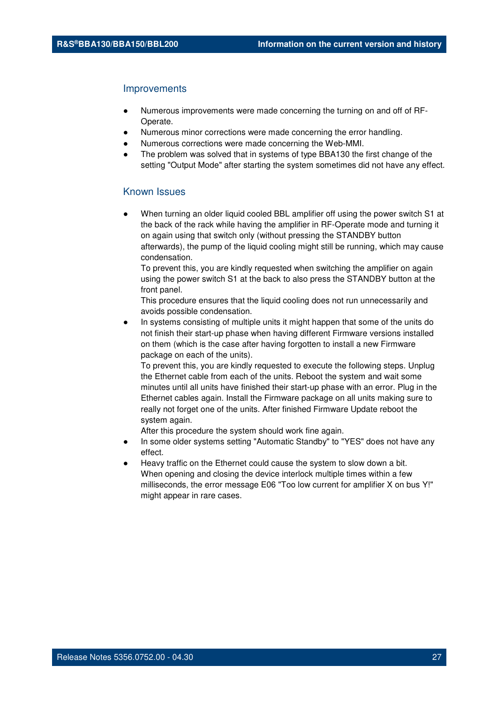#### **Improvements**

- Numerous improvements were made concerning the turning on and off of RF-Operate.
- Numerous minor corrections were made concerning the error handling.
- Numerous corrections were made concerning the Web-MMI.
- The problem was solved that in systems of type BBA130 the first change of the setting "Output Mode" after starting the system sometimes did not have any effect.

#### Known Issues

When turning an older liquid cooled BBL amplifier off using the power switch S1 at the back of the rack while having the amplifier in RF-Operate mode and turning it on again using that switch only (without pressing the STANDBY button afterwards), the pump of the liquid cooling might still be running, which may cause condensation.

To prevent this, you are kindly requested when switching the amplifier on again using the power switch S1 at the back to also press the STANDBY button at the front panel.

This procedure ensures that the liquid cooling does not run unnecessarily and avoids possible condensation.

In systems consisting of multiple units it might happen that some of the units do not finish their start-up phase when having different Firmware versions installed on them (which is the case after having forgotten to install a new Firmware package on each of the units).

To prevent this, you are kindly requested to execute the following steps. Unplug the Ethernet cable from each of the units. Reboot the system and wait some minutes until all units have finished their start-up phase with an error. Plug in the Ethernet cables again. Install the Firmware package on all units making sure to really not forget one of the units. After finished Firmware Update reboot the system again.

- In some older systems setting "Automatic Standby" to "YES" does not have any effect.
- Heavy traffic on the Ethernet could cause the system to slow down a bit. When opening and closing the device interlock multiple times within a few milliseconds, the error message E06 "Too low current for amplifier X on bus Y!" might appear in rare cases.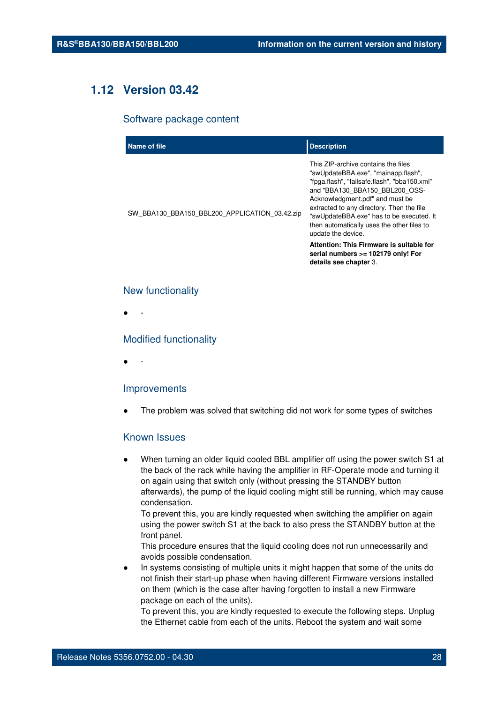## **1.12 Version 03.42**

#### Software package content

| Name of file                                  | <b>Description</b>                                                                                                                                                                                                                                                                                                                                           |
|-----------------------------------------------|--------------------------------------------------------------------------------------------------------------------------------------------------------------------------------------------------------------------------------------------------------------------------------------------------------------------------------------------------------------|
| SW_BBA130_BBA150_BBL200_APPLICATION_03.42.zip | This ZIP-archive contains the files<br>"swUpdateBBA.exe", "mainapp.flash",<br>"fpga.flash", "failsafe.flash", "bba150.xml"<br>and "BBA130 BBA150 BBL200 OSS-<br>Acknowledgment.pdf" and must be<br>extracted to any directory. Then the file<br>"swUpdateBBA.exe" has to be executed. It<br>then automatically uses the other files to<br>update the device. |
|                                               | Attention: This Firmware is suitable for<br>serial numbers >= 102179 only! For<br>details see chapter 3.                                                                                                                                                                                                                                                     |

#### New functionality

● -

#### Modified functionality

● -

#### Improvements

The problem was solved that switching did not work for some types of switches

#### Known Issues

When turning an older liquid cooled BBL amplifier off using the power switch S1 at the back of the rack while having the amplifier in RF-Operate mode and turning it on again using that switch only (without pressing the STANDBY button afterwards), the pump of the liquid cooling might still be running, which may cause condensation.

To prevent this, you are kindly requested when switching the amplifier on again using the power switch S1 at the back to also press the STANDBY button at the front panel.

This procedure ensures that the liquid cooling does not run unnecessarily and avoids possible condensation.

In systems consisting of multiple units it might happen that some of the units do not finish their start-up phase when having different Firmware versions installed on them (which is the case after having forgotten to install a new Firmware package on each of the units).

To prevent this, you are kindly requested to execute the following steps. Unplug the Ethernet cable from each of the units. Reboot the system and wait some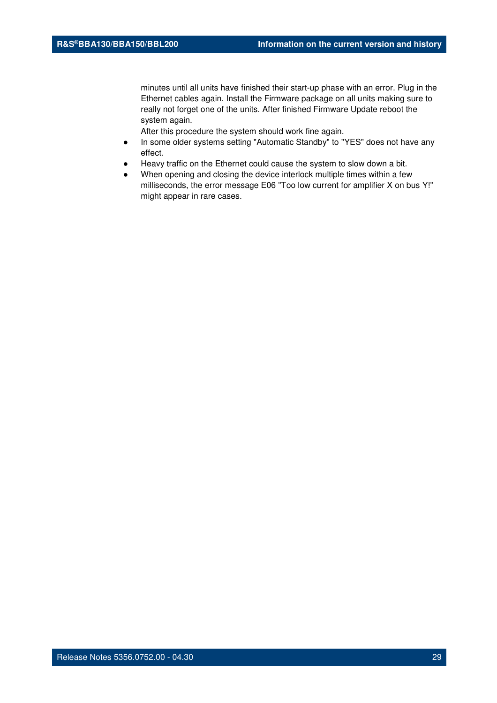minutes until all units have finished their start-up phase with an error. Plug in the Ethernet cables again. Install the Firmware package on all units making sure to really not forget one of the units. After finished Firmware Update reboot the system again.

- In some older systems setting "Automatic Standby" to "YES" does not have any effect.
- Heavy traffic on the Ethernet could cause the system to slow down a bit.
- When opening and closing the device interlock multiple times within a few milliseconds, the error message E06 "Too low current for amplifier X on bus Y!" might appear in rare cases.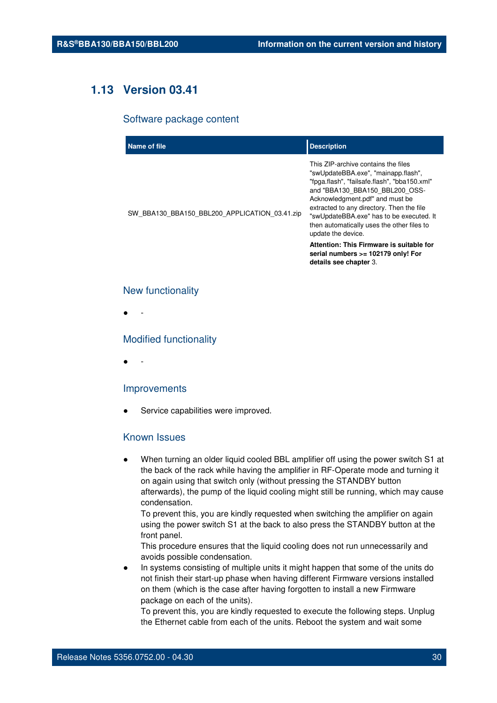## **1.13 Version 03.41**

#### Software package content

| Name of file                                  | <b>Description</b>                                                                                                                                                                                                                                                                                                                                           |
|-----------------------------------------------|--------------------------------------------------------------------------------------------------------------------------------------------------------------------------------------------------------------------------------------------------------------------------------------------------------------------------------------------------------------|
| SW_BBA130_BBA150_BBL200_APPLICATION_03.41.zip | This ZIP-archive contains the files<br>"swUpdateBBA.exe", "mainapp.flash",<br>"fpga.flash", "failsafe.flash", "bba150.xml"<br>and "BBA130 BBA150 BBL200 OSS-<br>Acknowledgment.pdf" and must be<br>extracted to any directory. Then the file<br>"swUpdateBBA.exe" has to be executed. It<br>then automatically uses the other files to<br>update the device. |
|                                               | Attention: This Firmware is suitable for<br>serial numbers >= 102179 only! For<br>details see chapter 3.                                                                                                                                                                                                                                                     |

#### New functionality

● -

#### Modified functionality

● -

#### Improvements

Service capabilities were improved.

#### Known Issues

When turning an older liquid cooled BBL amplifier off using the power switch S1 at the back of the rack while having the amplifier in RF-Operate mode and turning it on again using that switch only (without pressing the STANDBY button afterwards), the pump of the liquid cooling might still be running, which may cause condensation.

To prevent this, you are kindly requested when switching the amplifier on again using the power switch S1 at the back to also press the STANDBY button at the front panel.

This procedure ensures that the liquid cooling does not run unnecessarily and avoids possible condensation.

In systems consisting of multiple units it might happen that some of the units do not finish their start-up phase when having different Firmware versions installed on them (which is the case after having forgotten to install a new Firmware package on each of the units).

To prevent this, you are kindly requested to execute the following steps. Unplug the Ethernet cable from each of the units. Reboot the system and wait some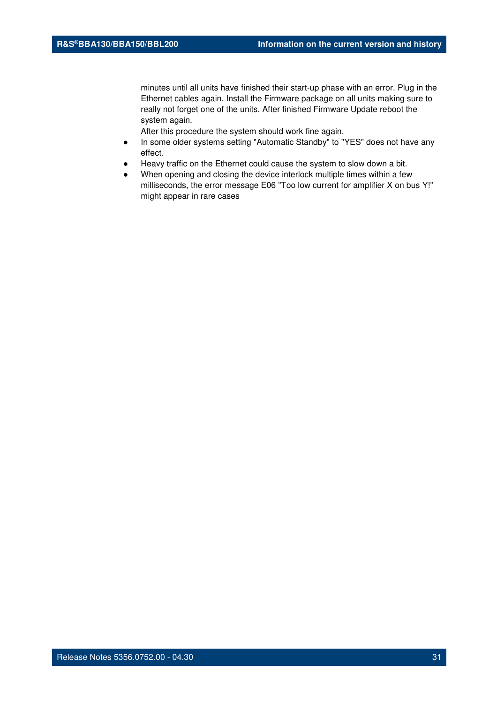minutes until all units have finished their start-up phase with an error. Plug in the Ethernet cables again. Install the Firmware package on all units making sure to really not forget one of the units. After finished Firmware Update reboot the system again.

- In some older systems setting "Automatic Standby" to "YES" does not have any effect.
- Heavy traffic on the Ethernet could cause the system to slow down a bit.
- When opening and closing the device interlock multiple times within a few milliseconds, the error message E06 "Too low current for amplifier X on bus Y!" might appear in rare cases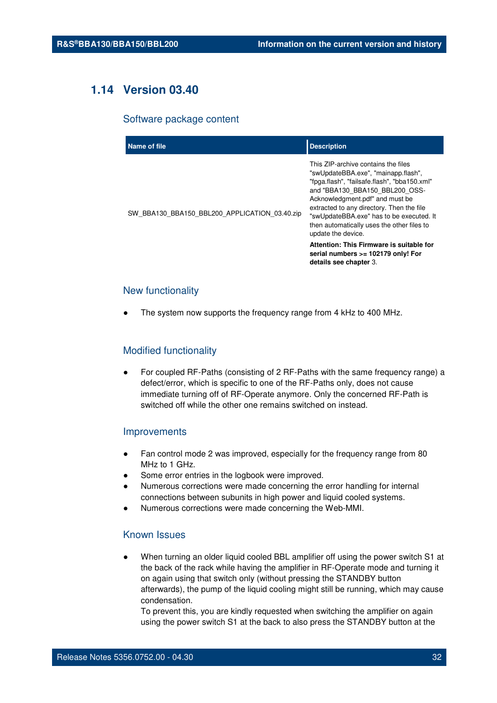## **1.14 Version 03.40**

#### Software package content

| Name of file                                  | <b>Description</b>                                                                                                                                                                                                                                                                                                                                           |
|-----------------------------------------------|--------------------------------------------------------------------------------------------------------------------------------------------------------------------------------------------------------------------------------------------------------------------------------------------------------------------------------------------------------------|
| SW BBA130 BBA150 BBL200 APPLICATION 03.40.zip | This ZIP-archive contains the files<br>"swUpdateBBA.exe", "mainapp.flash",<br>"fpga.flash", "failsafe.flash", "bba150.xml"<br>and "BBA130 BBA150 BBL200 OSS-<br>Acknowledgment.pdf" and must be<br>extracted to any directory. Then the file<br>"swUpdateBBA.exe" has to be executed. It<br>then automatically uses the other files to<br>update the device. |
|                                               | Attention: This Firmware is suitable for<br>serial numbers >= 102179 only! For<br>details see chapter 3.                                                                                                                                                                                                                                                     |

#### New functionality

The system now supports the frequency range from 4 kHz to 400 MHz.

#### Modified functionality

For coupled RF-Paths (consisting of 2 RF-Paths with the same frequency range) a defect/error, which is specific to one of the RF-Paths only, does not cause immediate turning off of RF-Operate anymore. Only the concerned RF-Path is switched off while the other one remains switched on instead.

#### Improvements

- Fan control mode 2 was improved, especially for the frequency range from 80 MHz to 1 GHz.
- Some error entries in the logbook were improved.
- Numerous corrections were made concerning the error handling for internal connections between subunits in high power and liquid cooled systems.
- Numerous corrections were made concerning the Web-MMI.

#### Known Issues

When turning an older liquid cooled BBL amplifier off using the power switch S1 at the back of the rack while having the amplifier in RF-Operate mode and turning it on again using that switch only (without pressing the STANDBY button afterwards), the pump of the liquid cooling might still be running, which may cause condensation.

To prevent this, you are kindly requested when switching the amplifier on again using the power switch S1 at the back to also press the STANDBY button at the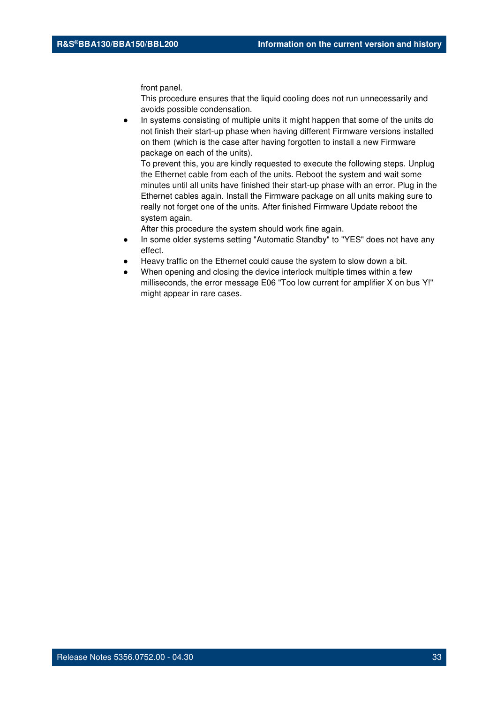front panel.

This procedure ensures that the liquid cooling does not run unnecessarily and avoids possible condensation.

In systems consisting of multiple units it might happen that some of the units do not finish their start-up phase when having different Firmware versions installed on them (which is the case after having forgotten to install a new Firmware package on each of the units).

To prevent this, you are kindly requested to execute the following steps. Unplug the Ethernet cable from each of the units. Reboot the system and wait some minutes until all units have finished their start-up phase with an error. Plug in the Ethernet cables again. Install the Firmware package on all units making sure to really not forget one of the units. After finished Firmware Update reboot the system again.

- In some older systems setting "Automatic Standby" to "YES" does not have any effect.
- Heavy traffic on the Ethernet could cause the system to slow down a bit.
- When opening and closing the device interlock multiple times within a few milliseconds, the error message E06 "Too low current for amplifier X on bus Y!" might appear in rare cases.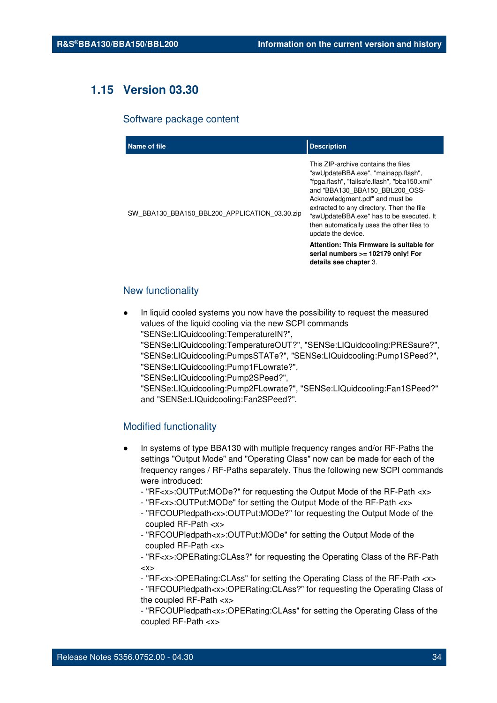## **1.15 Version 03.30**

#### Software package content

| Name of file                                  | <b>Description</b>                                                                                                                                                                                                                                                                                                                                                                                                                                                       |
|-----------------------------------------------|--------------------------------------------------------------------------------------------------------------------------------------------------------------------------------------------------------------------------------------------------------------------------------------------------------------------------------------------------------------------------------------------------------------------------------------------------------------------------|
| SW_BBA130_BBA150_BBL200_APPLICATION_03.30.zip | This ZIP-archive contains the files<br>"swUpdateBBA.exe", "mainapp.flash",<br>"fpga.flash", "failsafe.flash", "bba150.xml"<br>and "BBA130 BBA150 BBL200 OSS-<br>Acknowledgment.pdf" and must be<br>extracted to any directory. Then the file<br>"swUpdateBBA.exe" has to be executed. It<br>then automatically uses the other files to<br>update the device.<br>Attention: This Firmware is suitable for<br>serial numbers >= 102179 only! For<br>details see chapter 3. |
|                                               |                                                                                                                                                                                                                                                                                                                                                                                                                                                                          |

#### New functionality

- In liquid cooled systems you now have the possibility to request the measured values of the liquid cooling via the new SCPI commands "SENSe:LIQuidcooling:TemperatureIN?",
	- "SENSe:LIQuidcooling:TemperatureOUT?", "SENSe:LIQuidcooling:PRESsure?", "SENSe:LIQuidcooling:PumpsSTATe?", "SENSe:LIQuidcooling:Pump1SPeed?", "SENSe:LIQuidcooling:Pump1FLowrate?",
	- "SENSe:LIQuidcooling:Pump2SPeed?",

"SENSe:LIQuidcooling:Pump2FLowrate?", "SENSe:LIQuidcooling:Fan1SPeed?" and "SENSe:LIQuidcooling:Fan2SPeed?".

#### Modified functionality

- In systems of type BBA130 with multiple frequency ranges and/or RF-Paths the settings "Output Mode" and "Operating Class" now can be made for each of the frequency ranges / RF-Paths separately. Thus the following new SCPI commands were introduced:
	- "RF<x>:OUTPut:MODe?" for requesting the Output Mode of the RF-Path <x>
	- "RF<x>:OUTPut:MODe" for setting the Output Mode of the RF-Path <x>
	- "RFCOUPledpath<x>:OUTPut:MODe?" for requesting the Output Mode of the coupled RF-Path <x>
	- "RFCOUPledpath<x>:OUTPut:MODe" for setting the Output Mode of the coupled RF-Path <x>

- "RF<x>:OPERating:CLAss?" for requesting the Operating Class of the RF-Path  $\langle x \rangle$ 

- "RF<x>:OPERating:CLAss" for setting the Operating Class of the RF-Path <x>

- "RFCOUPledpath<x>:OPERating:CLAss?" for requesting the Operating Class of the coupled RF-Path <x>

- "RFCOUPledpath<x>:OPERating:CLAss" for setting the Operating Class of the coupled RF-Path <x>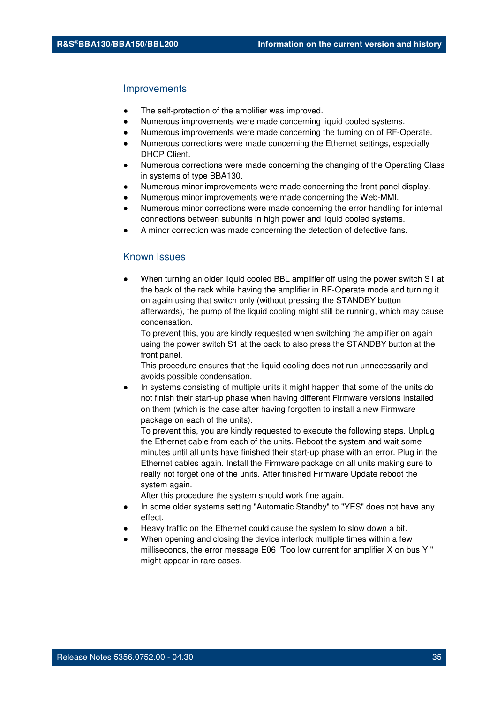#### **Improvements**

- The self-protection of the amplifier was improved.
- Numerous improvements were made concerning liquid cooled systems.
- Numerous improvements were made concerning the turning on of RF-Operate.
- Numerous corrections were made concerning the Ethernet settings, especially DHCP Client.
- Numerous corrections were made concerning the changing of the Operating Class in systems of type BBA130.
- Numerous minor improvements were made concerning the front panel display.
- Numerous minor improvements were made concerning the Web-MMI.
- Numerous minor corrections were made concerning the error handling for internal connections between subunits in high power and liquid cooled systems.
- A minor correction was made concerning the detection of defective fans.

#### Known Issues

When turning an older liquid cooled BBL amplifier off using the power switch S1 at the back of the rack while having the amplifier in RF-Operate mode and turning it on again using that switch only (without pressing the STANDBY button afterwards), the pump of the liquid cooling might still be running, which may cause condensation.

To prevent this, you are kindly requested when switching the amplifier on again using the power switch S1 at the back to also press the STANDBY button at the front panel.

This procedure ensures that the liquid cooling does not run unnecessarily and avoids possible condensation.

In systems consisting of multiple units it might happen that some of the units do not finish their start-up phase when having different Firmware versions installed on them (which is the case after having forgotten to install a new Firmware package on each of the units).

To prevent this, you are kindly requested to execute the following steps. Unplug the Ethernet cable from each of the units. Reboot the system and wait some minutes until all units have finished their start-up phase with an error. Plug in the Ethernet cables again. Install the Firmware package on all units making sure to really not forget one of the units. After finished Firmware Update reboot the system again.

- In some older systems setting "Automatic Standby" to "YES" does not have any effect.
- Heavy traffic on the Ethernet could cause the system to slow down a bit.
- When opening and closing the device interlock multiple times within a few milliseconds, the error message E06 "Too low current for amplifier X on bus Y!" might appear in rare cases.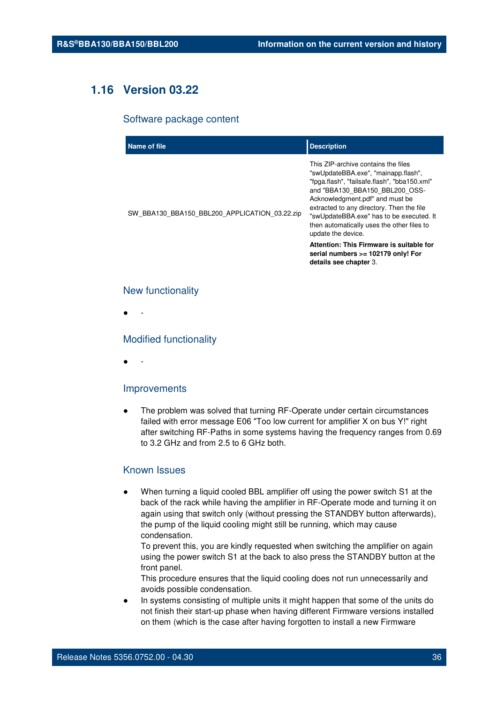## **1.16 Version 03.22**

#### Software package content

| Name of file                                  | <b>Description</b>                                                                                                                                                                                                                                                                                                                                                                                       |
|-----------------------------------------------|----------------------------------------------------------------------------------------------------------------------------------------------------------------------------------------------------------------------------------------------------------------------------------------------------------------------------------------------------------------------------------------------------------|
| SW BBA130 BBA150 BBL200 APPLICATION 03.22.zip | This ZIP-archive contains the files<br>"swUpdateBBA.exe", "mainapp.flash",<br>"fpga.flash", "failsafe.flash", "bba150.xml"<br>and "BBA130 BBA150 BBL200 OSS-<br>Acknowledgment.pdf" and must be<br>extracted to any directory. Then the file<br>"swUpdateBBA.exe" has to be executed. It<br>then automatically uses the other files to<br>update the device.<br>Attention: This Firmware is suitable for |
|                                               | serial numbers >= 102179 only! For<br>details see chapter 3.                                                                                                                                                                                                                                                                                                                                             |

#### New functionality

● -

#### Modified functionality

● -

#### Improvements

The problem was solved that turning RF-Operate under certain circumstances failed with error message E06 "Too low current for amplifier X on bus Y!" right after switching RF-Paths in some systems having the frequency ranges from 0.69 to 3.2 GHz and from 2.5 to 6 GHz both.

#### Known Issues

When turning a liquid cooled BBL amplifier off using the power switch S1 at the back of the rack while having the amplifier in RF-Operate mode and turning it on again using that switch only (without pressing the STANDBY button afterwards), the pump of the liquid cooling might still be running, which may cause condensation.

To prevent this, you are kindly requested when switching the amplifier on again using the power switch S1 at the back to also press the STANDBY button at the front panel.

This procedure ensures that the liquid cooling does not run unnecessarily and avoids possible condensation.

In systems consisting of multiple units it might happen that some of the units do not finish their start-up phase when having different Firmware versions installed on them (which is the case after having forgotten to install a new Firmware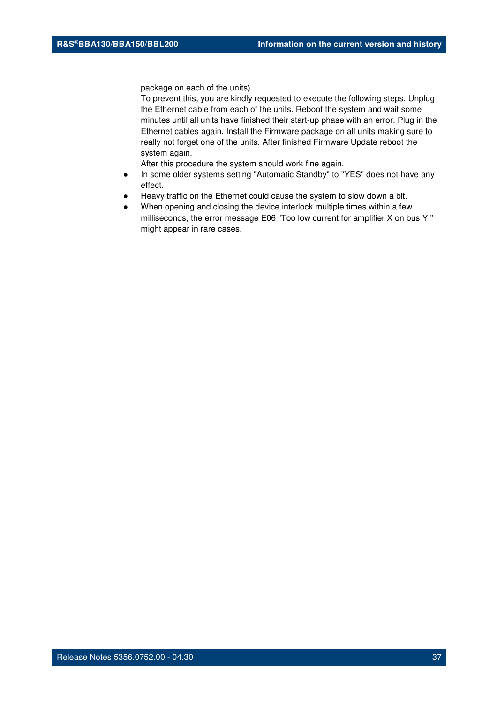package on each of the units).

To prevent this, you are kindly requested to execute the following steps. Unplug the Ethernet cable from each of the units. Reboot the system and wait some minutes until all units have finished their start-up phase with an error. Plug in the Ethernet cables again. Install the Firmware package on all units making sure to really not forget one of the units. After finished Firmware Update reboot the system again.

- In some older systems setting "Automatic Standby" to "YES" does not have any effect.
- Heavy traffic on the Ethernet could cause the system to slow down a bit.
- When opening and closing the device interlock multiple times within a few milliseconds, the error message E06 "Too low current for amplifier X on bus Y!" might appear in rare cases.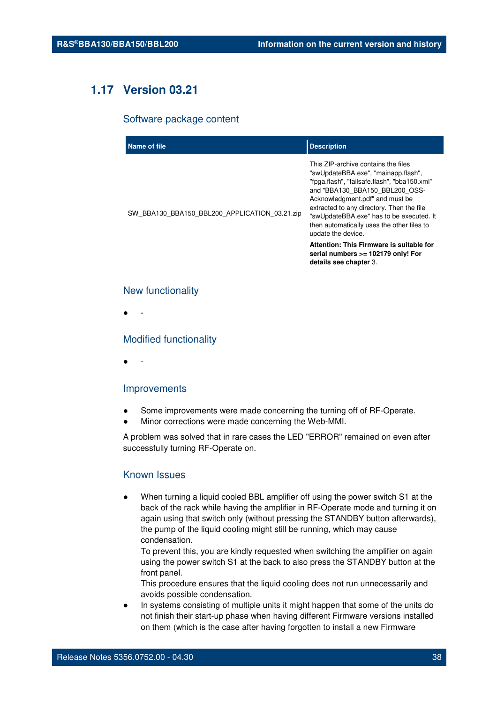# **1.17 Version 03.21**

### Software package content

| Name of file                                  | <b>Description</b>                                                                                                                                                                                                                                                                                                                                           |
|-----------------------------------------------|--------------------------------------------------------------------------------------------------------------------------------------------------------------------------------------------------------------------------------------------------------------------------------------------------------------------------------------------------------------|
| SW_BBA130_BBA150_BBL200_APPLICATION_03.21.zip | This ZIP-archive contains the files<br>"swUpdateBBA.exe", "mainapp.flash",<br>"fpga.flash", "failsafe.flash", "bba150.xml"<br>and "BBA130 BBA150 BBL200 OSS-<br>Acknowledgment.pdf" and must be<br>extracted to any directory. Then the file<br>"swUpdateBBA.exe" has to be executed. It<br>then automatically uses the other files to<br>update the device. |
|                                               | Attention: This Firmware is suitable for<br>serial numbers >= 102179 only! For<br>details see chapter 3.                                                                                                                                                                                                                                                     |

## New functionality

● -

## Modified functionality

● -

## Improvements

- Some improvements were made concerning the turning off of RF-Operate.
- Minor corrections were made concerning the Web-MMI.

A problem was solved that in rare cases the LED "ERROR" remained on even after successfully turning RF-Operate on.

# Known Issues

When turning a liquid cooled BBL amplifier off using the power switch S1 at the back of the rack while having the amplifier in RF-Operate mode and turning it on again using that switch only (without pressing the STANDBY button afterwards), the pump of the liquid cooling might still be running, which may cause condensation.

To prevent this, you are kindly requested when switching the amplifier on again using the power switch S1 at the back to also press the STANDBY button at the front panel.

This procedure ensures that the liquid cooling does not run unnecessarily and avoids possible condensation.

In systems consisting of multiple units it might happen that some of the units do not finish their start-up phase when having different Firmware versions installed on them (which is the case after having forgotten to install a new Firmware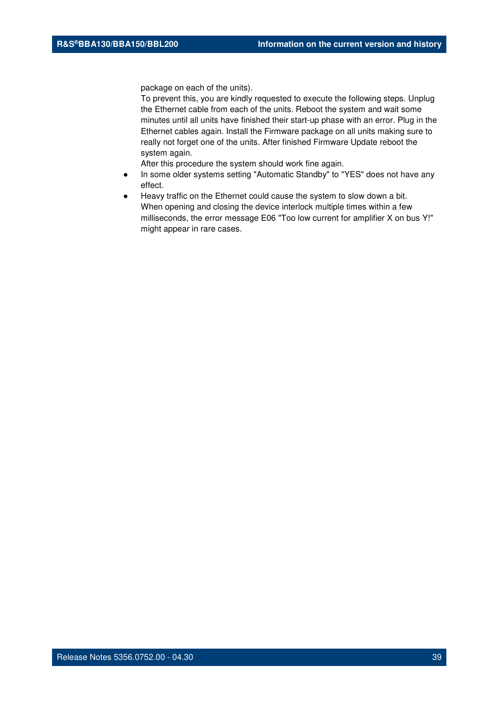package on each of the units).

To prevent this, you are kindly requested to execute the following steps. Unplug the Ethernet cable from each of the units. Reboot the system and wait some minutes until all units have finished their start-up phase with an error. Plug in the Ethernet cables again. Install the Firmware package on all units making sure to really not forget one of the units. After finished Firmware Update reboot the system again.

- In some older systems setting "Automatic Standby" to "YES" does not have any effect.
- Heavy traffic on the Ethernet could cause the system to slow down a bit. When opening and closing the device interlock multiple times within a few milliseconds, the error message E06 "Too low current for amplifier X on bus Y!" might appear in rare cases.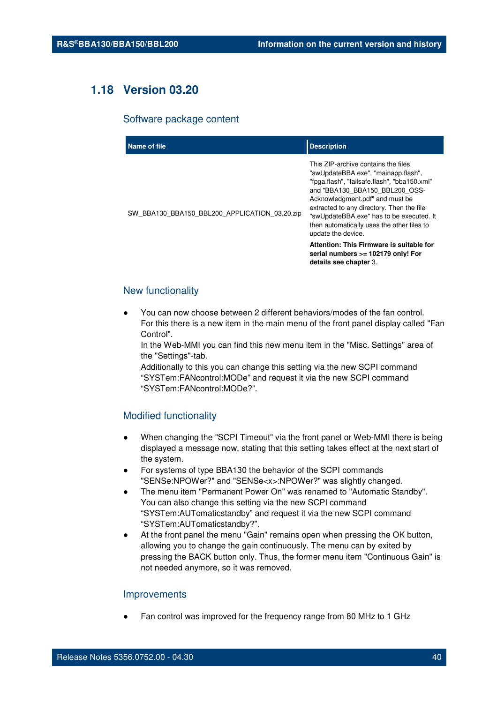# **1.18 Version 03.20**

#### Software package content

| Name of file                                  | <b>Description</b>                                                                                                                                                                                                                                                                                                                                           |
|-----------------------------------------------|--------------------------------------------------------------------------------------------------------------------------------------------------------------------------------------------------------------------------------------------------------------------------------------------------------------------------------------------------------------|
| SW_BBA130_BBA150_BBL200_APPLICATION_03.20.zip | This ZIP-archive contains the files<br>"swUpdateBBA.exe", "mainapp.flash",<br>"fpga.flash", "failsafe.flash", "bba150.xml"<br>and "BBA130 BBA150 BBL200 OSS-<br>Acknowledgment.pdf" and must be<br>extracted to any directory. Then the file<br>"swUpdateBBA.exe" has to be executed. It<br>then automatically uses the other files to<br>update the device. |
|                                               | Attention: This Firmware is suitable for<br>serial numbers >= 102179 only! For<br>details see chapter 3.                                                                                                                                                                                                                                                     |

# New functionality

You can now choose between 2 different behaviors/modes of the fan control. For this there is a new item in the main menu of the front panel display called "Fan Control".

In the Web-MMI you can find this new menu item in the "Misc. Settings" area of the "Settings"-tab.

Additionally to this you can change this setting via the new SCPI command "SYSTem:FANcontrol:MODe" and request it via the new SCPI command "SYSTem:FANcontrol:MODe?".

# Modified functionality

- When changing the "SCPI Timeout" via the front panel or Web-MMI there is being displayed a message now, stating that this setting takes effect at the next start of the system.
- For systems of type BBA130 the behavior of the SCPI commands "SENSe:NPOWer?" and "SENSe<x>:NPOWer?" was slightly changed.
- The menu item "Permanent Power On" was renamed to "Automatic Standby". You can also change this setting via the new SCPI command "SYSTem:AUTomaticstandby" and request it via the new SCPI command "SYSTem:AUTomaticstandby?".
- At the front panel the menu "Gain" remains open when pressing the OK button, allowing you to change the gain continuously. The menu can by exited by pressing the BACK button only. Thus, the former menu item "Continuous Gain" is not needed anymore, so it was removed.

#### Improvements

Fan control was improved for the frequency range from 80 MHz to 1 GHz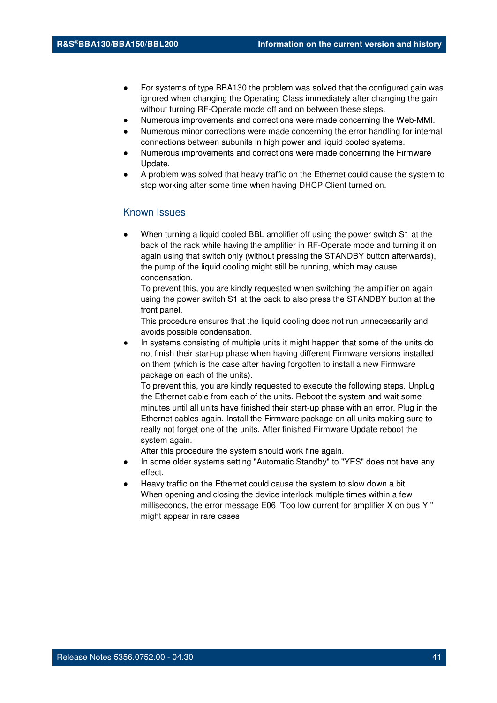- For systems of type BBA130 the problem was solved that the configured gain was ignored when changing the Operating Class immediately after changing the gain without turning RF-Operate mode off and on between these steps.
- Numerous improvements and corrections were made concerning the Web-MMI.
- Numerous minor corrections were made concerning the error handling for internal connections between subunits in high power and liquid cooled systems.
- Numerous improvements and corrections were made concerning the Firmware Update.
- A problem was solved that heavy traffic on the Ethernet could cause the system to stop working after some time when having DHCP Client turned on.

# Known Issues

When turning a liquid cooled BBL amplifier off using the power switch S1 at the back of the rack while having the amplifier in RF-Operate mode and turning it on again using that switch only (without pressing the STANDBY button afterwards), the pump of the liquid cooling might still be running, which may cause condensation.

To prevent this, you are kindly requested when switching the amplifier on again using the power switch S1 at the back to also press the STANDBY button at the front panel.

This procedure ensures that the liquid cooling does not run unnecessarily and avoids possible condensation.

In systems consisting of multiple units it might happen that some of the units do not finish their start-up phase when having different Firmware versions installed on them (which is the case after having forgotten to install a new Firmware package on each of the units).

To prevent this, you are kindly requested to execute the following steps. Unplug the Ethernet cable from each of the units. Reboot the system and wait some minutes until all units have finished their start-up phase with an error. Plug in the Ethernet cables again. Install the Firmware package on all units making sure to really not forget one of the units. After finished Firmware Update reboot the system again.

- In some older systems setting "Automatic Standby" to "YES" does not have any effect.
- Heavy traffic on the Ethernet could cause the system to slow down a bit. When opening and closing the device interlock multiple times within a few milliseconds, the error message E06 "Too low current for amplifier X on bus Y!" might appear in rare cases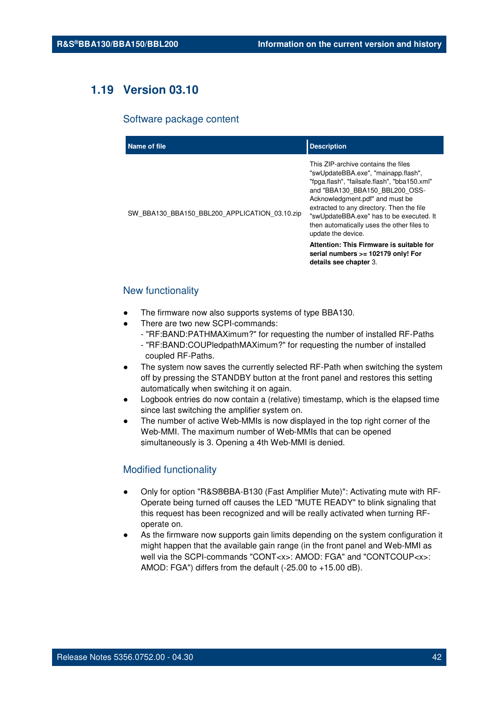# **1.19 Version 03.10**

#### Software package content

| Name of file                                  | <b>Description</b>                                                                                                                                                                                                                                                                                                                                           |
|-----------------------------------------------|--------------------------------------------------------------------------------------------------------------------------------------------------------------------------------------------------------------------------------------------------------------------------------------------------------------------------------------------------------------|
| SW_BBA130_BBA150_BBL200_APPLICATION_03.10.zip | This ZIP-archive contains the files<br>"swUpdateBBA.exe", "mainapp.flash",<br>"fpga.flash", "failsafe.flash", "bba150.xml"<br>and "BBA130 BBA150 BBL200 OSS-<br>Acknowledgment.pdf" and must be<br>extracted to any directory. Then the file<br>"swUpdateBBA.exe" has to be executed. It<br>then automatically uses the other files to<br>update the device. |
|                                               | Attention: This Firmware is suitable for<br>serial numbers >= 102179 only! For<br>details see chapter 3.                                                                                                                                                                                                                                                     |

## New functionality

- The firmware now also supports systems of type BBA130.
- There are two new SCPI-commands:
	- "RF:BAND:PATHMAXimum?" for requesting the number of installed RF-Paths
	- "RF:BAND:COUPledpathMAXimum?" for requesting the number of installed coupled RF-Paths.
- The system now saves the currently selected RF-Path when switching the system off by pressing the STANDBY button at the front panel and restores this setting automatically when switching it on again.
- Logbook entries do now contain a (relative) timestamp, which is the elapsed time since last switching the amplifier system on.
- The number of active Web-MMIs is now displayed in the top right corner of the Web-MMI. The maximum number of Web-MMIs that can be opened simultaneously is 3. Opening a 4th Web-MMI is denied.

# Modified functionality

- Only for option "R&S®BBA-B130 (Fast Amplifier Mute)": Activating mute with RF-Operate being turned off causes the LED "MUTE READY" to blink signaling that this request has been recognized and will be really activated when turning RFoperate on.
- As the firmware now supports gain limits depending on the system configuration it might happen that the available gain range (in the front panel and Web-MMI as well via the SCPI-commands "CONT<x>: AMOD: FGA" and "CONTCOUP<x>: AMOD: FGA") differs from the default (-25.00 to +15.00 dB).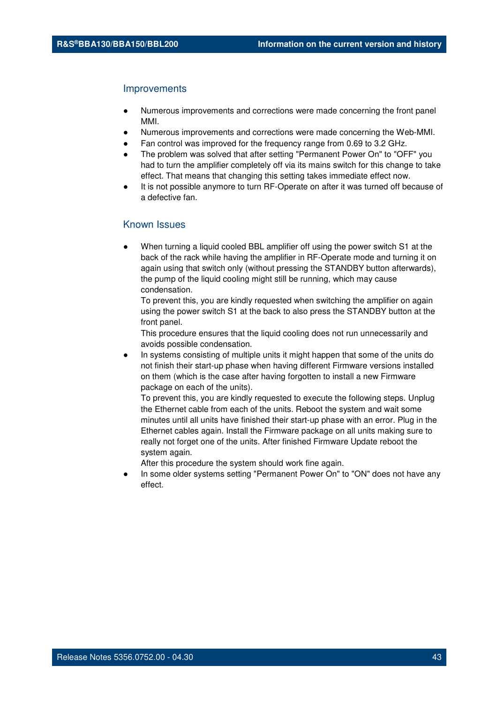#### Improvements

- Numerous improvements and corrections were made concerning the front panel MMI.
- Numerous improvements and corrections were made concerning the Web-MMI.
- Fan control was improved for the frequency range from 0.69 to 3.2 GHz.
- The problem was solved that after setting "Permanent Power On" to "OFF" you had to turn the amplifier completely off via its mains switch for this change to take effect. That means that changing this setting takes immediate effect now.
- It is not possible anymore to turn RF-Operate on after it was turned off because of a defective fan.

# Known Issues

When turning a liquid cooled BBL amplifier off using the power switch S1 at the back of the rack while having the amplifier in RF-Operate mode and turning it on again using that switch only (without pressing the STANDBY button afterwards), the pump of the liquid cooling might still be running, which may cause condensation.

To prevent this, you are kindly requested when switching the amplifier on again using the power switch S1 at the back to also press the STANDBY button at the front panel.

This procedure ensures that the liquid cooling does not run unnecessarily and avoids possible condensation.

In systems consisting of multiple units it might happen that some of the units do not finish their start-up phase when having different Firmware versions installed on them (which is the case after having forgotten to install a new Firmware package on each of the units).

To prevent this, you are kindly requested to execute the following steps. Unplug the Ethernet cable from each of the units. Reboot the system and wait some minutes until all units have finished their start-up phase with an error. Plug in the Ethernet cables again. Install the Firmware package on all units making sure to really not forget one of the units. After finished Firmware Update reboot the system again.

After this procedure the system should work fine again.

In some older systems setting "Permanent Power On" to "ON" does not have any effect.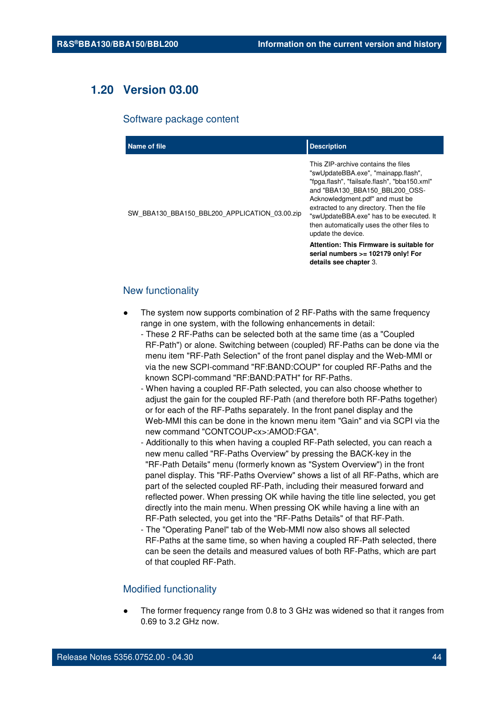# **1.20 Version 03.00**

#### Software package content

| Name of file                                  | <b>Description</b>                                                                                                                                                                                                                                                                                                                                           |
|-----------------------------------------------|--------------------------------------------------------------------------------------------------------------------------------------------------------------------------------------------------------------------------------------------------------------------------------------------------------------------------------------------------------------|
| SW_BBA130_BBA150_BBL200_APPLICATION_03.00.zip | This ZIP-archive contains the files<br>"swUpdateBBA.exe", "mainapp.flash",<br>"fpga.flash", "failsafe.flash", "bba150.xml"<br>and "BBA130 BBA150 BBL200 OSS-<br>Acknowledgment.pdf" and must be<br>extracted to any directory. Then the file<br>"swUpdateBBA.exe" has to be executed. It<br>then automatically uses the other files to<br>update the device. |
|                                               | Attention: This Firmware is suitable for<br>serial numbers >= 102179 only! For<br>details see chapter 3.                                                                                                                                                                                                                                                     |

## New functionality

- The system now supports combination of 2 RF-Paths with the same frequency range in one system, with the following enhancements in detail:
	- These 2 RF-Paths can be selected both at the same time (as a "Coupled RF-Path") or alone. Switching between (coupled) RF-Paths can be done via the menu item "RF-Path Selection" of the front panel display and the Web-MMI or via the new SCPI-command "RF:BAND:COUP" for coupled RF-Paths and the known SCPI-command "RF:BAND:PATH" for RF-Paths.
	- When having a coupled RF-Path selected, you can also choose whether to adjust the gain for the coupled RF-Path (and therefore both RF-Paths together) or for each of the RF-Paths separately. In the front panel display and the Web-MMI this can be done in the known menu item "Gain" and via SCPI via the new command "CONTCOUP<x>:AMOD:FGA".
	- Additionally to this when having a coupled RF-Path selected, you can reach a new menu called "RF-Paths Overview" by pressing the BACK-key in the "RF-Path Details" menu (formerly known as "System Overview") in the front panel display. This "RF-Paths Overview" shows a list of all RF-Paths, which are part of the selected coupled RF-Path, including their measured forward and reflected power. When pressing OK while having the title line selected, you get directly into the main menu. When pressing OK while having a line with an RF-Path selected, you get into the "RF-Paths Details" of that RF-Path.
	- The "Operating Panel" tab of the Web-MMI now also shows all selected RF-Paths at the same time, so when having a coupled RF-Path selected, there can be seen the details and measured values of both RF-Paths, which are part of that coupled RF-Path.

## Modified functionality

The former frequency range from 0.8 to 3 GHz was widened so that it ranges from 0.69 to 3.2 GHz now.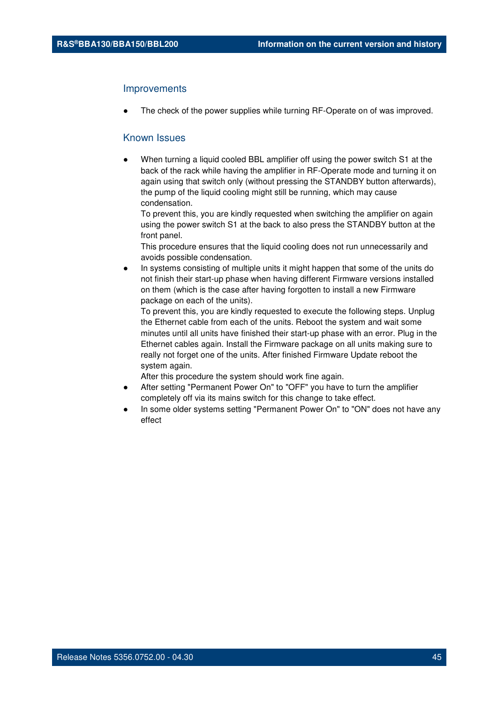#### Improvements

The check of the power supplies while turning RF-Operate on of was improved.

## Known Issues

When turning a liquid cooled BBL amplifier off using the power switch S1 at the back of the rack while having the amplifier in RF-Operate mode and turning it on again using that switch only (without pressing the STANDBY button afterwards), the pump of the liquid cooling might still be running, which may cause condensation.

To prevent this, you are kindly requested when switching the amplifier on again using the power switch S1 at the back to also press the STANDBY button at the front panel.

This procedure ensures that the liquid cooling does not run unnecessarily and avoids possible condensation.

In systems consisting of multiple units it might happen that some of the units do not finish their start-up phase when having different Firmware versions installed on them (which is the case after having forgotten to install a new Firmware package on each of the units).

To prevent this, you are kindly requested to execute the following steps. Unplug the Ethernet cable from each of the units. Reboot the system and wait some minutes until all units have finished their start-up phase with an error. Plug in the Ethernet cables again. Install the Firmware package on all units making sure to really not forget one of the units. After finished Firmware Update reboot the system again.

- After setting "Permanent Power On" to "OFF" you have to turn the amplifier completely off via its mains switch for this change to take effect.
- In some older systems setting "Permanent Power On" to "ON" does not have any effect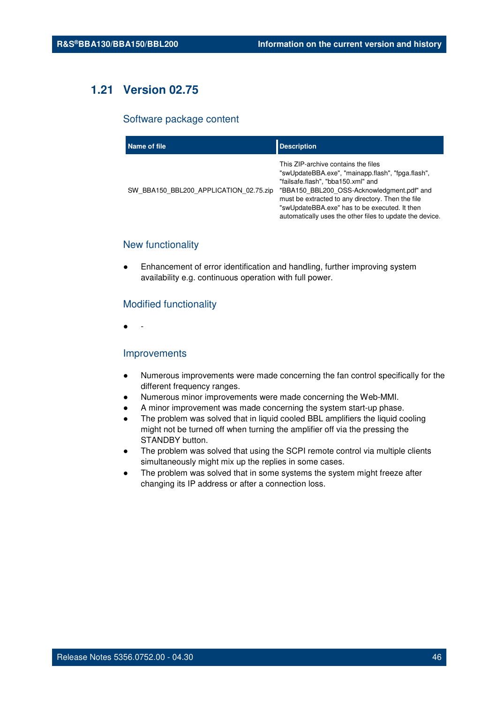# **1.21 Version 02.75**

# Software package content

| Name of file                           | <b>Description</b>                                                                                                                                                                                                                                                                                                                             |
|----------------------------------------|------------------------------------------------------------------------------------------------------------------------------------------------------------------------------------------------------------------------------------------------------------------------------------------------------------------------------------------------|
| SW BBA150 BBL200 APPLICATION 02.75.zip | This ZIP-archive contains the files<br>"swUpdateBBA.exe", "mainapp.flash", "fpga.flash",<br>"failsafe.flash", "bba150.xml" and<br>"BBA150 BBL200 OSS-Acknowledgment.pdf" and<br>must be extracted to any directory. Then the file<br>"swUpdateBBA.exe" has to be executed. It then<br>automatically uses the other files to update the device. |

# New functionality

Enhancement of error identification and handling, further improving system availability e.g. continuous operation with full power.

# Modified functionality

● -

# Improvements

- Numerous improvements were made concerning the fan control specifically for the different frequency ranges.
- Numerous minor improvements were made concerning the Web-MMI.
- A minor improvement was made concerning the system start-up phase.
- The problem was solved that in liquid cooled BBL amplifiers the liquid cooling might not be turned off when turning the amplifier off via the pressing the STANDBY button.
- The problem was solved that using the SCPI remote control via multiple clients simultaneously might mix up the replies in some cases.
- The problem was solved that in some systems the system might freeze after changing its IP address or after a connection loss.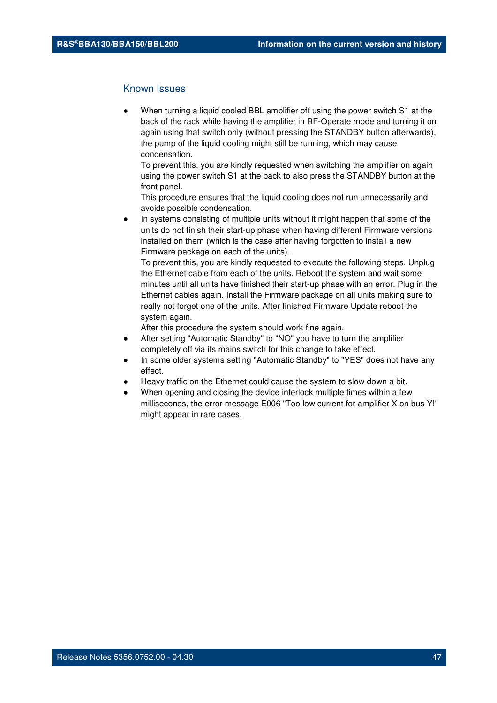# Known Issues

When turning a liquid cooled BBL amplifier off using the power switch S1 at the back of the rack while having the amplifier in RF-Operate mode and turning it on again using that switch only (without pressing the STANDBY button afterwards), the pump of the liquid cooling might still be running, which may cause condensation.

To prevent this, you are kindly requested when switching the amplifier on again using the power switch S1 at the back to also press the STANDBY button at the front panel.

This procedure ensures that the liquid cooling does not run unnecessarily and avoids possible condensation.

In systems consisting of multiple units without it might happen that some of the units do not finish their start-up phase when having different Firmware versions installed on them (which is the case after having forgotten to install a new Firmware package on each of the units).

To prevent this, you are kindly requested to execute the following steps. Unplug the Ethernet cable from each of the units. Reboot the system and wait some minutes until all units have finished their start-up phase with an error. Plug in the Ethernet cables again. Install the Firmware package on all units making sure to really not forget one of the units. After finished Firmware Update reboot the system again.

- After setting "Automatic Standby" to "NO" you have to turn the amplifier completely off via its mains switch for this change to take effect.
- In some older systems setting "Automatic Standby" to "YES" does not have any effect.
- Heavy traffic on the Ethernet could cause the system to slow down a bit.
- When opening and closing the device interlock multiple times within a few milliseconds, the error message E006 "Too low current for amplifier X on bus Y!" might appear in rare cases.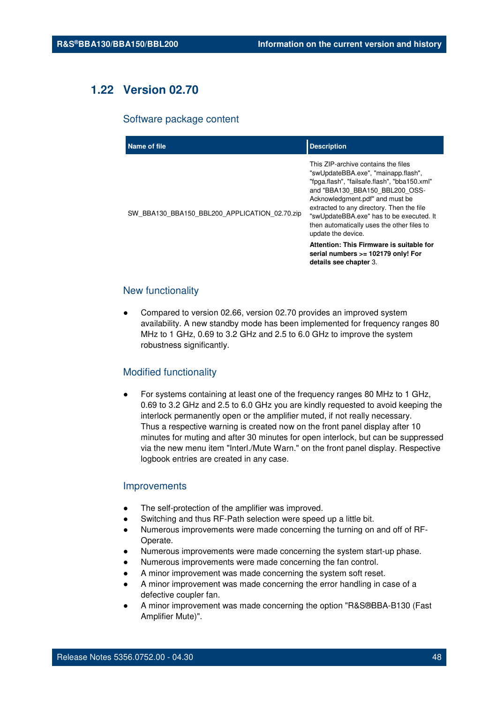# **1.22 Version 02.70**

#### Software package content

| Name of file                                  | <b>Description</b>                                                                                                                                                                                                                                                                                                                                                                                       |
|-----------------------------------------------|----------------------------------------------------------------------------------------------------------------------------------------------------------------------------------------------------------------------------------------------------------------------------------------------------------------------------------------------------------------------------------------------------------|
| SW_BBA130_BBA150_BBL200_APPLICATION_02.70.zip | This ZIP-archive contains the files<br>"swUpdateBBA.exe", "mainapp.flash",<br>"fpga.flash", "failsafe.flash", "bba150.xml"<br>and "BBA130 BBA150 BBL200 OSS-<br>Acknowledgment.pdf" and must be<br>extracted to any directory. Then the file<br>"swUpdateBBA.exe" has to be executed. It<br>then automatically uses the other files to<br>update the device.<br>Attention: This Firmware is suitable for |
|                                               | serial numbers >= 102179 only! For<br>details see chapter 3.                                                                                                                                                                                                                                                                                                                                             |

# New functionality

Compared to version 02.66, version 02.70 provides an improved system availability. A new standby mode has been implemented for frequency ranges 80 MHz to 1 GHz, 0.69 to 3.2 GHz and 2.5 to 6.0 GHz to improve the system robustness significantly.

## Modified functionality

For systems containing at least one of the frequency ranges 80 MHz to 1 GHz, 0.69 to 3.2 GHz and 2.5 to 6.0 GHz you are kindly requested to avoid keeping the interlock permanently open or the amplifier muted, if not really necessary. Thus a respective warning is created now on the front panel display after 10 minutes for muting and after 30 minutes for open interlock, but can be suppressed via the new menu item "Interl./Mute Warn." on the front panel display. Respective logbook entries are created in any case.

### Improvements

- The self-protection of the amplifier was improved.
- Switching and thus RF-Path selection were speed up a little bit.
- Numerous improvements were made concerning the turning on and off of RF-Operate.
- Numerous improvements were made concerning the system start-up phase.
- Numerous improvements were made concerning the fan control.
- A minor improvement was made concerning the system soft reset.
- A minor improvement was made concerning the error handling in case of a defective coupler fan.
- A minor improvement was made concerning the option "R&S®BBA-B130 (Fast Amplifier Mute)".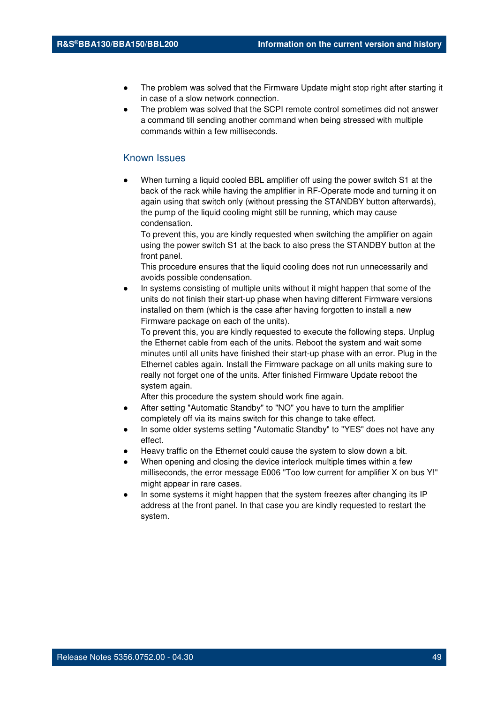- The problem was solved that the Firmware Update might stop right after starting it in case of a slow network connection.
- The problem was solved that the SCPI remote control sometimes did not answer a command till sending another command when being stressed with multiple commands within a few milliseconds.

## Known Issues

When turning a liquid cooled BBL amplifier off using the power switch S1 at the back of the rack while having the amplifier in RF-Operate mode and turning it on again using that switch only (without pressing the STANDBY button afterwards), the pump of the liquid cooling might still be running, which may cause condensation.

To prevent this, you are kindly requested when switching the amplifier on again using the power switch S1 at the back to also press the STANDBY button at the front panel.

This procedure ensures that the liquid cooling does not run unnecessarily and avoids possible condensation.

In systems consisting of multiple units without it might happen that some of the units do not finish their start-up phase when having different Firmware versions installed on them (which is the case after having forgotten to install a new Firmware package on each of the units).

To prevent this, you are kindly requested to execute the following steps. Unplug the Ethernet cable from each of the units. Reboot the system and wait some minutes until all units have finished their start-up phase with an error. Plug in the Ethernet cables again. Install the Firmware package on all units making sure to really not forget one of the units. After finished Firmware Update reboot the system again.

- After setting "Automatic Standby" to "NO" you have to turn the amplifier completely off via its mains switch for this change to take effect.
- In some older systems setting "Automatic Standby" to "YES" does not have any effect.
- Heavy traffic on the Ethernet could cause the system to slow down a bit.
- When opening and closing the device interlock multiple times within a few milliseconds, the error message E006 "Too low current for amplifier X on bus Y!" might appear in rare cases.
- In some systems it might happen that the system freezes after changing its IP address at the front panel. In that case you are kindly requested to restart the system.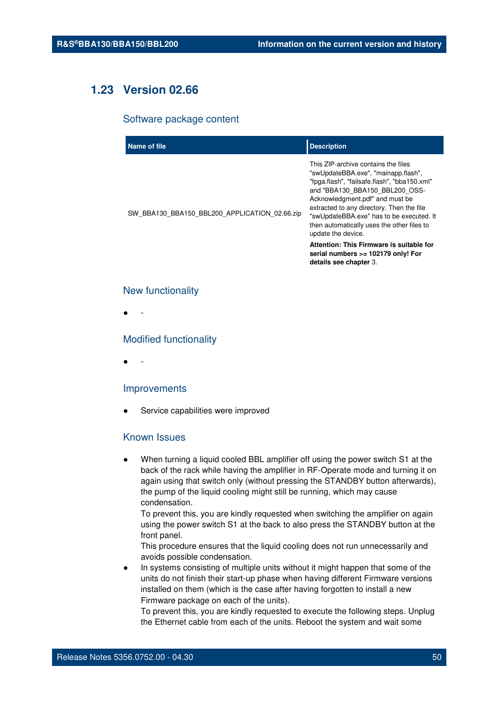# **1.23 Version 02.66**

#### Software package content

| Name of file                                  | <b>Description</b>                                                                                                                                                                                                                                                                                                                                           |
|-----------------------------------------------|--------------------------------------------------------------------------------------------------------------------------------------------------------------------------------------------------------------------------------------------------------------------------------------------------------------------------------------------------------------|
| SW_BBA130_BBA150_BBL200_APPLICATION_02.66.zip | This ZIP-archive contains the files<br>"swUpdateBBA.exe", "mainapp.flash",<br>"fpga.flash", "failsafe.flash", "bba150.xml"<br>and "BBA130 BBA150 BBL200 OSS-<br>Acknowledgment.pdf" and must be<br>extracted to any directory. Then the file<br>"swUpdateBBA.exe" has to be executed. It<br>then automatically uses the other files to<br>update the device. |
|                                               | Attention: This Firmware is suitable for<br>serial numbers >= 102179 only! For<br>details see chapter 3.                                                                                                                                                                                                                                                     |

## New functionality

● -

## Modified functionality

● -

## Improvements

Service capabilities were improved

# Known Issues

When turning a liquid cooled BBL amplifier off using the power switch S1 at the back of the rack while having the amplifier in RF-Operate mode and turning it on again using that switch only (without pressing the STANDBY button afterwards), the pump of the liquid cooling might still be running, which may cause condensation.

To prevent this, you are kindly requested when switching the amplifier on again using the power switch S1 at the back to also press the STANDBY button at the front panel.

This procedure ensures that the liquid cooling does not run unnecessarily and avoids possible condensation.

In systems consisting of multiple units without it might happen that some of the units do not finish their start-up phase when having different Firmware versions installed on them (which is the case after having forgotten to install a new Firmware package on each of the units).

To prevent this, you are kindly requested to execute the following steps. Unplug the Ethernet cable from each of the units. Reboot the system and wait some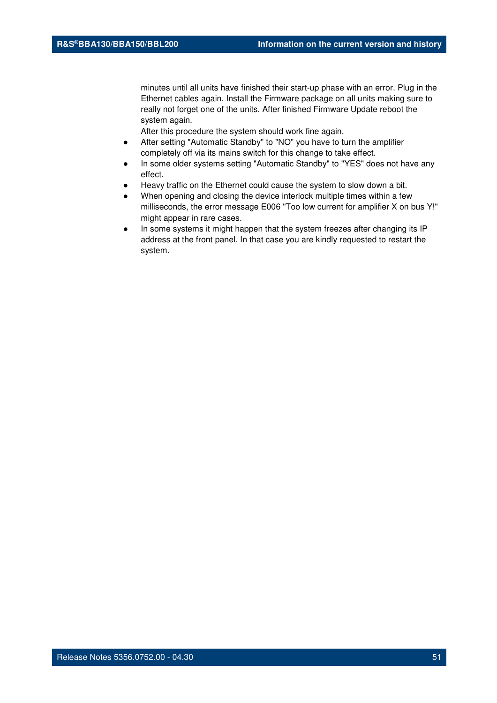minutes until all units have finished their start-up phase with an error. Plug in the Ethernet cables again. Install the Firmware package on all units making sure to really not forget one of the units. After finished Firmware Update reboot the system again.

- After setting "Automatic Standby" to "NO" you have to turn the amplifier completely off via its mains switch for this change to take effect.
- In some older systems setting "Automatic Standby" to "YES" does not have any effect.
- Heavy traffic on the Ethernet could cause the system to slow down a bit.
- When opening and closing the device interlock multiple times within a few milliseconds, the error message E006 "Too low current for amplifier X on bus Y!" might appear in rare cases.
- In some systems it might happen that the system freezes after changing its IP address at the front panel. In that case you are kindly requested to restart the system.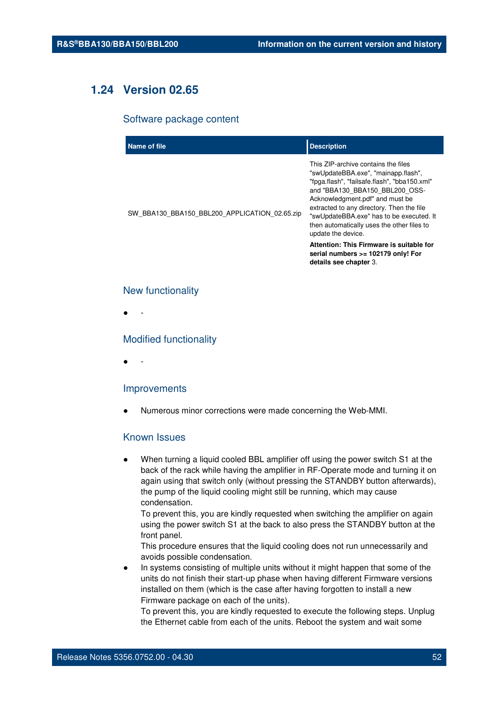# **1.24 Version 02.65**

#### Software package content

| Name of file                                  | <b>Description</b>                                                                                                                                                                                                                                                                                                                                           |
|-----------------------------------------------|--------------------------------------------------------------------------------------------------------------------------------------------------------------------------------------------------------------------------------------------------------------------------------------------------------------------------------------------------------------|
| SW_BBA130_BBA150_BBL200_APPLICATION_02.65.zip | This ZIP-archive contains the files<br>"swUpdateBBA.exe", "mainapp.flash",<br>"fpga.flash", "failsafe.flash", "bba150.xml"<br>and "BBA130 BBA150 BBL200 OSS-<br>Acknowledgment.pdf" and must be<br>extracted to any directory. Then the file<br>"swUpdateBBA.exe" has to be executed. It<br>then automatically uses the other files to<br>update the device. |
|                                               | Attention: This Firmware is suitable for<br>serial numbers >= 102179 only! For<br>details see chapter 3.                                                                                                                                                                                                                                                     |

## New functionality

● -

## Modified functionality

● -

#### Improvements

Numerous minor corrections were made concerning the Web-MMI.

# Known Issues

When turning a liquid cooled BBL amplifier off using the power switch S1 at the back of the rack while having the amplifier in RF-Operate mode and turning it on again using that switch only (without pressing the STANDBY button afterwards), the pump of the liquid cooling might still be running, which may cause condensation.

To prevent this, you are kindly requested when switching the amplifier on again using the power switch S1 at the back to also press the STANDBY button at the front panel.

This procedure ensures that the liquid cooling does not run unnecessarily and avoids possible condensation.

In systems consisting of multiple units without it might happen that some of the units do not finish their start-up phase when having different Firmware versions installed on them (which is the case after having forgotten to install a new Firmware package on each of the units).

To prevent this, you are kindly requested to execute the following steps. Unplug the Ethernet cable from each of the units. Reboot the system and wait some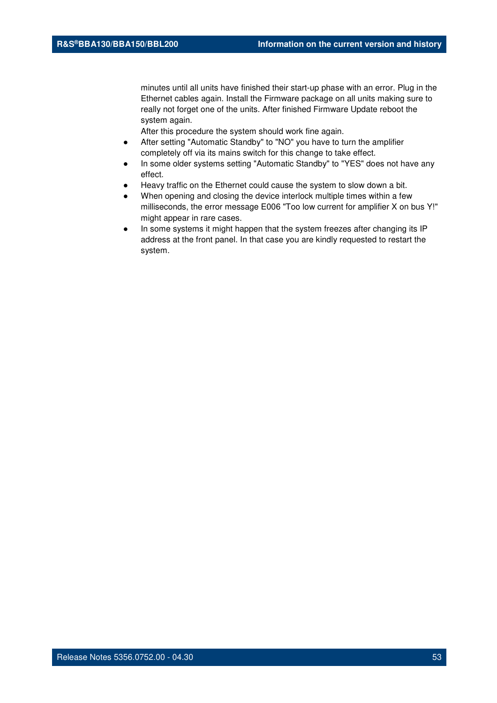minutes until all units have finished their start-up phase with an error. Plug in the Ethernet cables again. Install the Firmware package on all units making sure to really not forget one of the units. After finished Firmware Update reboot the system again.

- After setting "Automatic Standby" to "NO" you have to turn the amplifier completely off via its mains switch for this change to take effect.
- In some older systems setting "Automatic Standby" to "YES" does not have any effect.
- Heavy traffic on the Ethernet could cause the system to slow down a bit.
- When opening and closing the device interlock multiple times within a few milliseconds, the error message E006 "Too low current for amplifier X on bus Y!" might appear in rare cases.
- In some systems it might happen that the system freezes after changing its IP address at the front panel. In that case you are kindly requested to restart the system.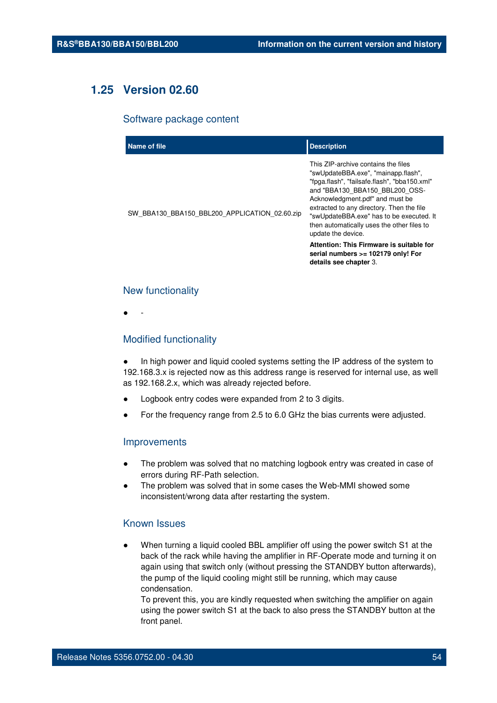# **1.25 Version 02.60**

#### Software package content

| Name of file                                  | <b>Description</b>                                                                                                                                                                                                                                                                                                                                                                                                                                                       |
|-----------------------------------------------|--------------------------------------------------------------------------------------------------------------------------------------------------------------------------------------------------------------------------------------------------------------------------------------------------------------------------------------------------------------------------------------------------------------------------------------------------------------------------|
| SW_BBA130_BBA150_BBL200_APPLICATION_02.60.zip | This ZIP-archive contains the files<br>"swUpdateBBA.exe", "mainapp.flash",<br>"fpga.flash", "failsafe.flash", "bba150.xml"<br>and "BBA130 BBA150 BBL200 OSS-<br>Acknowledgment.pdf" and must be<br>extracted to any directory. Then the file<br>"swUpdateBBA.exe" has to be executed. It<br>then automatically uses the other files to<br>update the device.<br>Attention: This Firmware is suitable for<br>serial numbers >= 102179 only! For<br>details see chapter 3. |
|                                               |                                                                                                                                                                                                                                                                                                                                                                                                                                                                          |

# New functionality

● -

### Modified functionality

In high power and liquid cooled systems setting the IP address of the system to 192.168.3.x is rejected now as this address range is reserved for internal use, as well as 192.168.2.x, which was already rejected before.

- Logbook entry codes were expanded from 2 to 3 digits.
- For the frequency range from 2.5 to 6.0 GHz the bias currents were adjusted.

#### Improvements

- The problem was solved that no matching logbook entry was created in case of errors during RF-Path selection.
- The problem was solved that in some cases the Web-MMI showed some inconsistent/wrong data after restarting the system.

## Known Issues

When turning a liquid cooled BBL amplifier off using the power switch S1 at the back of the rack while having the amplifier in RF-Operate mode and turning it on again using that switch only (without pressing the STANDBY button afterwards), the pump of the liquid cooling might still be running, which may cause condensation.

To prevent this, you are kindly requested when switching the amplifier on again using the power switch S1 at the back to also press the STANDBY button at the front panel.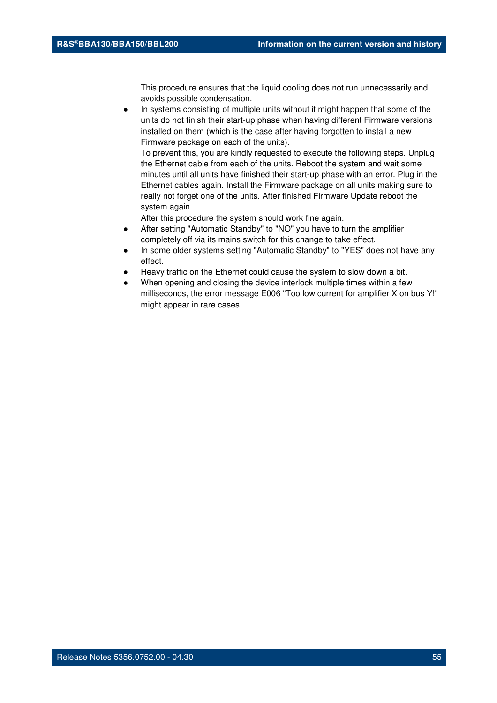This procedure ensures that the liquid cooling does not run unnecessarily and avoids possible condensation.

In systems consisting of multiple units without it might happen that some of the units do not finish their start-up phase when having different Firmware versions installed on them (which is the case after having forgotten to install a new Firmware package on each of the units).

To prevent this, you are kindly requested to execute the following steps. Unplug the Ethernet cable from each of the units. Reboot the system and wait some minutes until all units have finished their start-up phase with an error. Plug in the Ethernet cables again. Install the Firmware package on all units making sure to really not forget one of the units. After finished Firmware Update reboot the system again.

- After setting "Automatic Standby" to "NO" you have to turn the amplifier completely off via its mains switch for this change to take effect.
- In some older systems setting "Automatic Standby" to "YES" does not have any effect.
- Heavy traffic on the Ethernet could cause the system to slow down a bit.
- When opening and closing the device interlock multiple times within a few milliseconds, the error message E006 "Too low current for amplifier X on bus Y!" might appear in rare cases.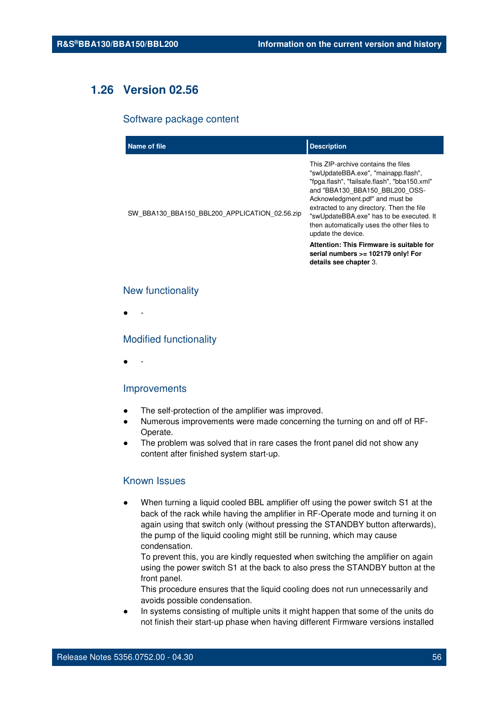# **1.26 Version 02.56**

#### Software package content

| Name of file                                  | <b>Description</b>                                                                                                                                                                                                                                                                                                                                                                                       |
|-----------------------------------------------|----------------------------------------------------------------------------------------------------------------------------------------------------------------------------------------------------------------------------------------------------------------------------------------------------------------------------------------------------------------------------------------------------------|
| SW_BBA130_BBA150_BBL200_APPLICATION_02.56.zip | This ZIP-archive contains the files<br>"swUpdateBBA.exe", "mainapp.flash",<br>"fpga.flash", "failsafe.flash", "bba150.xml"<br>and "BBA130 BBA150 BBL200 OSS-<br>Acknowledgment.pdf" and must be<br>extracted to any directory. Then the file<br>"swUpdateBBA.exe" has to be executed. It<br>then automatically uses the other files to<br>update the device.<br>Attention: This Firmware is suitable for |
|                                               | serial numbers >= 102179 only! For<br>details see chapter 3.                                                                                                                                                                                                                                                                                                                                             |

## New functionality

● -

### Modified functionality

● -

#### Improvements

- The self-protection of the amplifier was improved.
- Numerous improvements were made concerning the turning on and off of RF-Operate.
- The problem was solved that in rare cases the front panel did not show any content after finished system start-up.

# Known Issues

When turning a liquid cooled BBL amplifier off using the power switch S1 at the back of the rack while having the amplifier in RF-Operate mode and turning it on again using that switch only (without pressing the STANDBY button afterwards), the pump of the liquid cooling might still be running, which may cause condensation.

To prevent this, you are kindly requested when switching the amplifier on again using the power switch S1 at the back to also press the STANDBY button at the front panel.

This procedure ensures that the liquid cooling does not run unnecessarily and avoids possible condensation.

In systems consisting of multiple units it might happen that some of the units do not finish their start-up phase when having different Firmware versions installed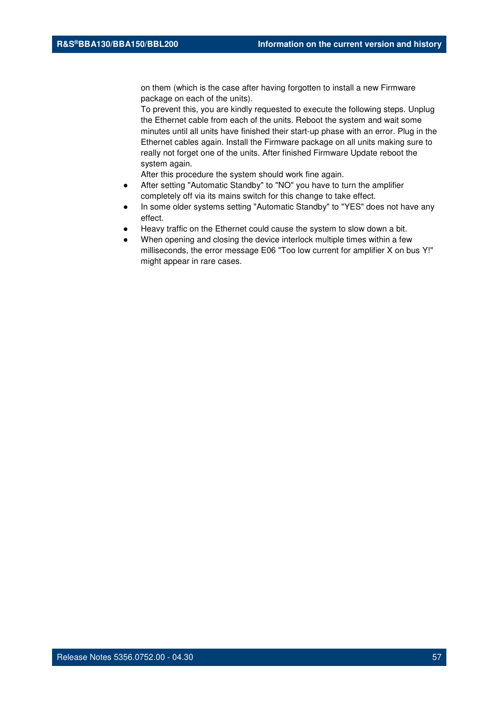on them (which is the case after having forgotten to install a new Firmware package on each of the units).

To prevent this, you are kindly requested to execute the following steps. Unplug the Ethernet cable from each of the units. Reboot the system and wait some minutes until all units have finished their start-up phase with an error. Plug in the Ethernet cables again. Install the Firmware package on all units making sure to really not forget one of the units. After finished Firmware Update reboot the system again.

- After setting "Automatic Standby" to "NO" you have to turn the amplifier completely off via its mains switch for this change to take effect.
- In some older systems setting "Automatic Standby" to "YES" does not have any effect.
- Heavy traffic on the Ethernet could cause the system to slow down a bit.
- When opening and closing the device interlock multiple times within a few milliseconds, the error message E06 "Too low current for amplifier X on bus Y!" might appear in rare cases.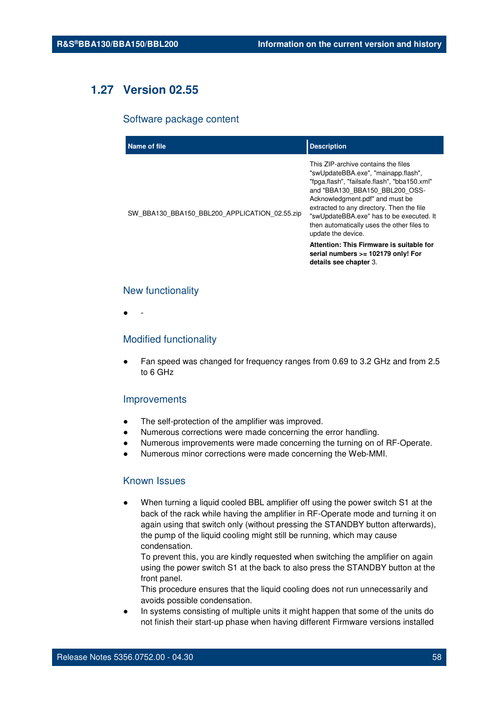# **1.27 Version 02.55**

#### Software package content

| Name of file                                  | <b>Description</b>                                                                                                                                                                                                                                                                                                                                                                                                                                                       |
|-----------------------------------------------|--------------------------------------------------------------------------------------------------------------------------------------------------------------------------------------------------------------------------------------------------------------------------------------------------------------------------------------------------------------------------------------------------------------------------------------------------------------------------|
| SW_BBA130_BBA150_BBL200_APPLICATION_02.55.zip | This ZIP-archive contains the files<br>"swUpdateBBA.exe", "mainapp.flash",<br>"fpga.flash", "failsafe.flash", "bba150.xml"<br>and "BBA130 BBA150 BBL200 OSS-<br>Acknowledgment.pdf" and must be<br>extracted to any directory. Then the file<br>"swUpdateBBA.exe" has to be executed. It<br>then automatically uses the other files to<br>update the device.<br>Attention: This Firmware is suitable for<br>serial numbers >= 102179 only! For<br>details see chapter 3. |
|                                               |                                                                                                                                                                                                                                                                                                                                                                                                                                                                          |

## New functionality

● -

### Modified functionality

● Fan speed was changed for frequency ranges from 0.69 to 3.2 GHz and from 2.5 to 6 GHz

## Improvements

- The self-protection of the amplifier was improved.
- Numerous corrections were made concerning the error handling.
- Numerous improvements were made concerning the turning on of RF-Operate.
- Numerous minor corrections were made concerning the Web-MMI.

# Known Issues

When turning a liquid cooled BBL amplifier off using the power switch S1 at the back of the rack while having the amplifier in RF-Operate mode and turning it on again using that switch only (without pressing the STANDBY button afterwards), the pump of the liquid cooling might still be running, which may cause condensation.

To prevent this, you are kindly requested when switching the amplifier on again using the power switch S1 at the back to also press the STANDBY button at the front panel.

This procedure ensures that the liquid cooling does not run unnecessarily and avoids possible condensation.

In systems consisting of multiple units it might happen that some of the units do not finish their start-up phase when having different Firmware versions installed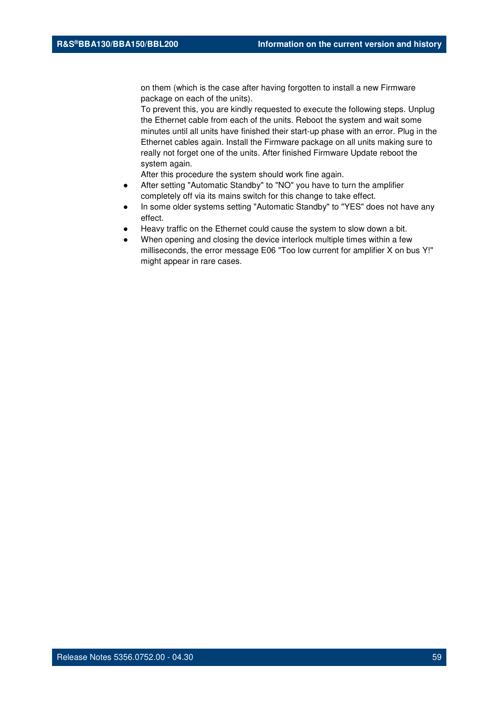on them (which is the case after having forgotten to install a new Firmware package on each of the units).

To prevent this, you are kindly requested to execute the following steps. Unplug the Ethernet cable from each of the units. Reboot the system and wait some minutes until all units have finished their start-up phase with an error. Plug in the Ethernet cables again. Install the Firmware package on all units making sure to really not forget one of the units. After finished Firmware Update reboot the system again.

- After setting "Automatic Standby" to "NO" you have to turn the amplifier completely off via its mains switch for this change to take effect.
- In some older systems setting "Automatic Standby" to "YES" does not have any effect.
- Heavy traffic on the Ethernet could cause the system to slow down a bit.
- When opening and closing the device interlock multiple times within a few milliseconds, the error message E06 "Too low current for amplifier X on bus Y!" might appear in rare cases.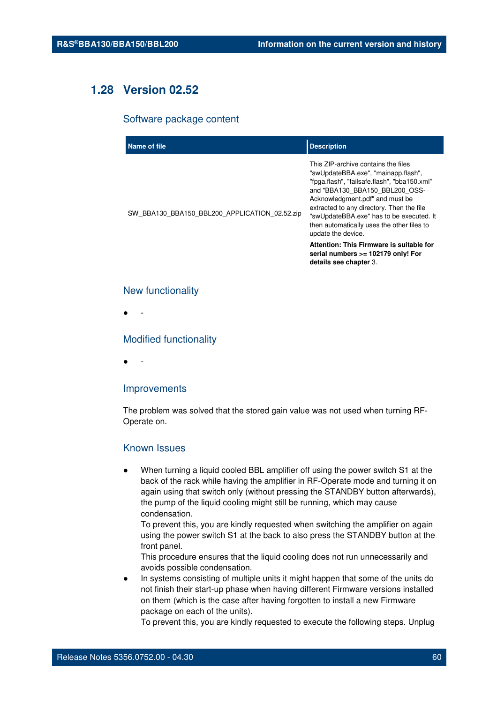# **1.28 Version 02.52**

#### Software package content

| Name of file                                  | <b>Description</b>                                                                                                                                                                                                                                                                                                                                                                                       |
|-----------------------------------------------|----------------------------------------------------------------------------------------------------------------------------------------------------------------------------------------------------------------------------------------------------------------------------------------------------------------------------------------------------------------------------------------------------------|
| SW_BBA130_BBA150_BBL200_APPLICATION_02.52.zip | This ZIP-archive contains the files<br>"swUpdateBBA.exe", "mainapp.flash",<br>"fpga.flash", "failsafe.flash", "bba150.xml"<br>and "BBA130 BBA150 BBL200 OSS-<br>Acknowledgment.pdf" and must be<br>extracted to any directory. Then the file<br>"swUpdateBBA.exe" has to be executed. It<br>then automatically uses the other files to<br>update the device.<br>Attention: This Firmware is suitable for |
|                                               | serial numbers >= 102179 only! For<br>details see chapter 3.                                                                                                                                                                                                                                                                                                                                             |

## New functionality

● -

## Modified functionality

● -

#### Improvements

The problem was solved that the stored gain value was not used when turning RF-Operate on.

### Known Issues

When turning a liquid cooled BBL amplifier off using the power switch S1 at the back of the rack while having the amplifier in RF-Operate mode and turning it on again using that switch only (without pressing the STANDBY button afterwards), the pump of the liquid cooling might still be running, which may cause condensation.

To prevent this, you are kindly requested when switching the amplifier on again using the power switch S1 at the back to also press the STANDBY button at the front panel.

This procedure ensures that the liquid cooling does not run unnecessarily and avoids possible condensation.

In systems consisting of multiple units it might happen that some of the units do not finish their start-up phase when having different Firmware versions installed on them (which is the case after having forgotten to install a new Firmware package on each of the units).

To prevent this, you are kindly requested to execute the following steps. Unplug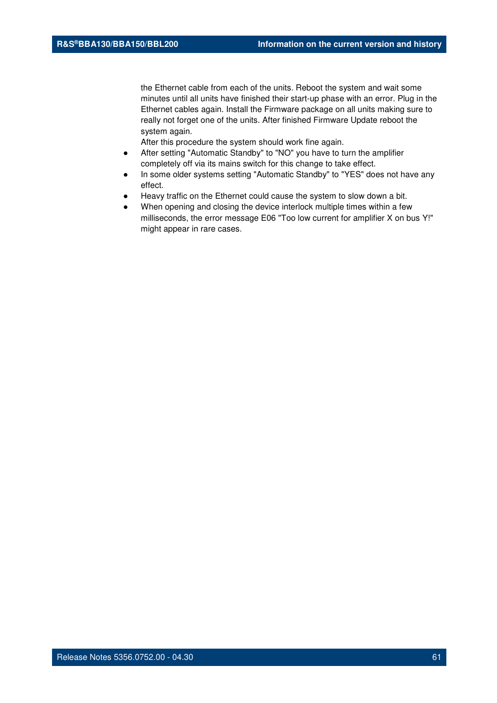the Ethernet cable from each of the units. Reboot the system and wait some minutes until all units have finished their start-up phase with an error. Plug in the Ethernet cables again. Install the Firmware package on all units making sure to really not forget one of the units. After finished Firmware Update reboot the system again.

- After setting "Automatic Standby" to "NO" you have to turn the amplifier completely off via its mains switch for this change to take effect.
- In some older systems setting "Automatic Standby" to "YES" does not have any effect.
- Heavy traffic on the Ethernet could cause the system to slow down a bit.
- When opening and closing the device interlock multiple times within a few milliseconds, the error message E06 "Too low current for amplifier X on bus Y!" might appear in rare cases.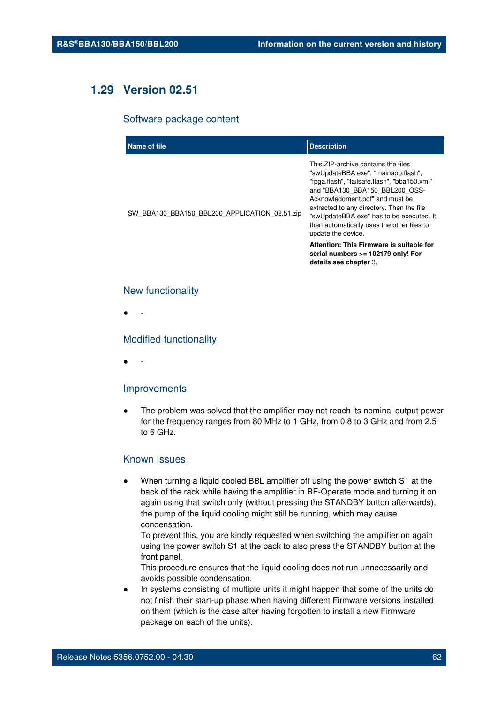# **1.29 Version 02.51**

#### Software package content

| Name of file                                  | <b>Description</b>                                                                                                                                                                                                                                                                                                                                                                                       |
|-----------------------------------------------|----------------------------------------------------------------------------------------------------------------------------------------------------------------------------------------------------------------------------------------------------------------------------------------------------------------------------------------------------------------------------------------------------------|
| SW_BBA130_BBA150_BBL200_APPLICATION_02.51.zip | This ZIP-archive contains the files<br>"swUpdateBBA.exe", "mainapp.flash",<br>"fpga.flash", "failsafe.flash", "bba150.xml"<br>and "BBA130 BBA150 BBL200 OSS-<br>Acknowledgment.pdf" and must be<br>extracted to any directory. Then the file<br>"swUpdateBBA.exe" has to be executed. It<br>then automatically uses the other files to<br>update the device.<br>Attention: This Firmware is suitable for |
|                                               | serial numbers >= 102179 only! For<br>details see chapter 3.                                                                                                                                                                                                                                                                                                                                             |

## New functionality

● -

### Modified functionality

● -

#### Improvements

The problem was solved that the amplifier may not reach its nominal output power for the frequency ranges from 80 MHz to 1 GHz, from 0.8 to 3 GHz and from 2.5 to 6 GHz.

## Known Issues

When turning a liquid cooled BBL amplifier off using the power switch S1 at the back of the rack while having the amplifier in RF-Operate mode and turning it on again using that switch only (without pressing the STANDBY button afterwards), the pump of the liquid cooling might still be running, which may cause condensation.

To prevent this, you are kindly requested when switching the amplifier on again using the power switch S1 at the back to also press the STANDBY button at the front panel.

This procedure ensures that the liquid cooling does not run unnecessarily and avoids possible condensation.

In systems consisting of multiple units it might happen that some of the units do not finish their start-up phase when having different Firmware versions installed on them (which is the case after having forgotten to install a new Firmware package on each of the units).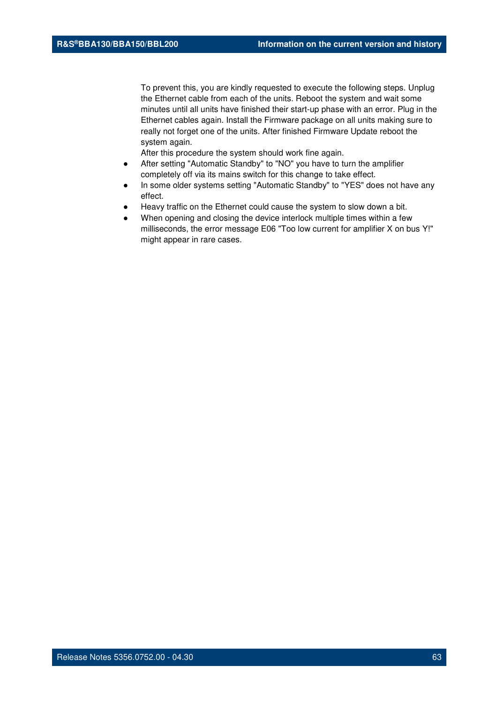To prevent this, you are kindly requested to execute the following steps. Unplug the Ethernet cable from each of the units. Reboot the system and wait some minutes until all units have finished their start-up phase with an error. Plug in the Ethernet cables again. Install the Firmware package on all units making sure to really not forget one of the units. After finished Firmware Update reboot the system again.

- After setting "Automatic Standby" to "NO" you have to turn the amplifier completely off via its mains switch for this change to take effect.
- In some older systems setting "Automatic Standby" to "YES" does not have any effect.
- Heavy traffic on the Ethernet could cause the system to slow down a bit.
- When opening and closing the device interlock multiple times within a few milliseconds, the error message E06 "Too low current for amplifier X on bus Y!" might appear in rare cases.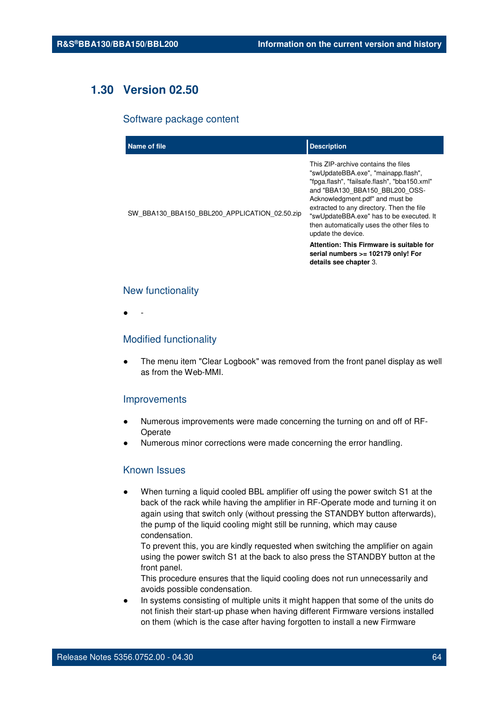# **1.30 Version 02.50**

#### Software package content

| Name of file                                  | <b>Description</b>                                                                                                                                                                                                                                                                                                                                           |
|-----------------------------------------------|--------------------------------------------------------------------------------------------------------------------------------------------------------------------------------------------------------------------------------------------------------------------------------------------------------------------------------------------------------------|
| SW BBA130 BBA150 BBL200 APPLICATION 02.50.zip | This ZIP-archive contains the files<br>"swUpdateBBA.exe", "mainapp.flash",<br>"fpga.flash", "failsafe.flash", "bba150.xml"<br>and "BBA130 BBA150 BBL200 OSS-<br>Acknowledgment.pdf" and must be<br>extracted to any directory. Then the file<br>"swUpdateBBA.exe" has to be executed. It<br>then automatically uses the other files to<br>update the device. |
|                                               | Attention: This Firmware is suitable for<br>serial numbers >= 102179 only! For<br>details see chapter 3.                                                                                                                                                                                                                                                     |

## New functionality

● -

## Modified functionality

The menu item "Clear Logbook" was removed from the front panel display as well as from the Web-MMI.

# Improvements

- Numerous improvements were made concerning the turning on and off of RF-Operate
- Numerous minor corrections were made concerning the error handling.

# Known Issues

When turning a liquid cooled BBL amplifier off using the power switch S1 at the back of the rack while having the amplifier in RF-Operate mode and turning it on again using that switch only (without pressing the STANDBY button afterwards), the pump of the liquid cooling might still be running, which may cause condensation.

To prevent this, you are kindly requested when switching the amplifier on again using the power switch S1 at the back to also press the STANDBY button at the front panel.

This procedure ensures that the liquid cooling does not run unnecessarily and avoids possible condensation.

In systems consisting of multiple units it might happen that some of the units do not finish their start-up phase when having different Firmware versions installed on them (which is the case after having forgotten to install a new Firmware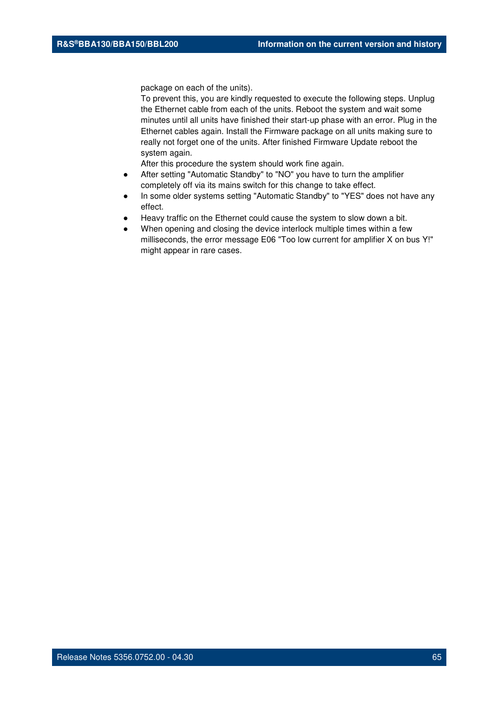package on each of the units).

To prevent this, you are kindly requested to execute the following steps. Unplug the Ethernet cable from each of the units. Reboot the system and wait some minutes until all units have finished their start-up phase with an error. Plug in the Ethernet cables again. Install the Firmware package on all units making sure to really not forget one of the units. After finished Firmware Update reboot the system again.

- After setting "Automatic Standby" to "NO" you have to turn the amplifier completely off via its mains switch for this change to take effect.
- In some older systems setting "Automatic Standby" to "YES" does not have any effect.
- Heavy traffic on the Ethernet could cause the system to slow down a bit.
- When opening and closing the device interlock multiple times within a few milliseconds, the error message E06 "Too low current for amplifier X on bus Y!" might appear in rare cases.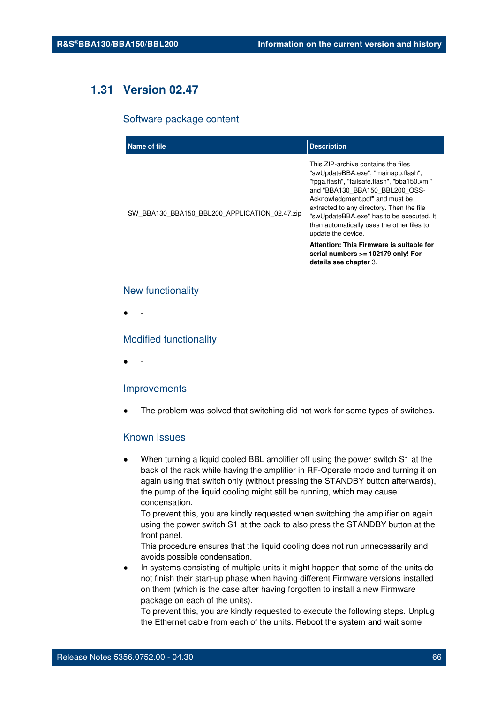# **1.31 Version 02.47**

#### Software package content

| Name of file                                  | <b>Description</b>                                                                                                                                                                                                                                                                                                                                           |
|-----------------------------------------------|--------------------------------------------------------------------------------------------------------------------------------------------------------------------------------------------------------------------------------------------------------------------------------------------------------------------------------------------------------------|
| SW BBA130 BBA150 BBL200 APPLICATION 02.47.zip | This ZIP-archive contains the files<br>"swUpdateBBA.exe", "mainapp.flash",<br>"fpga.flash", "failsafe.flash", "bba150.xml"<br>and "BBA130 BBA150 BBL200 OSS-<br>Acknowledgment.pdf" and must be<br>extracted to any directory. Then the file<br>"swUpdateBBA.exe" has to be executed. It<br>then automatically uses the other files to<br>update the device. |
|                                               | Attention: This Firmware is suitable for<br>serial numbers >= 102179 only! For<br>details see chapter 3.                                                                                                                                                                                                                                                     |

## New functionality

● -

## Modified functionality

● -

#### Improvements

The problem was solved that switching did not work for some types of switches.

# Known Issues

When turning a liquid cooled BBL amplifier off using the power switch S1 at the back of the rack while having the amplifier in RF-Operate mode and turning it on again using that switch only (without pressing the STANDBY button afterwards), the pump of the liquid cooling might still be running, which may cause condensation.

To prevent this, you are kindly requested when switching the amplifier on again using the power switch S1 at the back to also press the STANDBY button at the front panel.

This procedure ensures that the liquid cooling does not run unnecessarily and avoids possible condensation.

In systems consisting of multiple units it might happen that some of the units do not finish their start-up phase when having different Firmware versions installed on them (which is the case after having forgotten to install a new Firmware package on each of the units).

To prevent this, you are kindly requested to execute the following steps. Unplug the Ethernet cable from each of the units. Reboot the system and wait some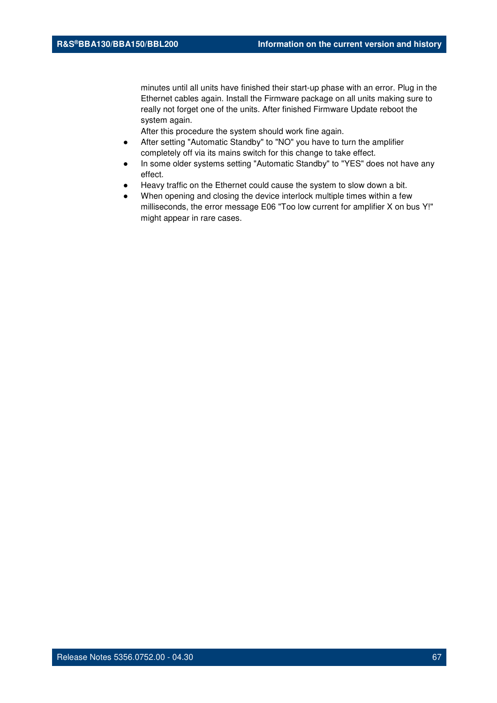minutes until all units have finished their start-up phase with an error. Plug in the Ethernet cables again. Install the Firmware package on all units making sure to really not forget one of the units. After finished Firmware Update reboot the system again.

- After setting "Automatic Standby" to "NO" you have to turn the amplifier completely off via its mains switch for this change to take effect.
- In some older systems setting "Automatic Standby" to "YES" does not have any effect.
- Heavy traffic on the Ethernet could cause the system to slow down a bit.
- When opening and closing the device interlock multiple times within a few milliseconds, the error message E06 "Too low current for amplifier X on bus Y!" might appear in rare cases.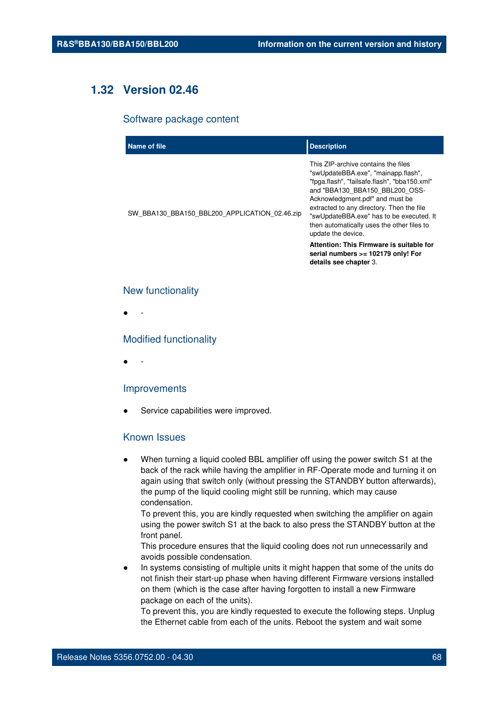# **1.32 Version 02.46**

#### Software package content

| Name of file                                  | <b>Description</b>                                                                                                                                                                                                                                                                                                                                           |
|-----------------------------------------------|--------------------------------------------------------------------------------------------------------------------------------------------------------------------------------------------------------------------------------------------------------------------------------------------------------------------------------------------------------------|
| SW BBA130 BBA150 BBL200 APPLICATION 02.46.zip | This ZIP-archive contains the files<br>"swUpdateBBA.exe", "mainapp.flash",<br>"fpga.flash", "failsafe.flash", "bba150.xml"<br>and "BBA130 BBA150 BBL200 OSS-<br>Acknowledgment.pdf" and must be<br>extracted to any directory. Then the file<br>"swUpdateBBA.exe" has to be executed. It<br>then automatically uses the other files to<br>update the device. |
|                                               | Attention: This Firmware is suitable for<br>serial numbers >= 102179 only! For<br>details see chapter 3.                                                                                                                                                                                                                                                     |

## New functionality

● -

## Modified functionality

● -

## Improvements

Service capabilities were improved.

# Known Issues

When turning a liquid cooled BBL amplifier off using the power switch S1 at the back of the rack while having the amplifier in RF-Operate mode and turning it on again using that switch only (without pressing the STANDBY button afterwards), the pump of the liquid cooling might still be running, which may cause condensation.

To prevent this, you are kindly requested when switching the amplifier on again using the power switch S1 at the back to also press the STANDBY button at the front panel.

This procedure ensures that the liquid cooling does not run unnecessarily and avoids possible condensation.

In systems consisting of multiple units it might happen that some of the units do not finish their start-up phase when having different Firmware versions installed on them (which is the case after having forgotten to install a new Firmware package on each of the units).

To prevent this, you are kindly requested to execute the following steps. Unplug the Ethernet cable from each of the units. Reboot the system and wait some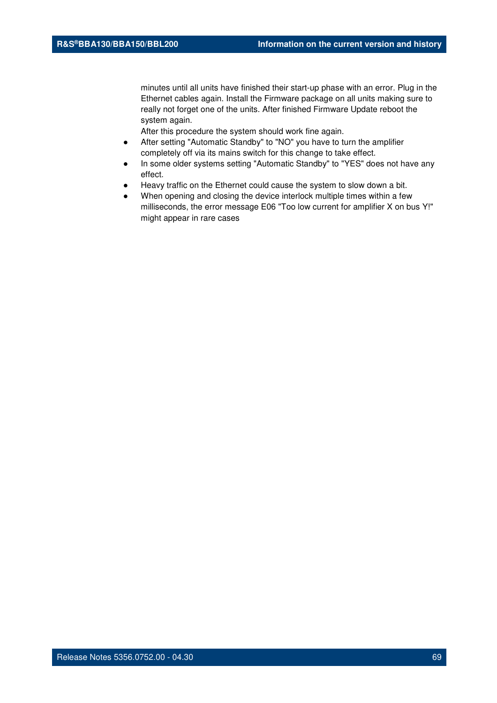minutes until all units have finished their start-up phase with an error. Plug in the Ethernet cables again. Install the Firmware package on all units making sure to really not forget one of the units. After finished Firmware Update reboot the system again.

- After setting "Automatic Standby" to "NO" you have to turn the amplifier completely off via its mains switch for this change to take effect.
- In some older systems setting "Automatic Standby" to "YES" does not have any effect.
- Heavy traffic on the Ethernet could cause the system to slow down a bit.
- When opening and closing the device interlock multiple times within a few milliseconds, the error message E06 "Too low current for amplifier X on bus Y!" might appear in rare cases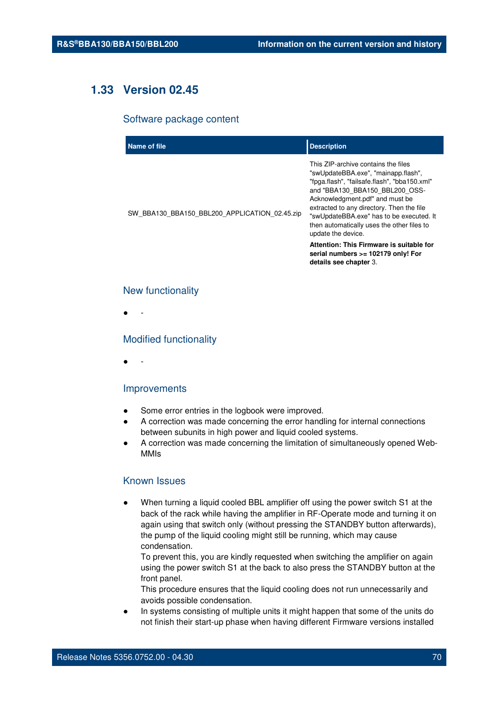# **1.33 Version 02.45**

#### Software package content

| Name of file                                  | <b>Description</b>                                                                                                                                                                                                                                                                                                                                           |
|-----------------------------------------------|--------------------------------------------------------------------------------------------------------------------------------------------------------------------------------------------------------------------------------------------------------------------------------------------------------------------------------------------------------------|
| SW_BBA130_BBA150_BBL200_APPLICATION_02.45.zip | This ZIP-archive contains the files<br>"swUpdateBBA.exe", "mainapp.flash",<br>"fpga.flash", "failsafe.flash", "bba150.xml"<br>and "BBA130 BBA150 BBL200 OSS-<br>Acknowledgment.pdf" and must be<br>extracted to any directory. Then the file<br>"swUpdateBBA.exe" has to be executed. It<br>then automatically uses the other files to<br>update the device. |
|                                               | Attention: This Firmware is suitable for<br>serial numbers >= 102179 only! For<br>details see chapter 3.                                                                                                                                                                                                                                                     |

## New functionality

● -

### Modified functionality

● -

## Improvements

- Some error entries in the logbook were improved.
- A correction was made concerning the error handling for internal connections between subunits in high power and liquid cooled systems.
- A correction was made concerning the limitation of simultaneously opened Web-MMIs

# Known Issues

When turning a liquid cooled BBL amplifier off using the power switch S1 at the back of the rack while having the amplifier in RF-Operate mode and turning it on again using that switch only (without pressing the STANDBY button afterwards), the pump of the liquid cooling might still be running, which may cause condensation.

To prevent this, you are kindly requested when switching the amplifier on again using the power switch S1 at the back to also press the STANDBY button at the front panel.

This procedure ensures that the liquid cooling does not run unnecessarily and avoids possible condensation.

In systems consisting of multiple units it might happen that some of the units do not finish their start-up phase when having different Firmware versions installed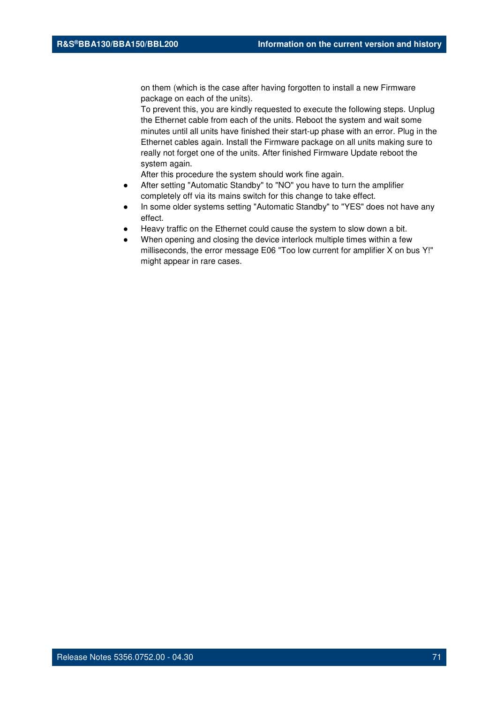on them (which is the case after having forgotten to install a new Firmware package on each of the units).

To prevent this, you are kindly requested to execute the following steps. Unplug the Ethernet cable from each of the units. Reboot the system and wait some minutes until all units have finished their start-up phase with an error. Plug in the Ethernet cables again. Install the Firmware package on all units making sure to really not forget one of the units. After finished Firmware Update reboot the system again.

- After setting "Automatic Standby" to "NO" you have to turn the amplifier completely off via its mains switch for this change to take effect.
- In some older systems setting "Automatic Standby" to "YES" does not have any effect.
- Heavy traffic on the Ethernet could cause the system to slow down a bit.
- When opening and closing the device interlock multiple times within a few milliseconds, the error message E06 "Too low current for amplifier X on bus Y!" might appear in rare cases.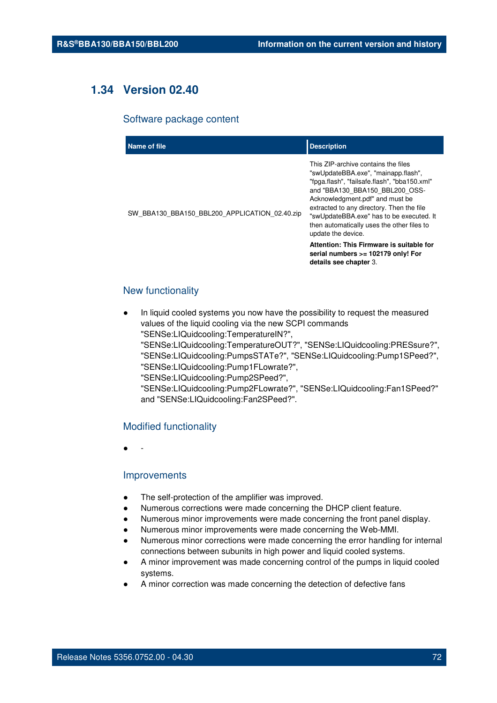# **1.34 Version 02.40**

#### Software package content

| Name of file                                  | <b>Description</b>                                                                                                                                                                                                                                                                                                                                                                                       |
|-----------------------------------------------|----------------------------------------------------------------------------------------------------------------------------------------------------------------------------------------------------------------------------------------------------------------------------------------------------------------------------------------------------------------------------------------------------------|
| SW_BBA130_BBA150_BBL200_APPLICATION_02.40.zip | This ZIP-archive contains the files<br>"swUpdateBBA.exe", "mainapp.flash",<br>"fpga.flash", "failsafe.flash", "bba150.xml"<br>and "BBA130 BBA150 BBL200 OSS-<br>Acknowledgment.pdf" and must be<br>extracted to any directory. Then the file<br>"swUpdateBBA.exe" has to be executed. It<br>then automatically uses the other files to<br>update the device.<br>Attention: This Firmware is suitable for |
|                                               | serial numbers >= 102179 only! For<br>details see chapter 3.                                                                                                                                                                                                                                                                                                                                             |

# New functionality

In liquid cooled systems you now have the possibility to request the measured values of the liquid cooling via the new SCPI commands "SENSe:LIQuidcooling:TemperatureIN?", "SENSe:LIQuidcooling:TemperatureOUT?", "SENSe:LIQuidcooling:PRESsure?", "SENSe:LIQuidcooling:PumpsSTATe?", "SENSe:LIQuidcooling:Pump1SPeed?", "SENSe:LIQuidcooling:Pump1FLowrate?", "SENSe:LIQuidcooling:Pump2SPeed?", "SENSe:LIQuidcooling:Pump2FLowrate?", "SENSe:LIQuidcooling:Fan1SPeed?"

and "SENSe:LIQuidcooling:Fan2SPeed?".

# Modified functionality

● -

#### Improvements

- The self-protection of the amplifier was improved.
- Numerous corrections were made concerning the DHCP client feature.
- Numerous minor improvements were made concerning the front panel display.
- Numerous minor improvements were made concerning the Web-MMI.
- Numerous minor corrections were made concerning the error handling for internal connections between subunits in high power and liquid cooled systems.
- A minor improvement was made concerning control of the pumps in liquid cooled systems.
- A minor correction was made concerning the detection of defective fans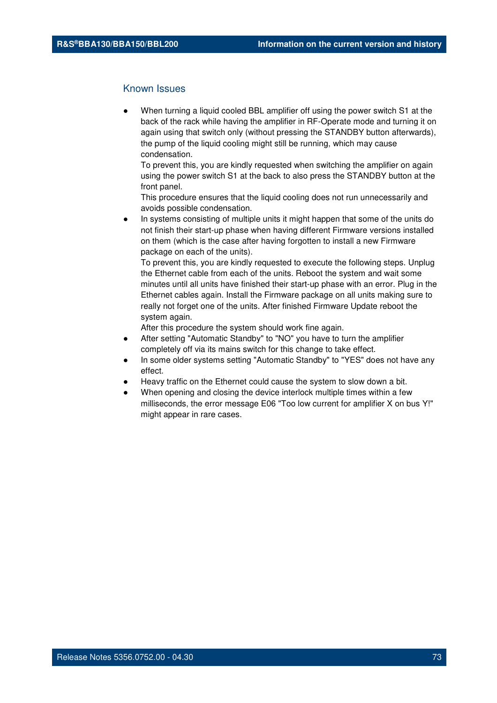When turning a liquid cooled BBL amplifier off using the power switch S1 at the back of the rack while having the amplifier in RF-Operate mode and turning it on again using that switch only (without pressing the STANDBY button afterwards), the pump of the liquid cooling might still be running, which may cause condensation.

To prevent this, you are kindly requested when switching the amplifier on again using the power switch S1 at the back to also press the STANDBY button at the front panel.

This procedure ensures that the liquid cooling does not run unnecessarily and avoids possible condensation.

In systems consisting of multiple units it might happen that some of the units do not finish their start-up phase when having different Firmware versions installed on them (which is the case after having forgotten to install a new Firmware package on each of the units).

To prevent this, you are kindly requested to execute the following steps. Unplug the Ethernet cable from each of the units. Reboot the system and wait some minutes until all units have finished their start-up phase with an error. Plug in the Ethernet cables again. Install the Firmware package on all units making sure to really not forget one of the units. After finished Firmware Update reboot the system again.

After this procedure the system should work fine again.

- After setting "Automatic Standby" to "NO" you have to turn the amplifier completely off via its mains switch for this change to take effect.
- In some older systems setting "Automatic Standby" to "YES" does not have any effect.
- Heavy traffic on the Ethernet could cause the system to slow down a bit.
- When opening and closing the device interlock multiple times within a few milliseconds, the error message E06 "Too low current for amplifier X on bus Y!" might appear in rare cases.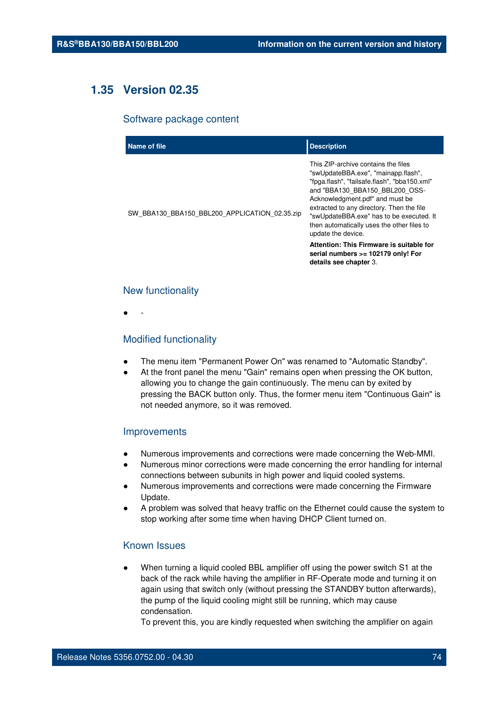# **1.35 Version 02.35**

#### Software package content

| Name of file                                  | <b>Description</b>                                                                                                                                                                                                                                                                                                                                           |
|-----------------------------------------------|--------------------------------------------------------------------------------------------------------------------------------------------------------------------------------------------------------------------------------------------------------------------------------------------------------------------------------------------------------------|
| SW BBA130 BBA150 BBL200 APPLICATION 02.35.zip | This ZIP-archive contains the files<br>"swUpdateBBA.exe", "mainapp.flash",<br>"fpga.flash", "failsafe.flash", "bba150.xml"<br>and "BBA130 BBA150 BBL200 OSS-<br>Acknowledgment.pdf" and must be<br>extracted to any directory. Then the file<br>"swUpdateBBA.exe" has to be executed. It<br>then automatically uses the other files to<br>update the device. |
|                                               | Attention: This Firmware is suitable for<br>serial numbers >= 102179 only! For<br>details see chapter 3.                                                                                                                                                                                                                                                     |

### New functionality

● -

# Modified functionality

- The menu item "Permanent Power On" was renamed to "Automatic Standby".
- At the front panel the menu "Gain" remains open when pressing the OK button, allowing you to change the gain continuously. The menu can by exited by pressing the BACK button only. Thus, the former menu item "Continuous Gain" is not needed anymore, so it was removed.

#### Improvements

- Numerous improvements and corrections were made concerning the Web-MMI.
- Numerous minor corrections were made concerning the error handling for internal connections between subunits in high power and liquid cooled systems.
- Numerous improvements and corrections were made concerning the Firmware Update.
- A problem was solved that heavy traffic on the Ethernet could cause the system to stop working after some time when having DHCP Client turned on.

# Known Issues

When turning a liquid cooled BBL amplifier off using the power switch S1 at the back of the rack while having the amplifier in RF-Operate mode and turning it on again using that switch only (without pressing the STANDBY button afterwards), the pump of the liquid cooling might still be running, which may cause condensation.

To prevent this, you are kindly requested when switching the amplifier on again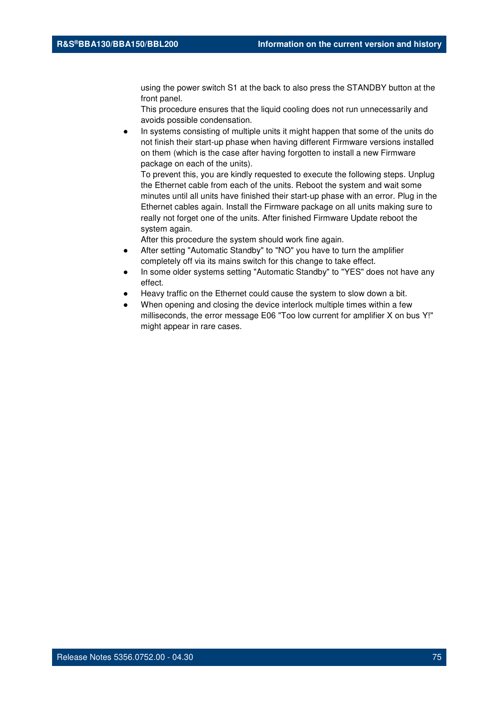using the power switch S1 at the back to also press the STANDBY button at the front panel.

This procedure ensures that the liquid cooling does not run unnecessarily and avoids possible condensation.

In systems consisting of multiple units it might happen that some of the units do not finish their start-up phase when having different Firmware versions installed on them (which is the case after having forgotten to install a new Firmware package on each of the units).

To prevent this, you are kindly requested to execute the following steps. Unplug the Ethernet cable from each of the units. Reboot the system and wait some minutes until all units have finished their start-up phase with an error. Plug in the Ethernet cables again. Install the Firmware package on all units making sure to really not forget one of the units. After finished Firmware Update reboot the system again.

After this procedure the system should work fine again.

- After setting "Automatic Standby" to "NO" you have to turn the amplifier completely off via its mains switch for this change to take effect.
- In some older systems setting "Automatic Standby" to "YES" does not have any effect.
- Heavy traffic on the Ethernet could cause the system to slow down a bit.
- When opening and closing the device interlock multiple times within a few milliseconds, the error message E06 "Too low current for amplifier X on bus Y!" might appear in rare cases.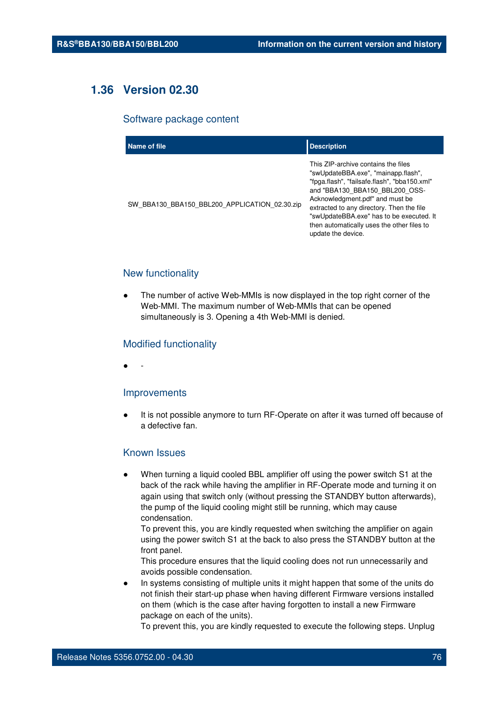# **1.36 Version 02.30**

#### Software package content

| Name of file                                  | <b>Description</b>                                                                                                                                                                                                                                                                                                                                           |
|-----------------------------------------------|--------------------------------------------------------------------------------------------------------------------------------------------------------------------------------------------------------------------------------------------------------------------------------------------------------------------------------------------------------------|
| SW BBA130 BBA150 BBL200 APPLICATION 02.30.zip | This ZIP-archive contains the files<br>"swUpdateBBA.exe", "mainapp.flash",<br>"fpga.flash", "failsafe.flash", "bba150.xml"<br>and "BBA130 BBA150 BBL200 OSS-<br>Acknowledgment.pdf" and must be<br>extracted to any directory. Then the file<br>"swUpdateBBA.exe" has to be executed. It<br>then automatically uses the other files to<br>update the device. |

# New functionality

The number of active Web-MMIs is now displayed in the top right corner of the Web-MMI. The maximum number of Web-MMIs that can be opened simultaneously is 3. Opening a 4th Web-MMI is denied.

## Modified functionality

● -

#### Improvements

It is not possible anymore to turn RF-Operate on after it was turned off because of a defective fan.

# Known Issues

When turning a liquid cooled BBL amplifier off using the power switch S1 at the back of the rack while having the amplifier in RF-Operate mode and turning it on again using that switch only (without pressing the STANDBY button afterwards), the pump of the liquid cooling might still be running, which may cause condensation.

To prevent this, you are kindly requested when switching the amplifier on again using the power switch S1 at the back to also press the STANDBY button at the front panel.

This procedure ensures that the liquid cooling does not run unnecessarily and avoids possible condensation.

In systems consisting of multiple units it might happen that some of the units do not finish their start-up phase when having different Firmware versions installed on them (which is the case after having forgotten to install a new Firmware package on each of the units).

To prevent this, you are kindly requested to execute the following steps. Unplug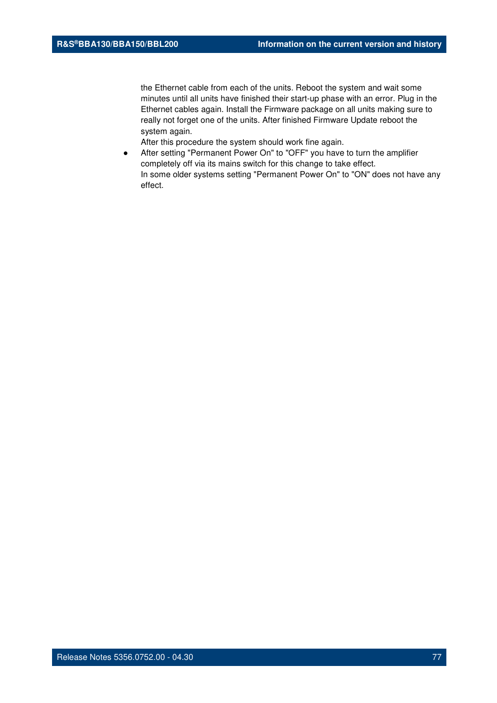the Ethernet cable from each of the units. Reboot the system and wait some minutes until all units have finished their start-up phase with an error. Plug in the Ethernet cables again. Install the Firmware package on all units making sure to really not forget one of the units. After finished Firmware Update reboot the system again.

After this procedure the system should work fine again.

● After setting "Permanent Power On" to "OFF" you have to turn the amplifier completely off via its mains switch for this change to take effect. In some older systems setting "Permanent Power On" to "ON" does not have any effect.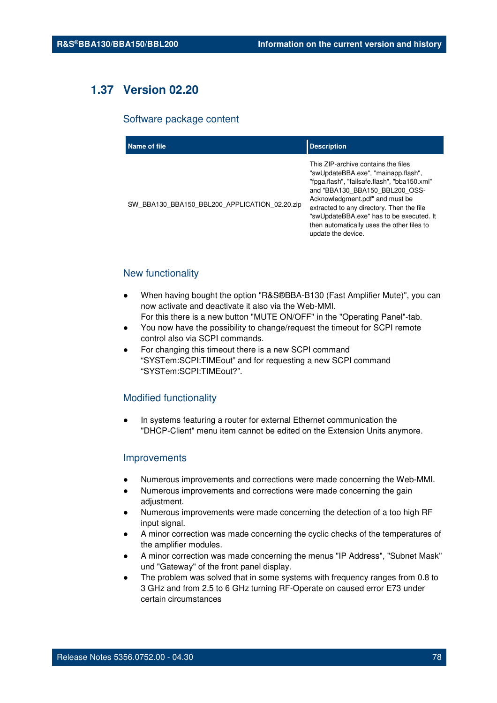# **1.37 Version 02.20**

#### Software package content

| Name of file                                  | <b>Description</b>                                                                                                                                                                                                                                                                                                                                           |
|-----------------------------------------------|--------------------------------------------------------------------------------------------------------------------------------------------------------------------------------------------------------------------------------------------------------------------------------------------------------------------------------------------------------------|
| SW_BBA130_BBA150_BBL200_APPLICATION_02.20.zip | This ZIP-archive contains the files<br>"swUpdateBBA.exe", "mainapp.flash",<br>"fpga.flash", "failsafe.flash", "bba150.xml"<br>and "BBA130 BBA150 BBL200 OSS-<br>Acknowledgment.pdf" and must be<br>extracted to any directory. Then the file<br>"swUpdateBBA.exe" has to be executed. It<br>then automatically uses the other files to<br>update the device. |

# New functionality

- When having bought the option "R&S®BBA-B130 (Fast Amplifier Mute)", you can now activate and deactivate it also via the Web-MMI. For this there is a new button "MUTE ON/OFF" in the "Operating Panel"-tab.
- You now have the possibility to change/request the timeout for SCPI remote control also via SCPI commands.
- For changing this timeout there is a new SCPI command "SYSTem:SCPI:TIMEout" and for requesting a new SCPI command "SYSTem:SCPI:TIMEout?".

## Modified functionality

In systems featuring a router for external Ethernet communication the "DHCP-Client" menu item cannot be edited on the Extension Units anymore.

### Improvements

- Numerous improvements and corrections were made concerning the Web-MMI.
- Numerous improvements and corrections were made concerning the gain adjustment.
- Numerous improvements were made concerning the detection of a too high RF input signal.
- A minor correction was made concerning the cyclic checks of the temperatures of the amplifier modules.
- A minor correction was made concerning the menus "IP Address", "Subnet Mask" und "Gateway" of the front panel display.
- The problem was solved that in some systems with frequency ranges from 0.8 to 3 GHz and from 2.5 to 6 GHz turning RF-Operate on caused error E73 under certain circumstances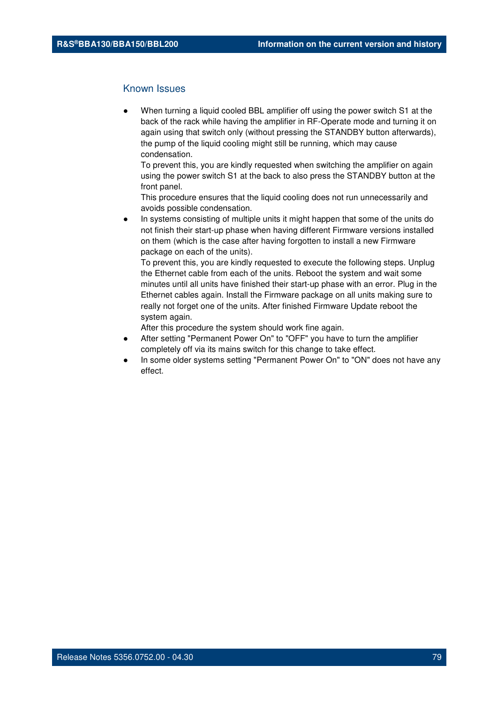When turning a liquid cooled BBL amplifier off using the power switch S1 at the back of the rack while having the amplifier in RF-Operate mode and turning it on again using that switch only (without pressing the STANDBY button afterwards), the pump of the liquid cooling might still be running, which may cause condensation.

To prevent this, you are kindly requested when switching the amplifier on again using the power switch S1 at the back to also press the STANDBY button at the front panel.

This procedure ensures that the liquid cooling does not run unnecessarily and avoids possible condensation.

In systems consisting of multiple units it might happen that some of the units do not finish their start-up phase when having different Firmware versions installed on them (which is the case after having forgotten to install a new Firmware package on each of the units).

To prevent this, you are kindly requested to execute the following steps. Unplug the Ethernet cable from each of the units. Reboot the system and wait some minutes until all units have finished their start-up phase with an error. Plug in the Ethernet cables again. Install the Firmware package on all units making sure to really not forget one of the units. After finished Firmware Update reboot the system again.

After this procedure the system should work fine again.

- After setting "Permanent Power On" to "OFF" you have to turn the amplifier completely off via its mains switch for this change to take effect.
- In some older systems setting "Permanent Power On" to "ON" does not have any effect.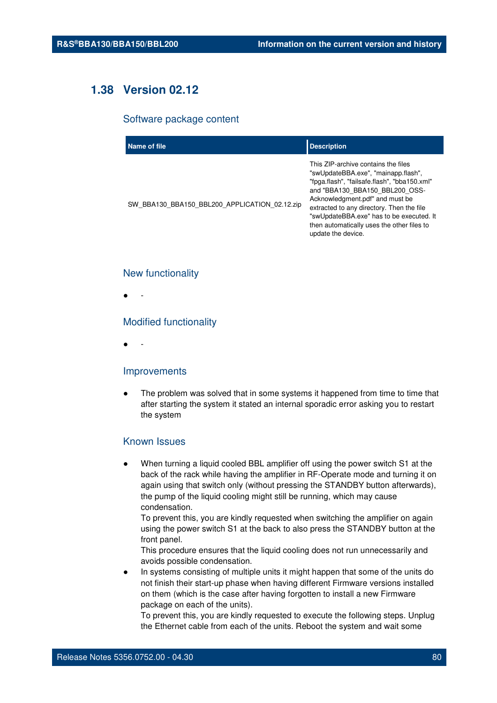# **1.38 Version 02.12**

#### Software package content

| Name of file                                  | <b>Description</b>                                                                                                                                                                                                                                                                                                                                           |
|-----------------------------------------------|--------------------------------------------------------------------------------------------------------------------------------------------------------------------------------------------------------------------------------------------------------------------------------------------------------------------------------------------------------------|
| SW_BBA130_BBA150_BBL200_APPLICATION_02.12.zip | This ZIP-archive contains the files<br>"swUpdateBBA.exe", "mainapp.flash",<br>"fpga.flash", "failsafe.flash", "bba150.xml"<br>and "BBA130 BBA150 BBL200 OSS-<br>Acknowledgment.pdf" and must be<br>extracted to any directory. Then the file<br>"swUpdateBBA.exe" has to be executed. It<br>then automatically uses the other files to<br>update the device. |

### New functionality

● -

## Modified functionality

● -

#### Improvements

The problem was solved that in some systems it happened from time to time that after starting the system it stated an internal sporadic error asking you to restart the system

#### Known Issues

When turning a liquid cooled BBL amplifier off using the power switch S1 at the back of the rack while having the amplifier in RF-Operate mode and turning it on again using that switch only (without pressing the STANDBY button afterwards), the pump of the liquid cooling might still be running, which may cause condensation.

To prevent this, you are kindly requested when switching the amplifier on again using the power switch S1 at the back to also press the STANDBY button at the front panel.

This procedure ensures that the liquid cooling does not run unnecessarily and avoids possible condensation.

In systems consisting of multiple units it might happen that some of the units do not finish their start-up phase when having different Firmware versions installed on them (which is the case after having forgotten to install a new Firmware package on each of the units).

To prevent this, you are kindly requested to execute the following steps. Unplug the Ethernet cable from each of the units. Reboot the system and wait some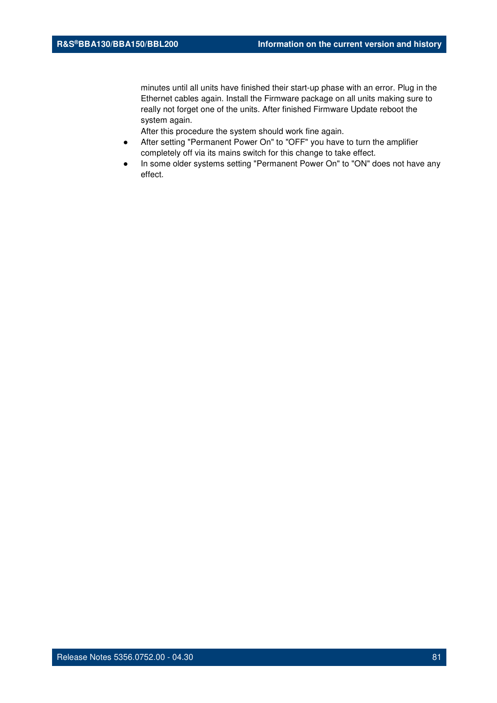minutes until all units have finished their start-up phase with an error. Plug in the Ethernet cables again. Install the Firmware package on all units making sure to really not forget one of the units. After finished Firmware Update reboot the system again.

After this procedure the system should work fine again.

- After setting "Permanent Power On" to "OFF" you have to turn the amplifier completely off via its mains switch for this change to take effect.
- In some older systems setting "Permanent Power On" to "ON" does not have any effect.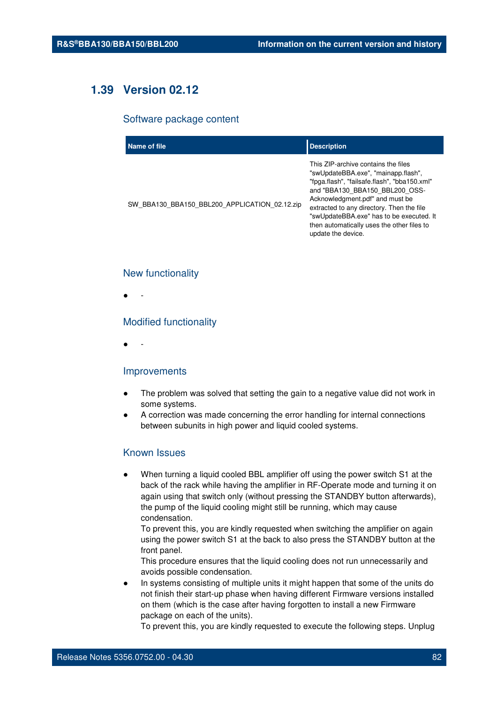# **1.39 Version 02.12**

#### Software package content

| Name of file                                  | <b>Description</b>                                                                                                                                                                                                                                                                                                                                           |
|-----------------------------------------------|--------------------------------------------------------------------------------------------------------------------------------------------------------------------------------------------------------------------------------------------------------------------------------------------------------------------------------------------------------------|
| SW BBA130 BBA150 BBL200 APPLICATION 02.12.zip | This ZIP-archive contains the files<br>"swUpdateBBA.exe", "mainapp.flash",<br>"fpga.flash", "failsafe.flash", "bba150.xml"<br>and "BBA130 BBA150 BBL200 OSS-<br>Acknowledgment.pdf" and must be<br>extracted to any directory. Then the file<br>"swUpdateBBA.exe" has to be executed. It<br>then automatically uses the other files to<br>update the device. |

#### New functionality

● -

### Modified functionality

● -

#### Improvements

- The problem was solved that setting the gain to a negative value did not work in some systems.
- A correction was made concerning the error handling for internal connections between subunits in high power and liquid cooled systems.

# Known Issues

When turning a liquid cooled BBL amplifier off using the power switch S1 at the back of the rack while having the amplifier in RF-Operate mode and turning it on again using that switch only (without pressing the STANDBY button afterwards), the pump of the liquid cooling might still be running, which may cause condensation.

To prevent this, you are kindly requested when switching the amplifier on again using the power switch S1 at the back to also press the STANDBY button at the front panel.

This procedure ensures that the liquid cooling does not run unnecessarily and avoids possible condensation.

In systems consisting of multiple units it might happen that some of the units do not finish their start-up phase when having different Firmware versions installed on them (which is the case after having forgotten to install a new Firmware package on each of the units).

To prevent this, you are kindly requested to execute the following steps. Unplug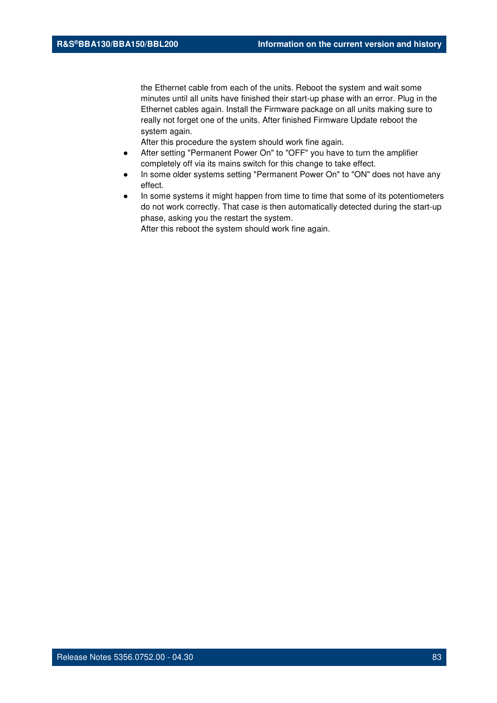the Ethernet cable from each of the units. Reboot the system and wait some minutes until all units have finished their start-up phase with an error. Plug in the Ethernet cables again. Install the Firmware package on all units making sure to really not forget one of the units. After finished Firmware Update reboot the system again.

After this procedure the system should work fine again.

- After setting "Permanent Power On" to "OFF" you have to turn the amplifier completely off via its mains switch for this change to take effect.
- In some older systems setting "Permanent Power On" to "ON" does not have any effect.
- In some systems it might happen from time to time that some of its potentiometers do not work correctly. That case is then automatically detected during the start-up phase, asking you the restart the system.

After this reboot the system should work fine again.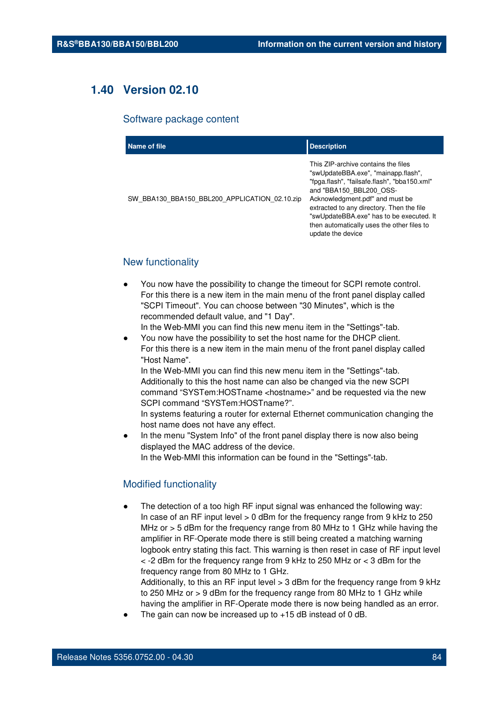# **1.40 Version 02.10**

#### Software package content

| Name of file                                  | <b>Description</b>                                                                                                                                                                                                                                                                                                                                   |
|-----------------------------------------------|------------------------------------------------------------------------------------------------------------------------------------------------------------------------------------------------------------------------------------------------------------------------------------------------------------------------------------------------------|
| SW BBA130 BBA150 BBL200 APPLICATION 02.10.zip | This ZIP-archive contains the files<br>"swUpdateBBA.exe", "mainapp.flash",<br>"fpga.flash", "failsafe.flash", "bba150.xml"<br>and "BBA150 BBL200 OSS-<br>Acknowledgment.pdf" and must be<br>extracted to any directory. Then the file<br>"swUpdateBBA.exe" has to be executed. It<br>then automatically uses the other files to<br>update the device |

# New functionality

- You now have the possibility to change the timeout for SCPI remote control. For this there is a new item in the main menu of the front panel display called "SCPI Timeout". You can choose between "30 Minutes", which is the recommended default value, and "1 Day".
	- In the Web-MMI you can find this new menu item in the "Settings"-tab.
- You now have the possibility to set the host name for the DHCP client. For this there is a new item in the main menu of the front panel display called "Host Name". In the Web-MMI you can find this new menu item in the "Settings"-tab.

Additionally to this the host name can also be changed via the new SCPI command "SYSTem:HOSTname <hostname>" and be requested via the new SCPI command "SYSTem:HOSTname?".

In systems featuring a router for external Ethernet communication changing the host name does not have any effect.

In the menu "System Info" of the front panel display there is now also being displayed the MAC address of the device. In the Web-MMI this information can be found in the "Settings"-tab.

## Modified functionality

The detection of a too high RF input signal was enhanced the following way: In case of an RF input level > 0 dBm for the frequency range from 9 kHz to 250 MHz or > 5 dBm for the frequency range from 80 MHz to 1 GHz while having the amplifier in RF-Operate mode there is still being created a matching warning logbook entry stating this fact. This warning is then reset in case of RF input level  $<$  -2 dBm for the frequency range from 9 kHz to 250 MHz or  $<$  3 dBm for the frequency range from 80 MHz to 1 GHz.

Additionally, to this an RF input level  $>$  3 dBm for the frequency range from 9 kHz to 250 MHz or > 9 dBm for the frequency range from 80 MHz to 1 GHz while having the amplifier in RF-Operate mode there is now being handled as an error.

The gain can now be increased up to  $+15$  dB instead of 0 dB.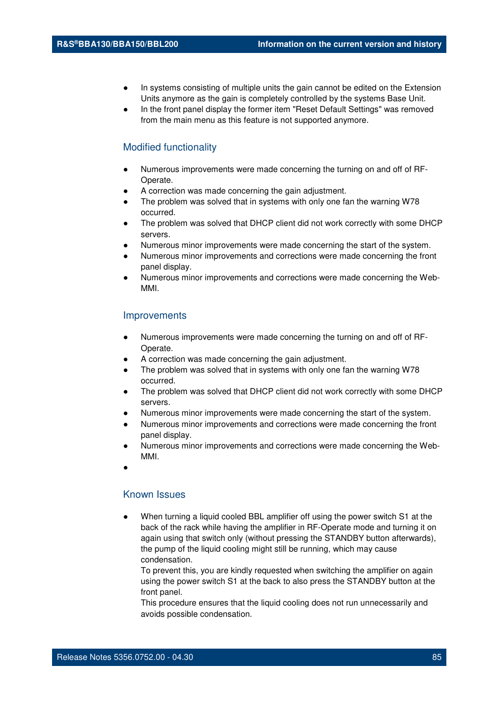- In systems consisting of multiple units the gain cannot be edited on the Extension Units anymore as the gain is completely controlled by the systems Base Unit.
- In the front panel display the former item "Reset Default Settings" was removed from the main menu as this feature is not supported anymore.

### Modified functionality

- Numerous improvements were made concerning the turning on and off of RF-Operate.
- A correction was made concerning the gain adjustment.
- The problem was solved that in systems with only one fan the warning W78 occurred.
- The problem was solved that DHCP client did not work correctly with some DHCP servers.
- Numerous minor improvements were made concerning the start of the system.
- Numerous minor improvements and corrections were made concerning the front panel display.
- Numerous minor improvements and corrections were made concerning the Web-MMI.

#### Improvements

- Numerous improvements were made concerning the turning on and off of RF-Operate.
- A correction was made concerning the gain adjustment.
- The problem was solved that in systems with only one fan the warning W78 occurred.
- The problem was solved that DHCP client did not work correctly with some DHCP servers.
- Numerous minor improvements were made concerning the start of the system.
- Numerous minor improvements and corrections were made concerning the front panel display.
- Numerous minor improvements and corrections were made concerning the Web-MMI.
- ●

# Known Issues

When turning a liquid cooled BBL amplifier off using the power switch S1 at the back of the rack while having the amplifier in RF-Operate mode and turning it on again using that switch only (without pressing the STANDBY button afterwards), the pump of the liquid cooling might still be running, which may cause condensation.

To prevent this, you are kindly requested when switching the amplifier on again using the power switch S1 at the back to also press the STANDBY button at the front panel.

This procedure ensures that the liquid cooling does not run unnecessarily and avoids possible condensation.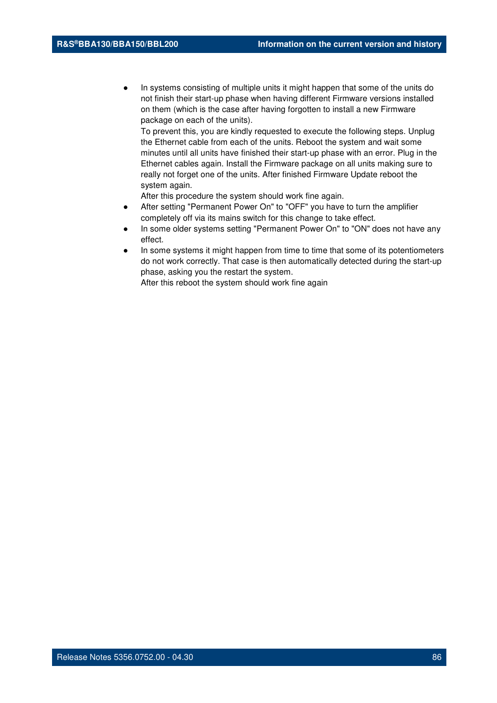In systems consisting of multiple units it might happen that some of the units do not finish their start-up phase when having different Firmware versions installed on them (which is the case after having forgotten to install a new Firmware package on each of the units).

To prevent this, you are kindly requested to execute the following steps. Unplug the Ethernet cable from each of the units. Reboot the system and wait some minutes until all units have finished their start-up phase with an error. Plug in the Ethernet cables again. Install the Firmware package on all units making sure to really not forget one of the units. After finished Firmware Update reboot the system again.

After this procedure the system should work fine again.

- After setting "Permanent Power On" to "OFF" you have to turn the amplifier completely off via its mains switch for this change to take effect.
- In some older systems setting "Permanent Power On" to "ON" does not have any effect.
- In some systems it might happen from time to time that some of its potentiometers do not work correctly. That case is then automatically detected during the start-up phase, asking you the restart the system.

After this reboot the system should work fine again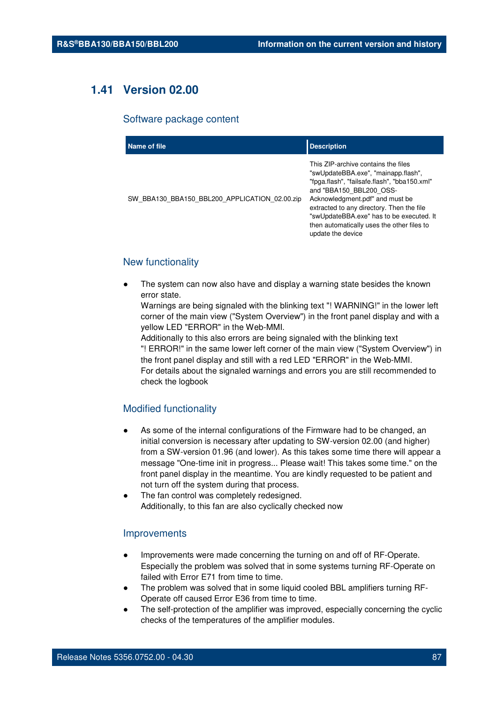# **1.41 Version 02.00**

#### Software package content

| Name of file                                  | <b>Description</b>                                                                                                                                                                                                                                                                                                                                   |
|-----------------------------------------------|------------------------------------------------------------------------------------------------------------------------------------------------------------------------------------------------------------------------------------------------------------------------------------------------------------------------------------------------------|
| SW BBA130 BBA150 BBL200 APPLICATION 02.00.zip | This ZIP-archive contains the files<br>"swUpdateBBA.exe", "mainapp.flash",<br>"fpga.flash", "failsafe.flash", "bba150.xml"<br>and "BBA150 BBL200 OSS-<br>Acknowledgment.pdf" and must be<br>extracted to any directory. Then the file<br>"swUpdateBBA.exe" has to be executed. It<br>then automatically uses the other files to<br>update the device |

# New functionality

The system can now also have and display a warning state besides the known error state.

Warnings are being signaled with the blinking text "! WARNING!" in the lower left corner of the main view ("System Overview") in the front panel display and with a yellow LED "ERROR" in the Web-MMI.

Additionally to this also errors are being signaled with the blinking text "! ERROR!" in the same lower left corner of the main view ("System Overview") in the front panel display and still with a red LED "ERROR" in the Web-MMI. For details about the signaled warnings and errors you are still recommended to check the logbook

## Modified functionality

- As some of the internal configurations of the Firmware had to be changed, an initial conversion is necessary after updating to SW-version 02.00 (and higher) from a SW-version 01.96 (and lower). As this takes some time there will appear a message "One-time init in progress... Please wait! This takes some time." on the front panel display in the meantime. You are kindly requested to be patient and not turn off the system during that process.
- The fan control was completely redesigned. Additionally, to this fan are also cyclically checked now

#### Improvements

- Improvements were made concerning the turning on and off of RF-Operate. Especially the problem was solved that in some systems turning RF-Operate on failed with Error E71 from time to time.
- The problem was solved that in some liquid cooled BBL amplifiers turning RF-Operate off caused Error E36 from time to time.
- The self-protection of the amplifier was improved, especially concerning the cyclic checks of the temperatures of the amplifier modules.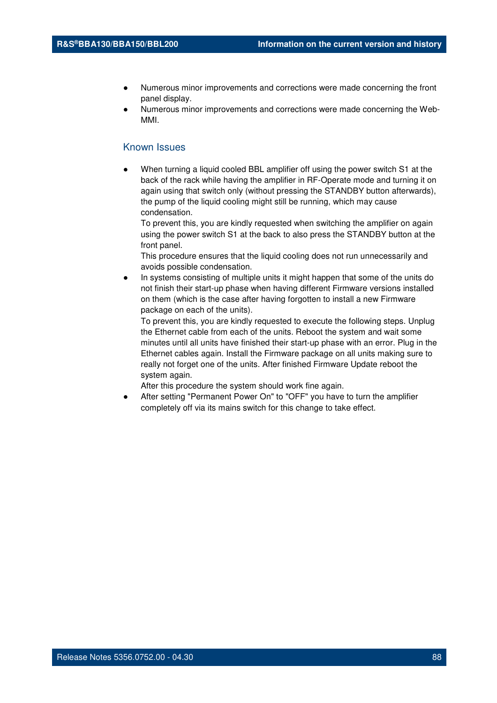- Numerous minor improvements and corrections were made concerning the front panel display.
- Numerous minor improvements and corrections were made concerning the Web-MMI.

When turning a liquid cooled BBL amplifier off using the power switch S1 at the back of the rack while having the amplifier in RF-Operate mode and turning it on again using that switch only (without pressing the STANDBY button afterwards), the pump of the liquid cooling might still be running, which may cause condensation.

To prevent this, you are kindly requested when switching the amplifier on again using the power switch S1 at the back to also press the STANDBY button at the front panel.

This procedure ensures that the liquid cooling does not run unnecessarily and avoids possible condensation.

In systems consisting of multiple units it might happen that some of the units do not finish their start-up phase when having different Firmware versions installed on them (which is the case after having forgotten to install a new Firmware package on each of the units).

To prevent this, you are kindly requested to execute the following steps. Unplug the Ethernet cable from each of the units. Reboot the system and wait some minutes until all units have finished their start-up phase with an error. Plug in the Ethernet cables again. Install the Firmware package on all units making sure to really not forget one of the units. After finished Firmware Update reboot the system again.

After this procedure the system should work fine again.

After setting "Permanent Power On" to "OFF" you have to turn the amplifier completely off via its mains switch for this change to take effect.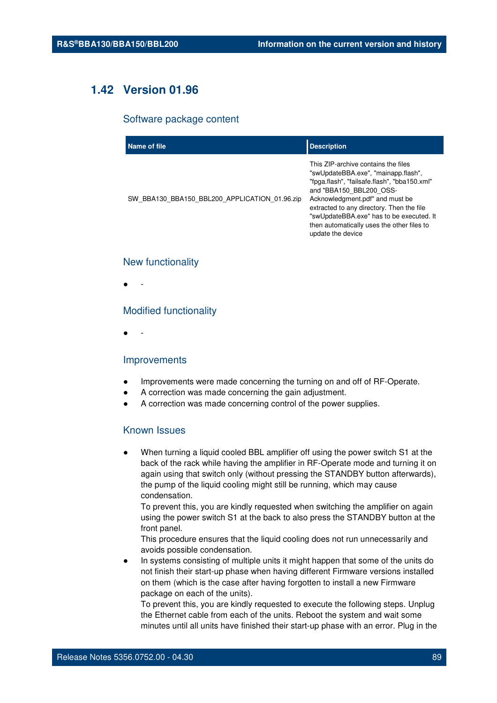# **1.42 Version 01.96**

#### Software package content

| Name of file                                  | <b>Description</b>                                                                                                                                                                                                                                                                                                                                   |
|-----------------------------------------------|------------------------------------------------------------------------------------------------------------------------------------------------------------------------------------------------------------------------------------------------------------------------------------------------------------------------------------------------------|
| SW BBA130 BBA150 BBL200 APPLICATION 01.96.zip | This ZIP-archive contains the files<br>"swUpdateBBA.exe", "mainapp.flash",<br>"fpga.flash", "failsafe.flash", "bba150.xml"<br>and "BBA150 BBL200 OSS-<br>Acknowledgment.pdf" and must be<br>extracted to any directory. Then the file<br>"swUpdateBBA.exe" has to be executed. It<br>then automatically uses the other files to<br>update the device |

#### New functionality

● -

### Modified functionality

● -

#### Improvements

- Improvements were made concerning the turning on and off of RF-Operate.
- A correction was made concerning the gain adjustment.
- A correction was made concerning control of the power supplies.

#### Known Issues

When turning a liquid cooled BBL amplifier off using the power switch S1 at the back of the rack while having the amplifier in RF-Operate mode and turning it on again using that switch only (without pressing the STANDBY button afterwards), the pump of the liquid cooling might still be running, which may cause condensation.

To prevent this, you are kindly requested when switching the amplifier on again using the power switch S1 at the back to also press the STANDBY button at the front panel.

This procedure ensures that the liquid cooling does not run unnecessarily and avoids possible condensation.

In systems consisting of multiple units it might happen that some of the units do not finish their start-up phase when having different Firmware versions installed on them (which is the case after having forgotten to install a new Firmware package on each of the units).

To prevent this, you are kindly requested to execute the following steps. Unplug the Ethernet cable from each of the units. Reboot the system and wait some minutes until all units have finished their start-up phase with an error. Plug in the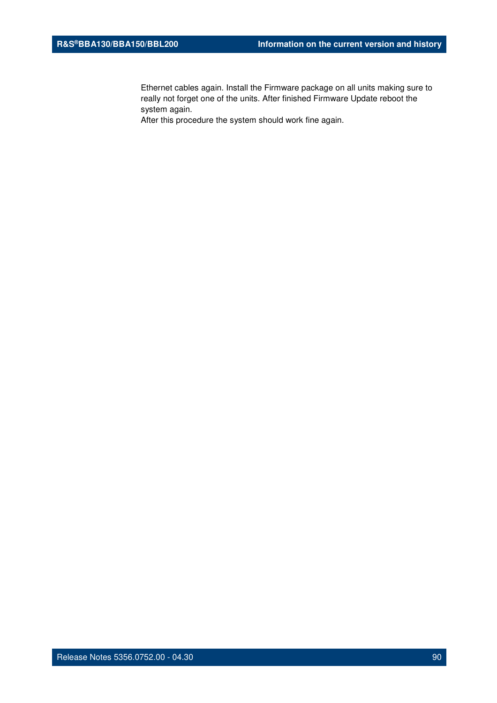Ethernet cables again. Install the Firmware package on all units making sure to really not forget one of the units. After finished Firmware Update reboot the system again.

After this procedure the system should work fine again.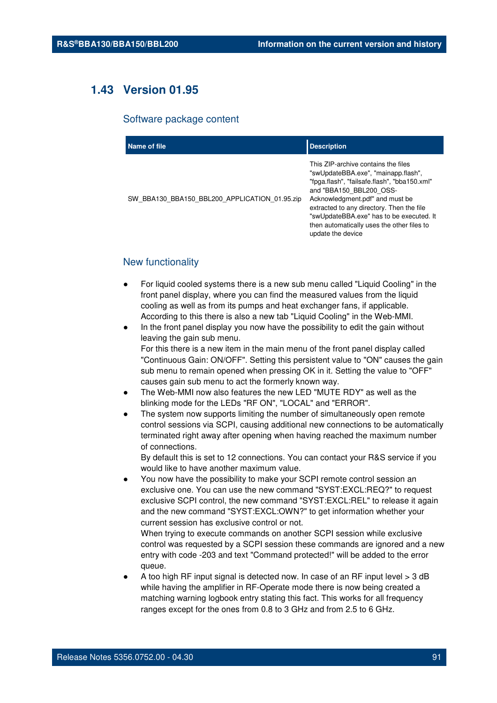# **1.43 Version 01.95**

#### Software package content

| Name of file                                  | <b>Description</b>                                                                                                                                                                                                                                                                                                                                   |
|-----------------------------------------------|------------------------------------------------------------------------------------------------------------------------------------------------------------------------------------------------------------------------------------------------------------------------------------------------------------------------------------------------------|
| SW BBA130 BBA150 BBL200 APPLICATION 01.95.zip | This ZIP-archive contains the files<br>"swUpdateBBA.exe", "mainapp.flash",<br>"fpga.flash", "failsafe.flash", "bba150.xml"<br>and "BBA150 BBL200 OSS-<br>Acknowledgment.pdf" and must be<br>extracted to any directory. Then the file<br>"swUpdateBBA.exe" has to be executed. It<br>then automatically uses the other files to<br>update the device |

# New functionality

- For liquid cooled systems there is a new sub menu called "Liquid Cooling" in the front panel display, where you can find the measured values from the liquid cooling as well as from its pumps and heat exchanger fans, if applicable. According to this there is also a new tab "Liquid Cooling" in the Web-MMI.
- In the front panel display you now have the possibility to edit the gain without leaving the gain sub menu. For this there is a new item in the main menu of the front panel display called "Continuous Gain: ON/OFF". Setting this persistent value to "ON" causes the gain sub menu to remain opened when pressing OK in it. Setting the value to "OFF" causes gain sub menu to act the formerly known way.
- The Web-MMI now also features the new LED "MUTE RDY" as well as the blinking mode for the LEDs "RF ON", "LOCAL" and "ERROR".
- The system now supports limiting the number of simultaneously open remote control sessions via SCPI, causing additional new connections to be automatically terminated right away after opening when having reached the maximum number of connections.

By default this is set to 12 connections. You can contact your R&S service if you would like to have another maximum value.

You now have the possibility to make your SCPI remote control session an exclusive one. You can use the new command "SYST:EXCL:REQ?" to request exclusive SCPI control, the new command "SYST:EXCL:REL" to release it again and the new command "SYST:EXCL:OWN?" to get information whether your current session has exclusive control or not.

When trying to execute commands on another SCPI session while exclusive control was requested by a SCPI session these commands are ignored and a new entry with code -203 and text "Command protected!" will be added to the error queue.

A too high RF input signal is detected now. In case of an RF input level  $>$  3 dB while having the amplifier in RF-Operate mode there is now being created a matching warning logbook entry stating this fact. This works for all frequency ranges except for the ones from 0.8 to 3 GHz and from 2.5 to 6 GHz.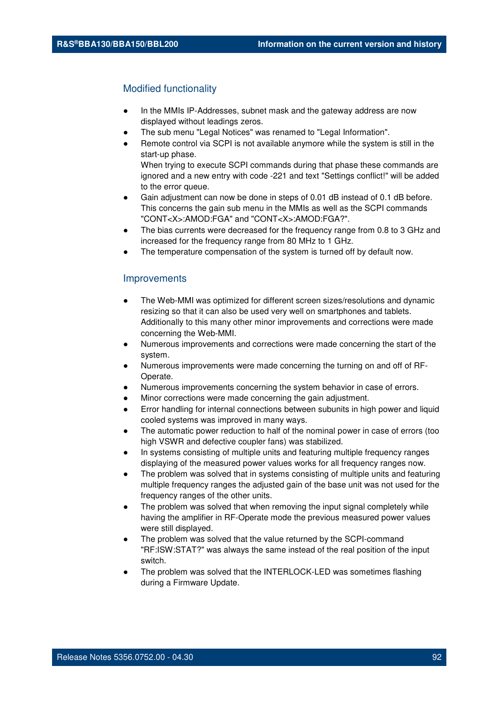## Modified functionality

to the error queue.

- In the MMIs IP-Addresses, subnet mask and the gateway address are now displayed without leadings zeros.
- The sub menu "Legal Notices" was renamed to "Legal Information".
- Remote control via SCPI is not available anymore while the system is still in the start-up phase. When trying to execute SCPI commands during that phase these commands are ignored and a new entry with code -221 and text "Settings conflict!" will be added
- Gain adjustment can now be done in steps of 0.01 dB instead of 0.1 dB before. This concerns the gain sub menu in the MMIs as well as the SCPI commands "CONT<X>:AMOD:FGA" and "CONT<X>:AMOD:FGA?".
- The bias currents were decreased for the frequency range from 0.8 to 3 GHz and increased for the frequency range from 80 MHz to 1 GHz.
- The temperature compensation of the system is turned off by default now.

### Improvements

- The Web-MMI was optimized for different screen sizes/resolutions and dynamic resizing so that it can also be used very well on smartphones and tablets. Additionally to this many other minor improvements and corrections were made concerning the Web-MMI.
- Numerous improvements and corrections were made concerning the start of the system.
- Numerous improvements were made concerning the turning on and off of RF-Operate.
- Numerous improvements concerning the system behavior in case of errors.
- Minor corrections were made concerning the gain adjustment.
- Error handling for internal connections between subunits in high power and liquid cooled systems was improved in many ways.
- The automatic power reduction to half of the nominal power in case of errors (too high VSWR and defective coupler fans) was stabilized.
- In systems consisting of multiple units and featuring multiple frequency ranges displaying of the measured power values works for all frequency ranges now.
- The problem was solved that in systems consisting of multiple units and featuring multiple frequency ranges the adjusted gain of the base unit was not used for the frequency ranges of the other units.
- The problem was solved that when removing the input signal completely while having the amplifier in RF-Operate mode the previous measured power values were still displayed.
- The problem was solved that the value returned by the SCPI-command "RF:ISW:STAT?" was always the same instead of the real position of the input switch.
- The problem was solved that the INTERLOCK-LED was sometimes flashing during a Firmware Update.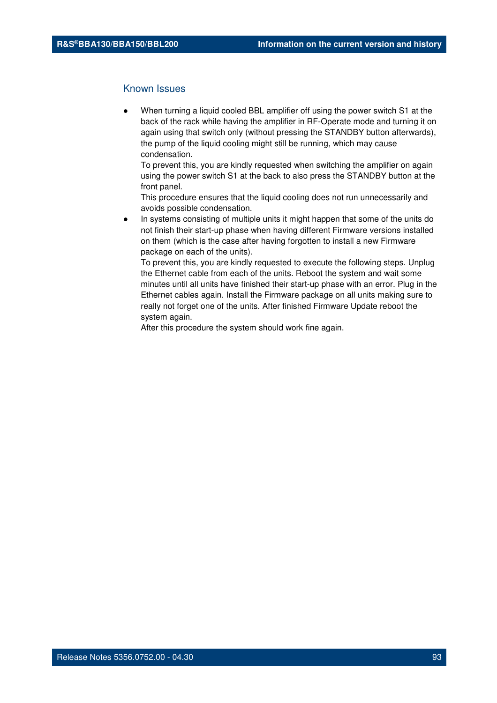When turning a liquid cooled BBL amplifier off using the power switch S1 at the back of the rack while having the amplifier in RF-Operate mode and turning it on again using that switch only (without pressing the STANDBY button afterwards), the pump of the liquid cooling might still be running, which may cause condensation.

To prevent this, you are kindly requested when switching the amplifier on again using the power switch S1 at the back to also press the STANDBY button at the front panel.

This procedure ensures that the liquid cooling does not run unnecessarily and avoids possible condensation.

In systems consisting of multiple units it might happen that some of the units do not finish their start-up phase when having different Firmware versions installed on them (which is the case after having forgotten to install a new Firmware package on each of the units).

To prevent this, you are kindly requested to execute the following steps. Unplug the Ethernet cable from each of the units. Reboot the system and wait some minutes until all units have finished their start-up phase with an error. Plug in the Ethernet cables again. Install the Firmware package on all units making sure to really not forget one of the units. After finished Firmware Update reboot the system again.

After this procedure the system should work fine again.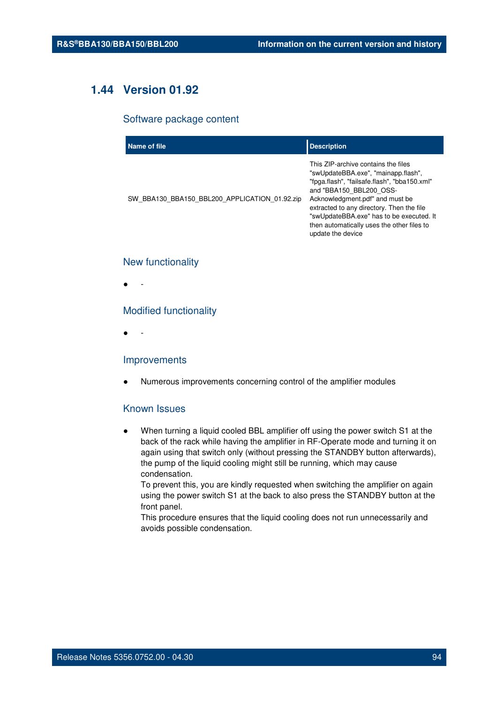# **1.44 Version 01.92**

# Software package content

| Name of file                                  | <b>Description</b>                                                                                                                                                                                                                                                                                                                                   |
|-----------------------------------------------|------------------------------------------------------------------------------------------------------------------------------------------------------------------------------------------------------------------------------------------------------------------------------------------------------------------------------------------------------|
| SW BBA130 BBA150 BBL200 APPLICATION 01.92.zip | This ZIP-archive contains the files<br>"swUpdateBBA.exe", "mainapp.flash",<br>"fpga.flash", "failsafe.flash", "bba150.xml"<br>and "BBA150 BBL200 OSS-<br>Acknowledgment.pdf" and must be<br>extracted to any directory. Then the file<br>"swUpdateBBA.exe" has to be executed. It<br>then automatically uses the other files to<br>update the device |

#### New functionality

● -

# Modified functionality

● -

## Improvements

Numerous improvements concerning control of the amplifier modules

## Known Issues

When turning a liquid cooled BBL amplifier off using the power switch S1 at the back of the rack while having the amplifier in RF-Operate mode and turning it on again using that switch only (without pressing the STANDBY button afterwards), the pump of the liquid cooling might still be running, which may cause condensation.

To prevent this, you are kindly requested when switching the amplifier on again using the power switch S1 at the back to also press the STANDBY button at the front panel.

This procedure ensures that the liquid cooling does not run unnecessarily and avoids possible condensation.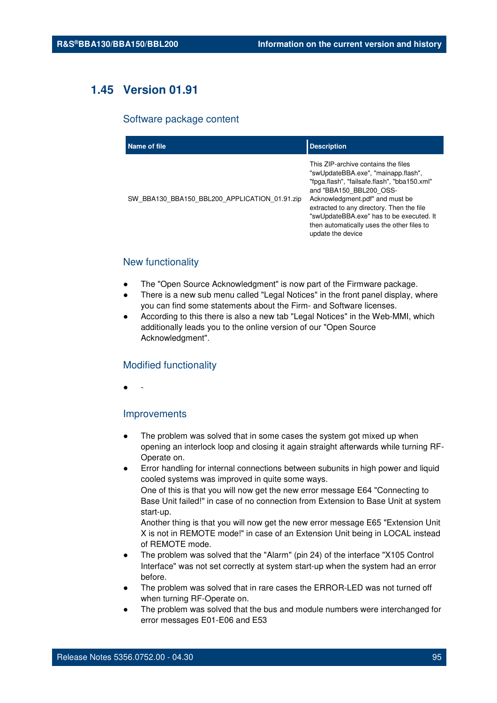# **1.45 Version 01.91**

#### Software package content

| Name of file                                  | <b>Description</b>                                                                                                                                                                                                                                                                                                                                   |
|-----------------------------------------------|------------------------------------------------------------------------------------------------------------------------------------------------------------------------------------------------------------------------------------------------------------------------------------------------------------------------------------------------------|
| SW BBA130 BBA150 BBL200 APPLICATION 01.91.zip | This ZIP-archive contains the files<br>"swUpdateBBA.exe", "mainapp.flash",<br>"fpga.flash", "failsafe.flash", "bba150.xml"<br>and "BBA150 BBL200 OSS-<br>Acknowledgment.pdf" and must be<br>extracted to any directory. Then the file<br>"swUpdateBBA.exe" has to be executed. It<br>then automatically uses the other files to<br>update the device |

# New functionality

- The "Open Source Acknowledgment" is now part of the Firmware package.
- There is a new sub menu called "Legal Notices" in the front panel display, where you can find some statements about the Firm- and Software licenses.
- According to this there is also a new tab "Legal Notices" in the Web-MMI, which additionally leads you to the online version of our "Open Source Acknowledgment".

### Modified functionality

● -

#### Improvements

- The problem was solved that in some cases the system got mixed up when opening an interlock loop and closing it again straight afterwards while turning RF-Operate on.
- Error handling for internal connections between subunits in high power and liquid cooled systems was improved in quite some ways. One of this is that you will now get the new error message E64 "Connecting to Base Unit failed!" in case of no connection from Extension to Base Unit at system start-up.

Another thing is that you will now get the new error message E65 "Extension Unit X is not in REMOTE mode!" in case of an Extension Unit being in LOCAL instead of REMOTE mode.

- The problem was solved that the "Alarm" (pin 24) of the interface "X105 Control" Interface" was not set correctly at system start-up when the system had an error before.
- The problem was solved that in rare cases the ERROR-LED was not turned off when turning RF-Operate on.
- The problem was solved that the bus and module numbers were interchanged for error messages E01-E06 and E53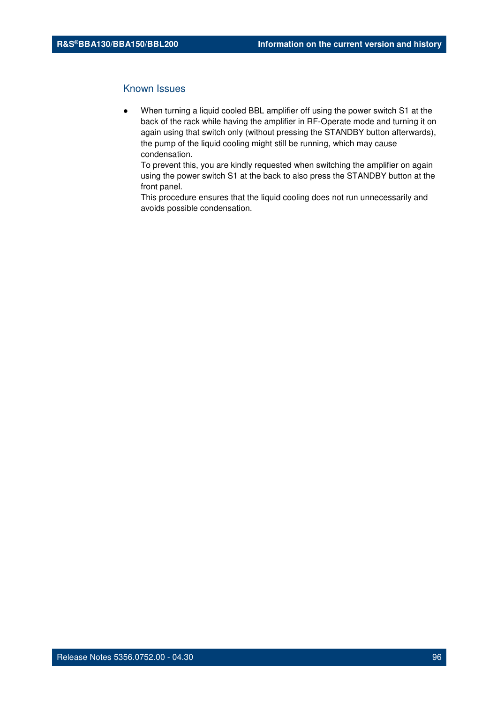When turning a liquid cooled BBL amplifier off using the power switch S1 at the back of the rack while having the amplifier in RF-Operate mode and turning it on again using that switch only (without pressing the STANDBY button afterwards), the pump of the liquid cooling might still be running, which may cause condensation.

To prevent this, you are kindly requested when switching the amplifier on again using the power switch S1 at the back to also press the STANDBY button at the front panel.

This procedure ensures that the liquid cooling does not run unnecessarily and avoids possible condensation.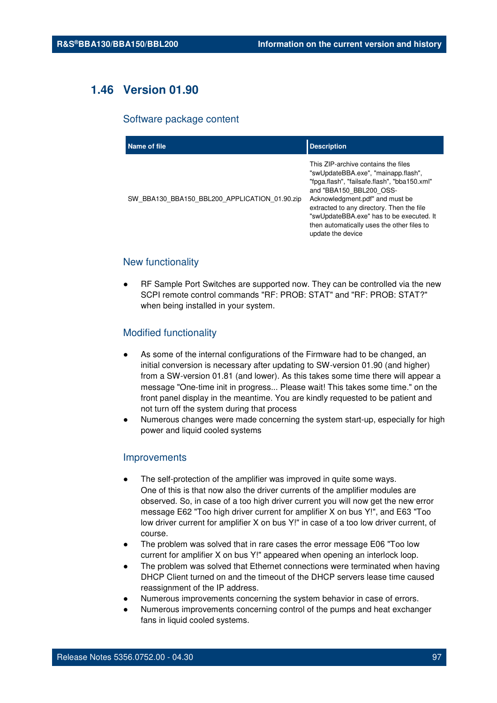# **1.46 Version 01.90**

#### Software package content

| Name of file                                  | <b>Description</b>                                                                                                                                                                                                                                                                                                                                   |
|-----------------------------------------------|------------------------------------------------------------------------------------------------------------------------------------------------------------------------------------------------------------------------------------------------------------------------------------------------------------------------------------------------------|
| SW BBA130 BBA150 BBL200 APPLICATION 01.90.zip | This ZIP-archive contains the files<br>"swUpdateBBA.exe", "mainapp.flash",<br>"fpga.flash", "failsafe.flash", "bba150.xml"<br>and "BBA150 BBL200 OSS-<br>Acknowledgment.pdf" and must be<br>extracted to any directory. Then the file<br>"swUpdateBBA.exe" has to be executed. It<br>then automatically uses the other files to<br>update the device |

# New functionality

RF Sample Port Switches are supported now. They can be controlled via the new SCPI remote control commands "RF: PROB: STAT" and "RF: PROB: STAT?" when being installed in your system.

## Modified functionality

- As some of the internal configurations of the Firmware had to be changed, an initial conversion is necessary after updating to SW-version 01.90 (and higher) from a SW-version 01.81 (and lower). As this takes some time there will appear a message "One-time init in progress... Please wait! This takes some time." on the front panel display in the meantime. You are kindly requested to be patient and not turn off the system during that process
- Numerous changes were made concerning the system start-up, especially for high power and liquid cooled systems

#### Improvements

- The self-protection of the amplifier was improved in quite some ways. One of this is that now also the driver currents of the amplifier modules are observed. So, in case of a too high driver current you will now get the new error message E62 "Too high driver current for amplifier X on bus Y!", and E63 "Too low driver current for amplifier X on bus Y!" in case of a too low driver current, of course.
- The problem was solved that in rare cases the error message E06 "Too low current for amplifier X on bus Y!" appeared when opening an interlock loop.
- The problem was solved that Ethernet connections were terminated when having DHCP Client turned on and the timeout of the DHCP servers lease time caused reassignment of the IP address.
- Numerous improvements concerning the system behavior in case of errors.
- Numerous improvements concerning control of the pumps and heat exchanger fans in liquid cooled systems.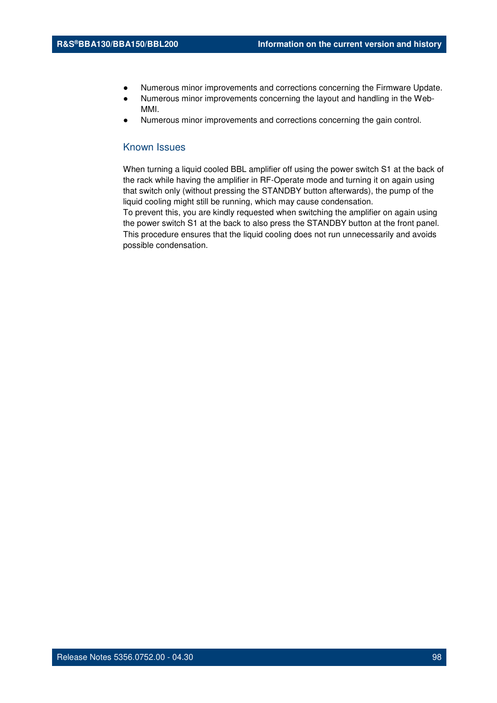- Numerous minor improvements and corrections concerning the Firmware Update.
- Numerous minor improvements concerning the layout and handling in the Web-MMI.
- Numerous minor improvements and corrections concerning the gain control.

When turning a liquid cooled BBL amplifier off using the power switch S1 at the back of the rack while having the amplifier in RF-Operate mode and turning it on again using that switch only (without pressing the STANDBY button afterwards), the pump of the liquid cooling might still be running, which may cause condensation.

To prevent this, you are kindly requested when switching the amplifier on again using the power switch S1 at the back to also press the STANDBY button at the front panel. This procedure ensures that the liquid cooling does not run unnecessarily and avoids possible condensation.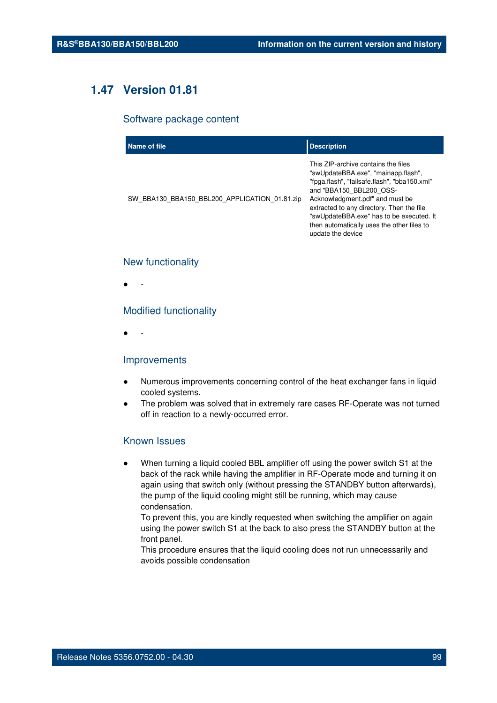# **1.47 Version 01.81**

#### Software package content

| Name of file                                  | <b>Description</b>                                                                                                                                                                                                                                                                                                                                   |
|-----------------------------------------------|------------------------------------------------------------------------------------------------------------------------------------------------------------------------------------------------------------------------------------------------------------------------------------------------------------------------------------------------------|
| SW BBA130 BBA150 BBL200 APPLICATION 01.81.zip | This ZIP-archive contains the files<br>"swUpdateBBA.exe", "mainapp.flash",<br>"fpga.flash", "failsafe.flash", "bba150.xml"<br>and "BBA150 BBL200 OSS-<br>Acknowledgment.pdf" and must be<br>extracted to any directory. Then the file<br>"swUpdateBBA.exe" has to be executed. It<br>then automatically uses the other files to<br>update the device |

#### New functionality

● -

### Modified functionality

● -

## Improvements

- Numerous improvements concerning control of the heat exchanger fans in liquid cooled systems.
- The problem was solved that in extremely rare cases RF-Operate was not turned off in reaction to a newly-occurred error.

#### Known Issues

When turning a liquid cooled BBL amplifier off using the power switch S1 at the back of the rack while having the amplifier in RF-Operate mode and turning it on again using that switch only (without pressing the STANDBY button afterwards), the pump of the liquid cooling might still be running, which may cause condensation.

To prevent this, you are kindly requested when switching the amplifier on again using the power switch S1 at the back to also press the STANDBY button at the front panel.

This procedure ensures that the liquid cooling does not run unnecessarily and avoids possible condensation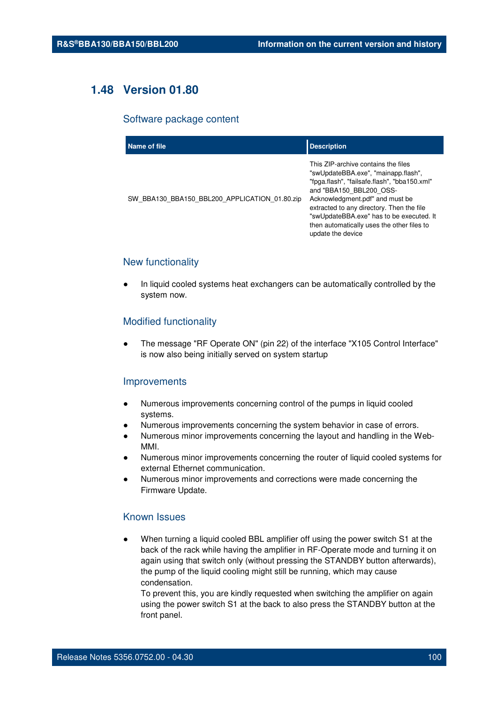# **1.48 Version 01.80**

#### Software package content

| Name of file                                  | <b>Description</b>                                                                                                                                                                                                                                                                                                                                   |
|-----------------------------------------------|------------------------------------------------------------------------------------------------------------------------------------------------------------------------------------------------------------------------------------------------------------------------------------------------------------------------------------------------------|
| SW BBA130 BBA150 BBL200 APPLICATION 01.80.zip | This ZIP-archive contains the files<br>"swUpdateBBA.exe", "mainapp.flash",<br>"fpga.flash", "failsafe.flash", "bba150.xml"<br>and "BBA150 BBL200 OSS-<br>Acknowledgment.pdf" and must be<br>extracted to any directory. Then the file<br>"swUpdateBBA.exe" has to be executed. It<br>then automatically uses the other files to<br>update the device |

## New functionality

In liquid cooled systems heat exchangers can be automatically controlled by the system now.

#### Modified functionality

The message "RF Operate ON" (pin 22) of the interface "X105 Control Interface" is now also being initially served on system startup

#### **Improvements**

- Numerous improvements concerning control of the pumps in liquid cooled systems.
- Numerous improvements concerning the system behavior in case of errors.
- Numerous minor improvements concerning the layout and handling in the Web-MMI.
- Numerous minor improvements concerning the router of liquid cooled systems for external Ethernet communication.
- Numerous minor improvements and corrections were made concerning the Firmware Update.

## Known Issues

When turning a liquid cooled BBL amplifier off using the power switch S1 at the back of the rack while having the amplifier in RF-Operate mode and turning it on again using that switch only (without pressing the STANDBY button afterwards), the pump of the liquid cooling might still be running, which may cause condensation.

To prevent this, you are kindly requested when switching the amplifier on again using the power switch S1 at the back to also press the STANDBY button at the front panel.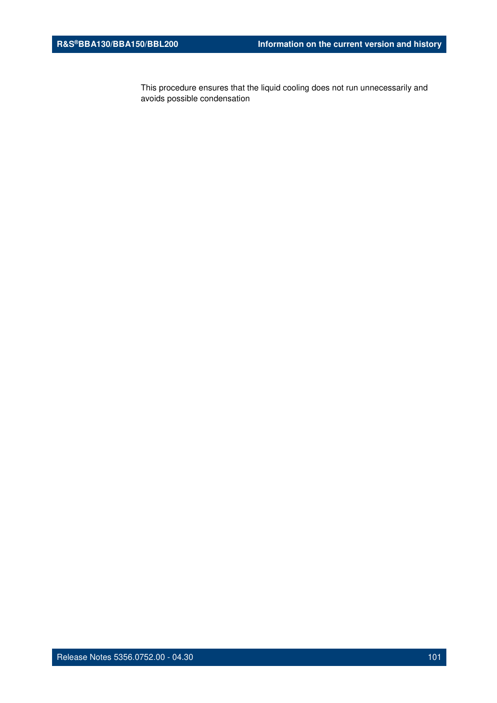This procedure ensures that the liquid cooling does not run unnecessarily and avoids possible condensation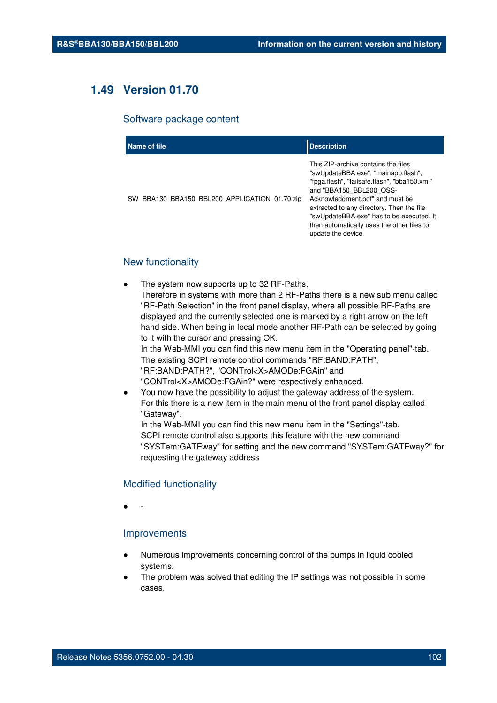# **1.49 Version 01.70**

#### Software package content

| Name of file                                  | <b>Description</b>                                                                                                                                                                                                                                                                                                                                   |
|-----------------------------------------------|------------------------------------------------------------------------------------------------------------------------------------------------------------------------------------------------------------------------------------------------------------------------------------------------------------------------------------------------------|
| SW BBA130 BBA150 BBL200 APPLICATION 01.70.zip | This ZIP-archive contains the files<br>"swUpdateBBA.exe", "mainapp.flash",<br>"fpga.flash", "failsafe.flash", "bba150.xml"<br>and "BBA150 BBL200 OSS-<br>Acknowledgment.pdf" and must be<br>extracted to any directory. Then the file<br>"swUpdateBBA.exe" has to be executed. It<br>then automatically uses the other files to<br>update the device |

# New functionality

- The system now supports up to 32 RF-Paths. Therefore in systems with more than 2 RF-Paths there is a new sub menu called "RF-Path Selection" in the front panel display, where all possible RF-Paths are displayed and the currently selected one is marked by a right arrow on the left hand side. When being in local mode another RF-Path can be selected by going to it with the cursor and pressing OK. In the Web-MMI you can find this new menu item in the "Operating panel"-tab. The existing SCPI remote control commands "RF:BAND:PATH", "RF:BAND:PATH?", "CONTrol<X>AMODe:FGAin" and "CONTrol<X>AMODe:FGAin?" were respectively enhanced.
- You now have the possibility to adjust the gateway address of the system. For this there is a new item in the main menu of the front panel display called "Gateway".
	- In the Web-MMI you can find this new menu item in the "Settings"-tab. SCPI remote control also supports this feature with the new command "SYSTem:GATEway" for setting and the new command "SYSTem:GATEway?" for requesting the gateway address

#### Modified functionality

● -

### Improvements

- Numerous improvements concerning control of the pumps in liquid cooled systems.
- The problem was solved that editing the IP settings was not possible in some cases.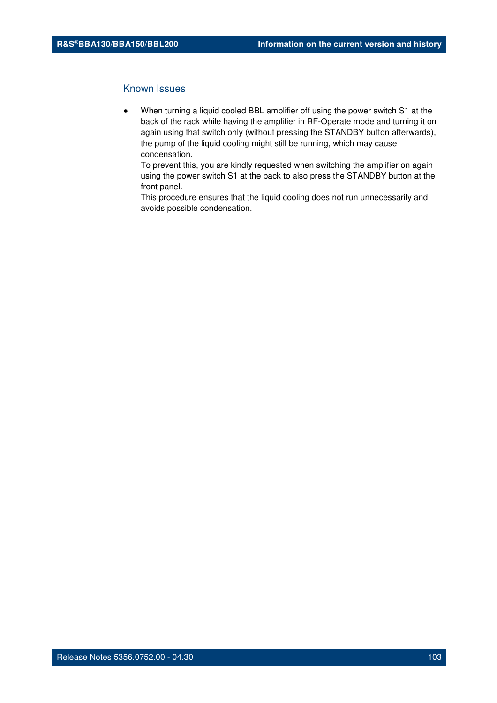When turning a liquid cooled BBL amplifier off using the power switch S1 at the back of the rack while having the amplifier in RF-Operate mode and turning it on again using that switch only (without pressing the STANDBY button afterwards), the pump of the liquid cooling might still be running, which may cause condensation.

To prevent this, you are kindly requested when switching the amplifier on again using the power switch S1 at the back to also press the STANDBY button at the front panel.

This procedure ensures that the liquid cooling does not run unnecessarily and avoids possible condensation.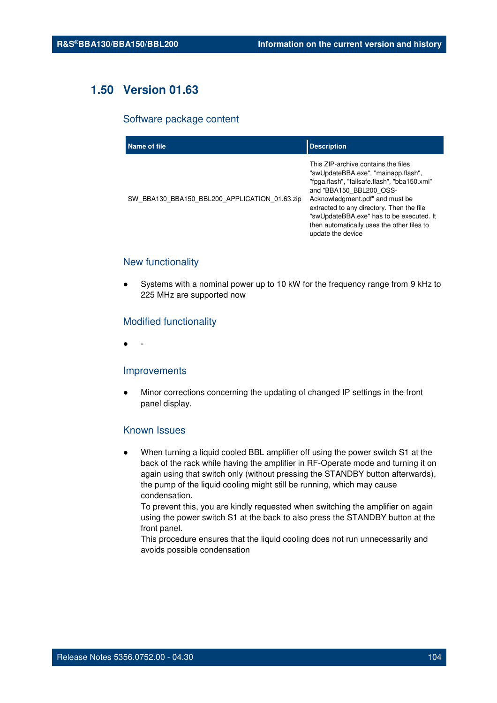# **1.50 Version 01.63**

#### Software package content

| Name of file                                  | <b>Description</b>                                                                                                                                                                                                                                                                                                                                   |
|-----------------------------------------------|------------------------------------------------------------------------------------------------------------------------------------------------------------------------------------------------------------------------------------------------------------------------------------------------------------------------------------------------------|
| SW BBA130 BBA150 BBL200 APPLICATION 01.63.zip | This ZIP-archive contains the files<br>"swUpdateBBA.exe", "mainapp.flash",<br>"fpga.flash", "failsafe.flash", "bba150.xml"<br>and "BBA150 BBL200 OSS-<br>Acknowledgment.pdf" and must be<br>extracted to any directory. Then the file<br>"swUpdateBBA.exe" has to be executed. It<br>then automatically uses the other files to<br>update the device |

# New functionality

Systems with a nominal power up to 10 kW for the frequency range from 9 kHz to 225 MHz are supported now

# Modified functionality

● -

#### Improvements

Minor corrections concerning the updating of changed IP settings in the front panel display.

## Known Issues

When turning a liquid cooled BBL amplifier off using the power switch S1 at the back of the rack while having the amplifier in RF-Operate mode and turning it on again using that switch only (without pressing the STANDBY button afterwards), the pump of the liquid cooling might still be running, which may cause condensation.

To prevent this, you are kindly requested when switching the amplifier on again using the power switch S1 at the back to also press the STANDBY button at the front panel.

This procedure ensures that the liquid cooling does not run unnecessarily and avoids possible condensation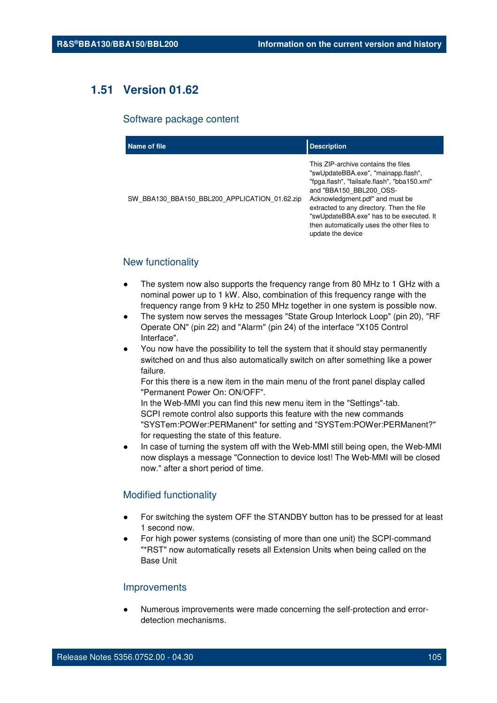# **1.51 Version 01.62**

#### Software package content

| Name of file                                  | <b>Description</b>                                                                                                                                                                                                                                                                                                                                   |
|-----------------------------------------------|------------------------------------------------------------------------------------------------------------------------------------------------------------------------------------------------------------------------------------------------------------------------------------------------------------------------------------------------------|
| SW BBA130 BBA150 BBL200 APPLICATION 01.62.zip | This ZIP-archive contains the files<br>"swUpdateBBA.exe", "mainapp.flash",<br>"fpga.flash", "failsafe.flash", "bba150.xml"<br>and "BBA150 BBL200 OSS-<br>Acknowledgment.pdf" and must be<br>extracted to any directory. Then the file<br>"swUpdateBBA.exe" has to be executed. It<br>then automatically uses the other files to<br>update the device |

# New functionality

- The system now also supports the frequency range from 80 MHz to 1 GHz with a nominal power up to 1 kW. Also, combination of this frequency range with the frequency range from 9 kHz to 250 MHz together in one system is possible now.
- The system now serves the messages "State Group Interlock Loop" (pin 20), "RF Operate ON" (pin 22) and "Alarm" (pin 24) of the interface "X105 Control Interface".
- You now have the possibility to tell the system that it should stay permanently switched on and thus also automatically switch on after something like a power failure.

For this there is a new item in the main menu of the front panel display called "Permanent Power On: ON/OFF".

In the Web-MMI you can find this new menu item in the "Settings"-tab. SCPI remote control also supports this feature with the new commands "SYSTem:POWer:PERManent" for setting and "SYSTem:POWer:PERManent?" for requesting the state of this feature.

In case of turning the system off with the Web-MMI still being open, the Web-MMI now displays a message "Connection to device lost! The Web-MMI will be closed now." after a short period of time.

## Modified functionality

- For switching the system OFF the STANDBY button has to be pressed for at least 1 second now.
- For high power systems (consisting of more than one unit) the SCPI-command "\*RST" now automatically resets all Extension Units when being called on the Base Unit

#### Improvements

Numerous improvements were made concerning the self-protection and errordetection mechanisms.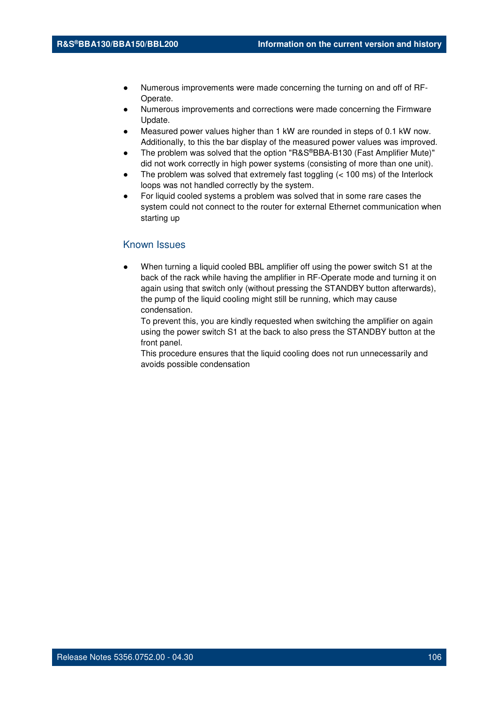- Numerous improvements were made concerning the turning on and off of RF-Operate.
- Numerous improvements and corrections were made concerning the Firmware Update.
- Measured power values higher than 1 kW are rounded in steps of 0.1 kW now. Additionally, to this the bar display of the measured power values was improved.
- The problem was solved that the option "R&S®BBA-B130 (Fast Amplifier Mute)" did not work correctly in high power systems (consisting of more than one unit).
- The problem was solved that extremely fast toggling  $(< 100 \text{ ms})$  of the Interlock loops was not handled correctly by the system.
- For liquid cooled systems a problem was solved that in some rare cases the system could not connect to the router for external Ethernet communication when starting up

When turning a liquid cooled BBL amplifier off using the power switch S1 at the back of the rack while having the amplifier in RF-Operate mode and turning it on again using that switch only (without pressing the STANDBY button afterwards), the pump of the liquid cooling might still be running, which may cause condensation.

To prevent this, you are kindly requested when switching the amplifier on again using the power switch S1 at the back to also press the STANDBY button at the front panel.

This procedure ensures that the liquid cooling does not run unnecessarily and avoids possible condensation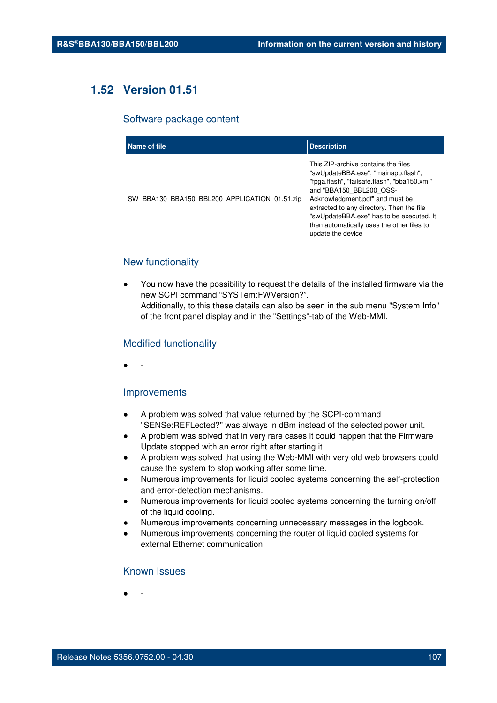# **1.52 Version 01.51**

#### Software package content

| Name of file                                  | <b>Description</b>                                                                                                                                                                                                                                                                                                                                   |
|-----------------------------------------------|------------------------------------------------------------------------------------------------------------------------------------------------------------------------------------------------------------------------------------------------------------------------------------------------------------------------------------------------------|
| SW BBA130 BBA150 BBL200 APPLICATION 01.51.zip | This ZIP-archive contains the files<br>"swUpdateBBA.exe", "mainapp.flash",<br>"fpga.flash", "failsafe.flash", "bba150.xml"<br>and "BBA150 BBL200 OSS-<br>Acknowledgment.pdf" and must be<br>extracted to any directory. Then the file<br>"swUpdateBBA.exe" has to be executed. It<br>then automatically uses the other files to<br>update the device |

# New functionality

You now have the possibility to request the details of the installed firmware via the new SCPI command "SYSTem:FWVersion?". Additionally, to this these details can also be seen in the sub menu "System Info" of the front panel display and in the "Settings"-tab of the Web-MMI.

# Modified functionality

● -

## Improvements

- A problem was solved that value returned by the SCPI-command "SENSe:REFLected?" was always in dBm instead of the selected power unit.
- A problem was solved that in very rare cases it could happen that the Firmware Update stopped with an error right after starting it.
- A problem was solved that using the Web-MMI with very old web browsers could cause the system to stop working after some time.
- Numerous improvements for liquid cooled systems concerning the self-protection and error-detection mechanisms.
- Numerous improvements for liquid cooled systems concerning the turning on/off of the liquid cooling.
- Numerous improvements concerning unnecessary messages in the logbook.
- Numerous improvements concerning the router of liquid cooled systems for external Ethernet communication

# Known Issues

● -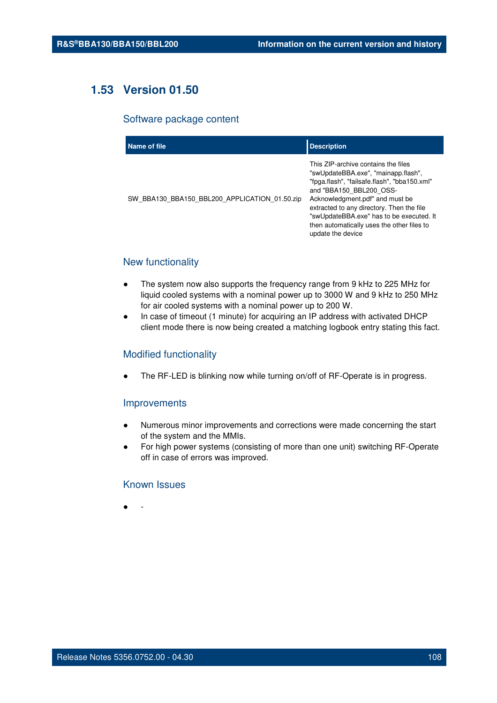# **1.53 Version 01.50**

### Software package content

| Name of file                                  | <b>Description</b>                                                                                                                                                                                                                                                                                                                                   |
|-----------------------------------------------|------------------------------------------------------------------------------------------------------------------------------------------------------------------------------------------------------------------------------------------------------------------------------------------------------------------------------------------------------|
| SW BBA130 BBA150 BBL200 APPLICATION 01.50.zip | This ZIP-archive contains the files<br>"swUpdateBBA.exe", "mainapp.flash",<br>"fpga.flash", "failsafe.flash", "bba150.xml"<br>and "BBA150 BBL200 OSS-<br>Acknowledgment.pdf" and must be<br>extracted to any directory. Then the file<br>"swUpdateBBA.exe" has to be executed. It<br>then automatically uses the other files to<br>update the device |

# New functionality

- The system now also supports the frequency range from 9 kHz to 225 MHz for liquid cooled systems with a nominal power up to 3000 W and 9 kHz to 250 MHz for air cooled systems with a nominal power up to 200 W.
- In case of timeout (1 minute) for acquiring an IP address with activated DHCP client mode there is now being created a matching logbook entry stating this fact.

## Modified functionality

The RF-LED is blinking now while turning on/off of RF-Operate is in progress.

#### Improvements

- Numerous minor improvements and corrections were made concerning the start of the system and the MMIs.
- For high power systems (consisting of more than one unit) switching RF-Operate off in case of errors was improved.

## Known Issues

● -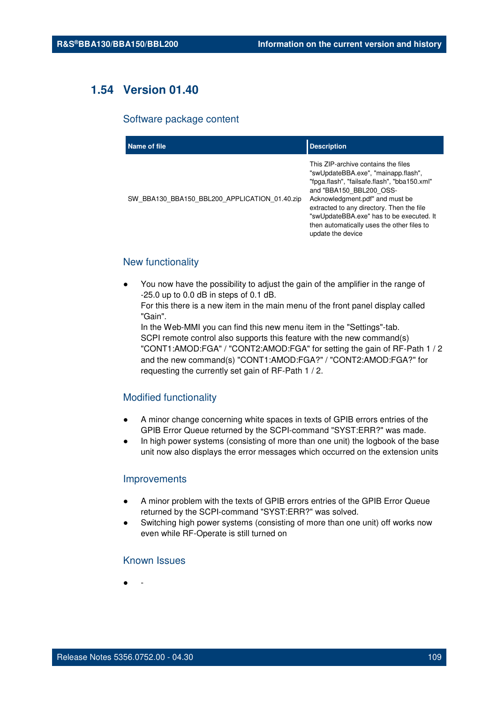## **1.54 Version 01.40**

#### Software package content

| Name of file                                  | <b>Description</b>                                                                                                                                                                                                                                                                                                                                   |
|-----------------------------------------------|------------------------------------------------------------------------------------------------------------------------------------------------------------------------------------------------------------------------------------------------------------------------------------------------------------------------------------------------------|
| SW BBA130 BBA150 BBL200 APPLICATION 01.40.zip | This ZIP-archive contains the files<br>"swUpdateBBA.exe", "mainapp.flash",<br>"fpga.flash", "failsafe.flash", "bba150.xml"<br>and "BBA150 BBL200 OSS-<br>Acknowledgment.pdf" and must be<br>extracted to any directory. Then the file<br>"swUpdateBBA.exe" has to be executed. It<br>then automatically uses the other files to<br>update the device |

### New functionality

You now have the possibility to adjust the gain of the amplifier in the range of -25.0 up to 0.0 dB in steps of 0.1 dB.

For this there is a new item in the main menu of the front panel display called "Gain".

In the Web-MMI you can find this new menu item in the "Settings"-tab. SCPI remote control also supports this feature with the new command(s) "CONT1:AMOD:FGA" / "CONT2:AMOD:FGA" for setting the gain of RF-Path 1 / 2 and the new command(s) "CONT1:AMOD:FGA?" / "CONT2:AMOD:FGA?" for requesting the currently set gain of RF-Path 1 / 2.

#### Modified functionality

- A minor change concerning white spaces in texts of GPIB errors entries of the GPIB Error Queue returned by the SCPI-command "SYST:ERR?" was made.
- In high power systems (consisting of more than one unit) the logbook of the base unit now also displays the error messages which occurred on the extension units

#### **Improvements**

- A minor problem with the texts of GPIB errors entries of the GPIB Error Queue returned by the SCPI-command "SYST:ERR?" was solved.
- Switching high power systems (consisting of more than one unit) off works now even while RF-Operate is still turned on

#### Known Issues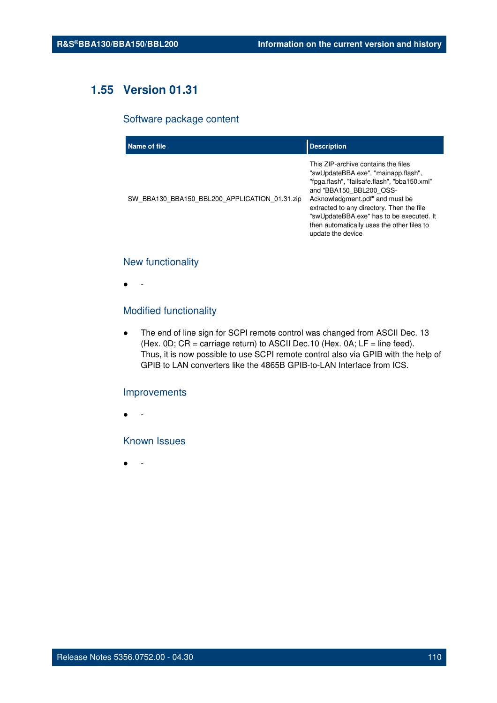## **1.55 Version 01.31**

#### Software package content

| Name of file                                  | <b>Description</b>                                                                                                                                                                                                                                                                                                                                   |
|-----------------------------------------------|------------------------------------------------------------------------------------------------------------------------------------------------------------------------------------------------------------------------------------------------------------------------------------------------------------------------------------------------------|
| SW BBA130 BBA150 BBL200 APPLICATION 01.31.zip | This ZIP-archive contains the files<br>"swUpdateBBA.exe", "mainapp.flash",<br>"fpga.flash", "failsafe.flash", "bba150.xml"<br>and "BBA150 BBL200 OSS-<br>Acknowledgment.pdf" and must be<br>extracted to any directory. Then the file<br>"swUpdateBBA.exe" has to be executed. It<br>then automatically uses the other files to<br>update the device |

## New functionality

● -

## Modified functionality

● The end of line sign for SCPI remote control was changed from ASCII Dec. 13 (Hex.  $0D$ ;  $CR =$  carriage return) to ASCII Dec. 10 (Hex.  $0A$ ;  $LF =$  line feed). Thus, it is now possible to use SCPI remote control also via GPIB with the help of GPIB to LAN converters like the 4865B GPIB-to-LAN Interface from ICS.

#### Improvements

● -

## Known Issues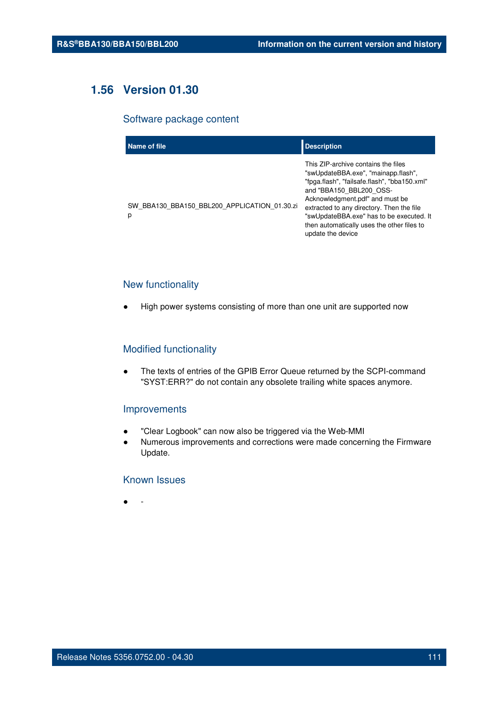## **1.56 Version 01.30**

#### Software package content

| Name of file                                      | <b>Description</b>                                                                                                                                                                                                                                                                                                                                   |
|---------------------------------------------------|------------------------------------------------------------------------------------------------------------------------------------------------------------------------------------------------------------------------------------------------------------------------------------------------------------------------------------------------------|
| SW BBA130 BBA150 BBL200 APPLICATION 01.30.zi<br>p | This ZIP-archive contains the files<br>"swUpdateBBA.exe", "mainapp.flash",<br>"fpga.flash", "failsafe.flash", "bba150.xml"<br>and "BBA150 BBL200 OSS-<br>Acknowledgment.pdf" and must be<br>extracted to any directory. Then the file<br>"swUpdateBBA.exe" has to be executed. It<br>then automatically uses the other files to<br>update the device |

## New functionality

● High power systems consisting of more than one unit are supported now

#### Modified functionality

● The texts of entries of the GPIB Error Queue returned by the SCPI-command "SYST:ERR?" do not contain any obsolete trailing white spaces anymore.

#### Improvements

- "Clear Logbook" can now also be triggered via the Web-MMI
- Numerous improvements and corrections were made concerning the Firmware Update.

## Known Issues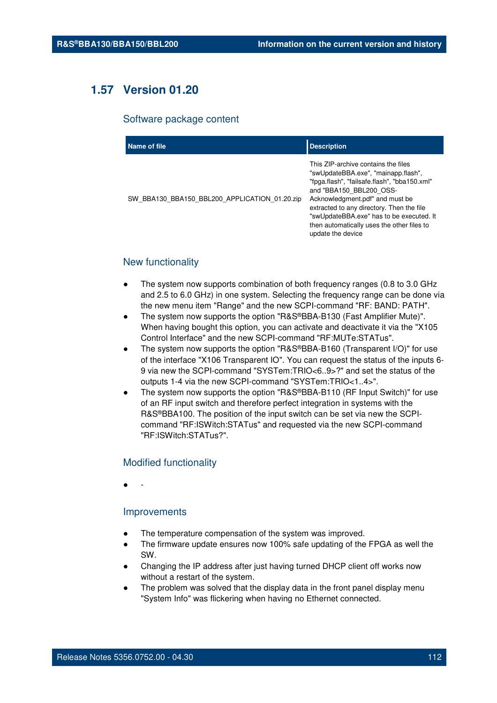## **1.57 Version 01.20**

#### Software package content

| Name of file                                  | <b>Description</b>                                                                                                                                                                                                                                                                                                                                   |
|-----------------------------------------------|------------------------------------------------------------------------------------------------------------------------------------------------------------------------------------------------------------------------------------------------------------------------------------------------------------------------------------------------------|
| SW BBA130 BBA150 BBL200 APPLICATION 01.20.zip | This ZIP-archive contains the files<br>"swUpdateBBA.exe", "mainapp.flash",<br>"fpga.flash", "failsafe.flash", "bba150.xml"<br>and "BBA150 BBL200 OSS-<br>Acknowledgment.pdf" and must be<br>extracted to any directory. Then the file<br>"swUpdateBBA.exe" has to be executed. It<br>then automatically uses the other files to<br>update the device |

#### New functionality

- The system now supports combination of both frequency ranges (0.8 to 3.0 GHz) and 2.5 to 6.0 GHz) in one system. Selecting the frequency range can be done via the new menu item "Range" and the new SCPI-command "RF: BAND: PATH".
- The system now supports the option "R&S®BBA-B130 (Fast Amplifier Mute)". When having bought this option, you can activate and deactivate it via the "X105 Control Interface" and the new SCPI-command "RF:MUTe:STATus".
- The system now supports the option "R&S®BBA-B160 (Transparent I/O)" for use of the interface "X106 Transparent IO". You can request the status of the inputs 6- 9 via new the SCPI-command "SYSTem:TRIO<6..9>?" and set the status of the outputs 1-4 via the new SCPI-command "SYSTem:TRIO<1..4>".
- The system now supports the option "R&S®BBA-B110 (RF Input Switch)" for use of an RF input switch and therefore perfect integration in systems with the R&S®BBA100. The position of the input switch can be set via new the SCPIcommand "RF:ISWitch:STATus" and requested via the new SCPI-command "RF:ISWitch:STATus?".

#### Modified functionality

● -

#### Improvements

- The temperature compensation of the system was improved.
- The firmware update ensures now 100% safe updating of the FPGA as well the SW.
- Changing the IP address after just having turned DHCP client off works now without a restart of the system.
- The problem was solved that the display data in the front panel display menu "System Info" was flickering when having no Ethernet connected.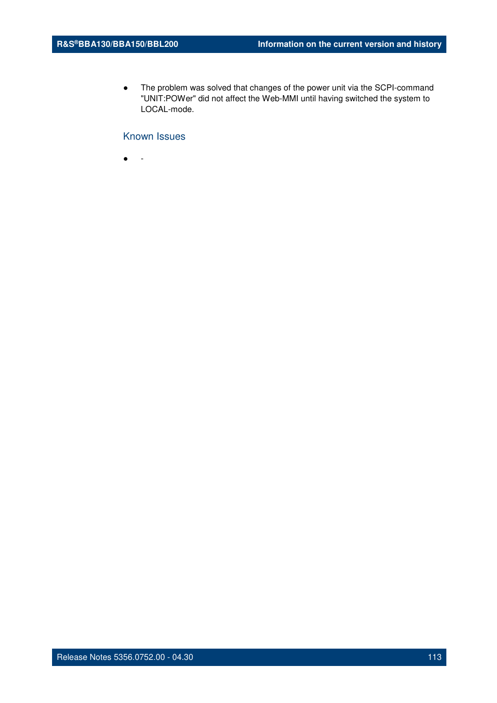● The problem was solved that changes of the power unit via the SCPI-command "UNIT:POWer" did not affect the Web-MMI until having switched the system to LOCAL-mode.

## Known Issues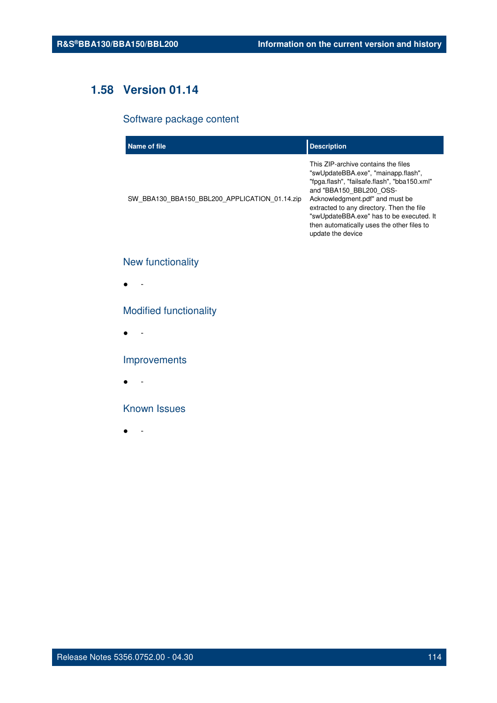## **1.58 Version 01.14**

## Software package content

| Name of file                                  | <b>Description</b>                                                                                                                                                                                                                                                                                                                                   |
|-----------------------------------------------|------------------------------------------------------------------------------------------------------------------------------------------------------------------------------------------------------------------------------------------------------------------------------------------------------------------------------------------------------|
| SW BBA130 BBA150 BBL200 APPLICATION 01.14.zip | This ZIP-archive contains the files<br>"swUpdateBBA.exe", "mainapp.flash",<br>"fpga.flash", "failsafe.flash", "bba150.xml"<br>and "BBA150 BBL200 OSS-<br>Acknowledgment.pdf" and must be<br>extracted to any directory. Then the file<br>"swUpdateBBA.exe" has to be executed. It<br>then automatically uses the other files to<br>update the device |

## New functionality

● -

## Modified functionality

● -

## Improvements

● -

### Known Issues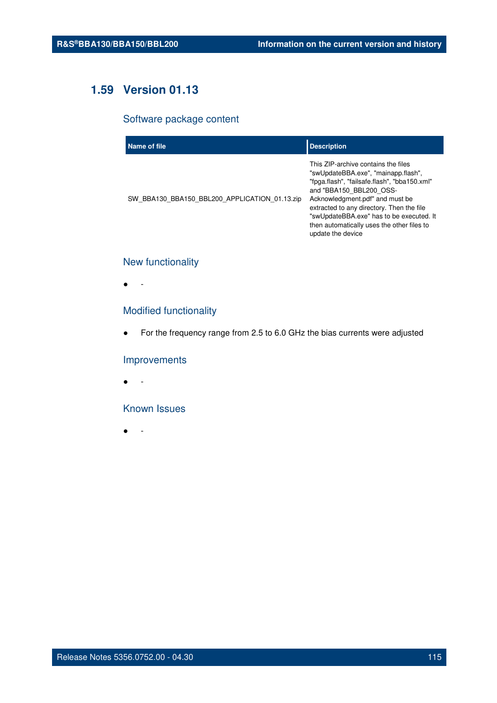## **1.59 Version 01.13**

## Software package content

| Name of file                                  | <b>Description</b>                                                                                                                                                                                                                                                                                                                                   |
|-----------------------------------------------|------------------------------------------------------------------------------------------------------------------------------------------------------------------------------------------------------------------------------------------------------------------------------------------------------------------------------------------------------|
| SW BBA130 BBA150 BBL200 APPLICATION 01.13.zip | This ZIP-archive contains the files<br>"swUpdateBBA.exe", "mainapp.flash",<br>"fpga.flash", "failsafe.flash", "bba150.xml"<br>and "BBA150 BBL200 OSS-<br>Acknowledgment.pdf" and must be<br>extracted to any directory. Then the file<br>"swUpdateBBA.exe" has to be executed. It<br>then automatically uses the other files to<br>update the device |

## New functionality

● -

## Modified functionality

● For the frequency range from 2.5 to 6.0 GHz the bias currents were adjusted

#### Improvements

● -

## Known Issues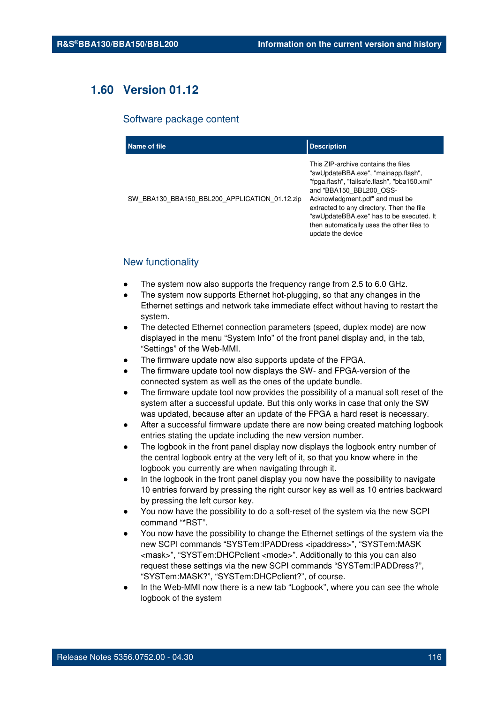## **1.60 Version 01.12**

#### Software package content

| Name of file                                  | <b>Description</b>                                                                                                                                                                                                                                                                                                                                   |
|-----------------------------------------------|------------------------------------------------------------------------------------------------------------------------------------------------------------------------------------------------------------------------------------------------------------------------------------------------------------------------------------------------------|
| SW BBA130 BBA150 BBL200 APPLICATION 01.12.zip | This ZIP-archive contains the files<br>"swUpdateBBA.exe", "mainapp.flash",<br>"fpga.flash", "failsafe.flash", "bba150.xml"<br>and "BBA150 BBL200 OSS-<br>Acknowledgment.pdf" and must be<br>extracted to any directory. Then the file<br>"swUpdateBBA.exe" has to be executed. It<br>then automatically uses the other files to<br>update the device |

### New functionality

- The system now also supports the frequency range from 2.5 to 6.0 GHz.
- The system now supports Ethernet hot-plugging, so that any changes in the Ethernet settings and network take immediate effect without having to restart the system.
- The detected Ethernet connection parameters (speed, duplex mode) are now displayed in the menu "System Info" of the front panel display and, in the tab, "Settings" of the Web-MMI.
- The firmware update now also supports update of the FPGA.
- The firmware update tool now displays the SW- and FPGA-version of the connected system as well as the ones of the update bundle.
- The firmware update tool now provides the possibility of a manual soft reset of the system after a successful update. But this only works in case that only the SW was updated, because after an update of the FPGA a hard reset is necessary.
- After a successful firmware update there are now being created matching logbook entries stating the update including the new version number.
- The logbook in the front panel display now displays the logbook entry number of the central logbook entry at the very left of it, so that you know where in the logbook you currently are when navigating through it.
- In the logbook in the front panel display you now have the possibility to navigate 10 entries forward by pressing the right cursor key as well as 10 entries backward by pressing the left cursor key.
- You now have the possibility to do a soft-reset of the system via the new SCPI command "\*RST".
- You now have the possibility to change the Ethernet settings of the system via the new SCPI commands "SYSTem:IPADDress <ipaddress>", "SYSTem:MASK <mask>", "SYSTem:DHCPclient <mode>". Additionally to this you can also request these settings via the new SCPI commands "SYSTem:IPADDress?", "SYSTem:MASK?", "SYSTem:DHCPclient?", of course.
- In the Web-MMI now there is a new tab "Logbook", where you can see the whole logbook of the system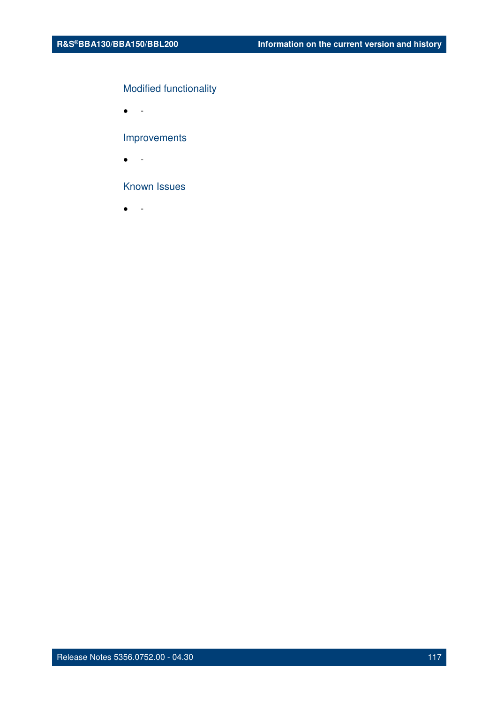## Modified functionality

● -

## Improvements

● -

## Known Issues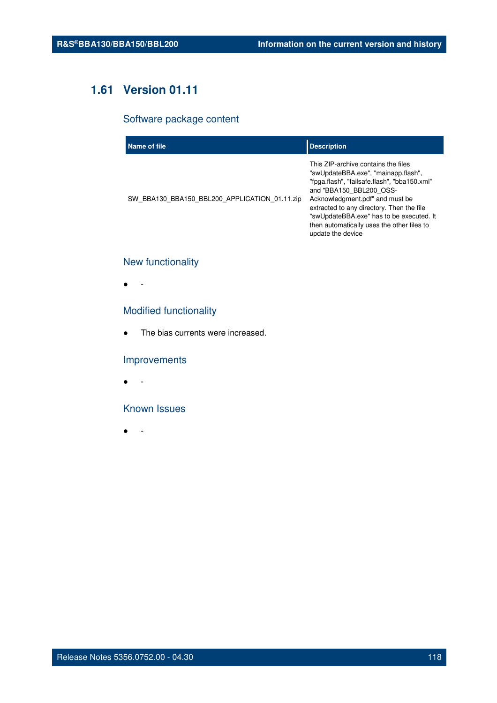# **1.61 Version 01.11**

## Software package content

| Name of file                                  | <b>Description</b>                                                                                                                                                                                                                                                                                                                                   |
|-----------------------------------------------|------------------------------------------------------------------------------------------------------------------------------------------------------------------------------------------------------------------------------------------------------------------------------------------------------------------------------------------------------|
| SW BBA130 BBA150 BBL200 APPLICATION 01.11.zip | This ZIP-archive contains the files<br>"swUpdateBBA.exe", "mainapp.flash",<br>"fpga.flash", "failsafe.flash", "bba150.xml"<br>and "BBA150 BBL200 OSS-<br>Acknowledgment.pdf" and must be<br>extracted to any directory. Then the file<br>"swUpdateBBA.exe" has to be executed. It<br>then automatically uses the other files to<br>update the device |

## New functionality

● -

## Modified functionality

• The bias currents were increased.

## Improvements

● -

## Known Issues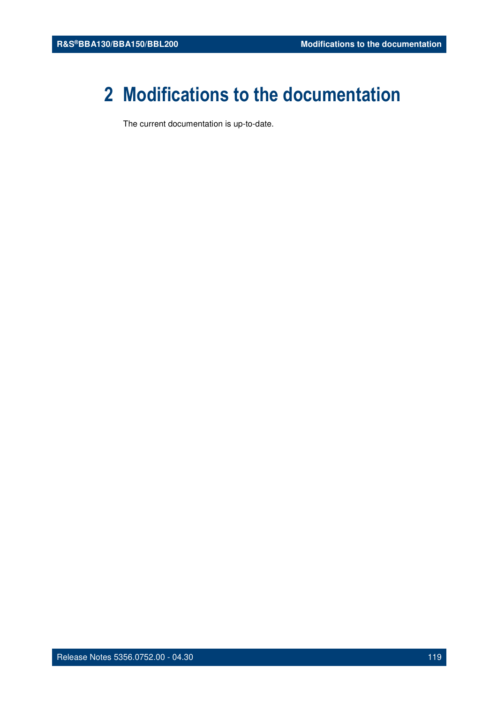# **2 Modifications to the documentation**

The current documentation is up-to-date.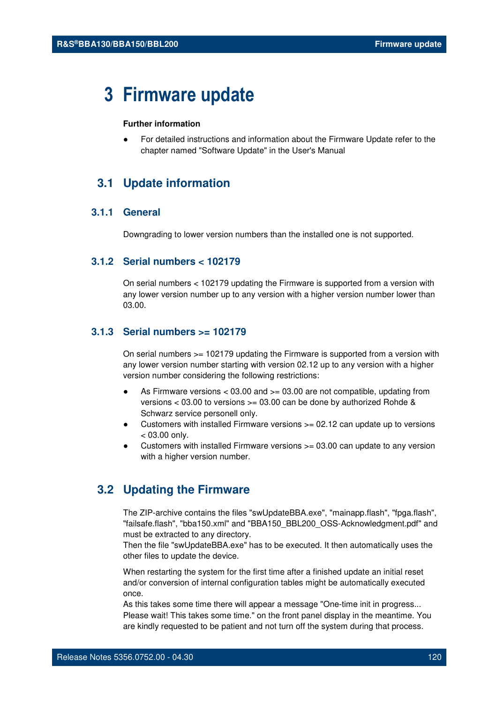# **3 Firmware update**

#### **Further information**

For detailed instructions and information about the Firmware Update refer to the chapter named "Software Update" in the User's Manual

## **3.1 Update information**

## **3.1.1 General**

Downgrading to lower version numbers than the installed one is not supported.

### **3.1.2 Serial numbers < 102179**

On serial numbers < 102179 updating the Firmware is supported from a version with any lower version number up to any version with a higher version number lower than 03.00.

#### **3.1.3 Serial numbers >= 102179**

On serial numbers >= 102179 updating the Firmware is supported from a version with any lower version number starting with version 02.12 up to any version with a higher version number considering the following restrictions:

- As Firmware versions  $< 03.00$  and  $>= 03.00$  are not compatible, updating from versions < 03.00 to versions >= 03.00 can be done by authorized Rohde & Schwarz service personell only.
- Customers with installed Firmware versions  $>= 02.12$  can update up to versions  $< 03.00$  only.
- Customers with installed Firmware versions  $> = 03.00$  can update to any version with a higher version number.

## **3.2 Updating the Firmware**

The ZIP-archive contains the files "swUpdateBBA.exe", "mainapp.flash", "fpga.flash", "failsafe.flash", "bba150.xml" and "BBA150\_BBL200\_OSS-Acknowledgment.pdf" and must be extracted to any directory.

Then the file "swUpdateBBA.exe" has to be executed. It then automatically uses the other files to update the device.

When restarting the system for the first time after a finished update an initial reset and/or conversion of internal configuration tables might be automatically executed once.

As this takes some time there will appear a message "One-time init in progress... Please wait! This takes some time." on the front panel display in the meantime. You are kindly requested to be patient and not turn off the system during that process.